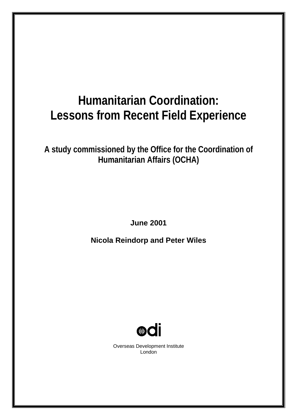# **Humanitarian Coordination: Lessons from Recent Field Experience**

**A study commissioned by the Office for the Coordination of Humanitarian Affairs (OCHA)**

**June 2001** 

**Nicola Reindorp and Peter Wiles** 



Overseas Development Institute London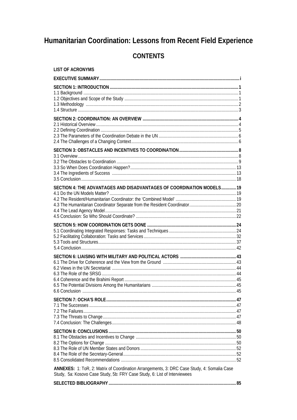## Humanitarian Coordination: Lessons from Recent Field Experience

## **CONTENTS**

| LIST OF ACRONYMS                                                                                                                                                         |  |
|--------------------------------------------------------------------------------------------------------------------------------------------------------------------------|--|
|                                                                                                                                                                          |  |
|                                                                                                                                                                          |  |
|                                                                                                                                                                          |  |
|                                                                                                                                                                          |  |
| SECTION 4: THE ADVANTAGES AND DISADVANTAGES OF COORDINATION MODELS 19                                                                                                    |  |
|                                                                                                                                                                          |  |
| 6.6 Conclusion                                                                                                                                                           |  |
|                                                                                                                                                                          |  |
|                                                                                                                                                                          |  |
| ANNEXES: 1: ToR, 2: Matrix of Coordination Arrangements, 3: DRC Case Study, 4: Somalia Case<br>Study, 5a: Kosovo Case Study, 5b: FRY Case Study, 6: List of Interviewees |  |

|--|--|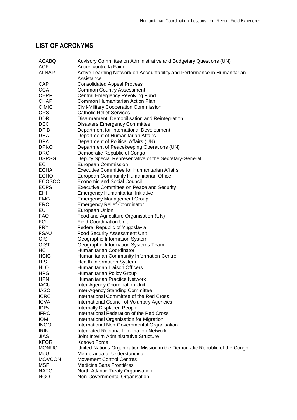## **LIST OF ACRONYMS**

| <b>ACABQ</b>  | Advisory Committee on Administrative and Budgetary Questions (UN)           |
|---------------|-----------------------------------------------------------------------------|
| <b>ACF</b>    | Action contre la Faim                                                       |
| <b>ALNAP</b>  | Active Learning Network on Accountability and Performance in Humanitarian   |
|               | Assistance                                                                  |
| <b>CAP</b>    | <b>Consolidated Appeal Process</b>                                          |
| <b>CCA</b>    | <b>Common Country Assessment</b>                                            |
| <b>CERF</b>   | <b>Central Emergency Revolving Fund</b>                                     |
| <b>CHAP</b>   | Common Humanitarian Action Plan                                             |
| <b>CIMIC</b>  | <b>Civil-Military Cooperation Commission</b>                                |
| <b>CRS</b>    | <b>Catholic Relief Services</b>                                             |
| <b>DDR</b>    | Disarmament, Demobilisation and Reintegration                               |
| <b>DEC</b>    | <b>Disasters Emergency Committee</b>                                        |
| <b>DFID</b>   | Department for International Development                                    |
| <b>DHA</b>    | Department of Humanitarian Affairs                                          |
| <b>DPA</b>    | Department of Political Affairs (UN)                                        |
| <b>DPKO</b>   | Department of Peacekeeping Operations (UN)                                  |
| <b>DRC</b>    | Democratic Republic of Congo                                                |
| <b>DSRSG</b>  | Deputy Special Representative of the Secretary-General                      |
| EC            | <b>European Commission</b>                                                  |
| <b>ECHA</b>   | <b>Executive Committee for Humanitarian Affairs</b>                         |
| <b>ECHO</b>   | European Community Humanitarian Office                                      |
| <b>ECOSOC</b> | <b>Economic and Social Council</b>                                          |
| <b>ECPS</b>   | <b>Executive Committee on Peace and Security</b>                            |
| EHI           | <b>Emergency Humanitarian Initiative</b>                                    |
| <b>EMG</b>    | <b>Emergency Management Group</b>                                           |
| <b>ERC</b>    | <b>Emergency Relief Coordinator</b>                                         |
| EU            | European Union                                                              |
| <b>FAO</b>    | Food and Agriculture Organisation (UN)                                      |
| <b>FCU</b>    | <b>Field Coordination Unit</b>                                              |
| <b>FRY</b>    | Federal Republic of Yugoslavia                                              |
| <b>FSAU</b>   | <b>Food Security Assessment Unit</b>                                        |
| GIS           | Geographic Information System                                               |
| <b>GIST</b>   | Geographic Information Systems Team                                         |
| HС            | Humanitarian Coordinator                                                    |
| <b>HCIC</b>   | Humanitarian Community Information Centre                                   |
| <b>HIS</b>    | <b>Health Information System</b>                                            |
| <b>HLO</b>    | Humanitarian Liaison Officers                                               |
| <b>HPG</b>    | Humanitarian Policy Group                                                   |
| <b>HPN</b>    | <b>Humanitarian Practice Network</b>                                        |
| <b>IACU</b>   | Inter-Agency Coordination Unit                                              |
| <b>IASC</b>   | <b>Inter-Agency Standing Committee</b>                                      |
| <b>ICRC</b>   | International Committee of the Red Cross                                    |
| <b>ICVA</b>   | <b>International Council of Voluntary Agencies</b>                          |
| <b>IDPs</b>   | <b>Internally Displaced People</b>                                          |
| <b>IFRC</b>   | International Federation of the Red Cross                                   |
| <b>IOM</b>    | International Organisation for Migration                                    |
| <b>INGO</b>   | International Non-Governmental Organisation                                 |
| <b>IRIN</b>   | <b>Integrated Regional Information Network</b>                              |
| <b>JIAS</b>   | Joint Interim Administrative Structure                                      |
| <b>KFOR</b>   | Kosovo Force                                                                |
| <b>MONUC</b>  | United Nations Organization Mission in the Democratic Republic of the Congo |
| MoU           | Memoranda of Understanding                                                  |
| <b>MOVCON</b> | <b>Movement Control Centres</b>                                             |
| <b>MSF</b>    | <b>Médicins Sans Frontières</b>                                             |
| <b>NATO</b>   | North Atlantic Treaty Organisation                                          |
| <b>NGO</b>    | Non-Governmental Organisation                                               |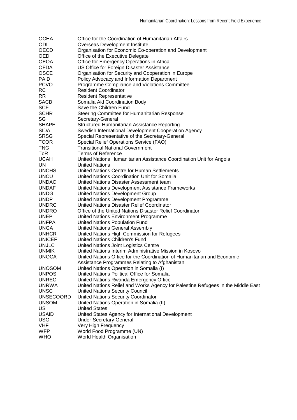| <b>OCHA</b>      | Office for the Coordination of Humanitarian Affairs                                |
|------------------|------------------------------------------------------------------------------------|
| <b>ODI</b>       | Overseas Development Institute                                                     |
| OECD             | Organisation for Economic Co-operation and Development                             |
| OED.             | Office of the Executive Delegate                                                   |
| <b>OEOA</b>      | Office for Emergency Operations in Africa                                          |
| <b>OFDA</b>      | US Office for Foreign Disaster Assistance                                          |
| <b>OSCE</b>      | Organisation for Security and Cooperation in Europe                                |
| <b>PAID</b>      | Policy Advocacy and Information Department                                         |
| <b>PCVO</b>      | Programme Compliance and Violations Committee                                      |
| RC               | <b>Resident Coordinator</b>                                                        |
| RR.              | <b>Resident Representative</b>                                                     |
| SACB             | Somalia Aid Coordination Body                                                      |
| <b>SCF</b>       | Save the Children Fund                                                             |
| <b>SCHR</b>      | Steering Committee for Humanitarian Response                                       |
| SG               | Secretary-General                                                                  |
| <b>SHAPE</b>     | <b>Structured Humanitarian Assistance Reporting</b>                                |
| <b>SIDA</b>      | Swedish International Development Cooperation Agency                               |
| <b>SRSG</b>      | Special Representative of the Secretary-General                                    |
| <b>TCOR</b>      | Special Relief Operations Service (FAO)                                            |
| <b>TNG</b>       | <b>Transitional National Government</b>                                            |
| ToR              | Terms of Reference                                                                 |
| <b>UCAH</b>      | United Nations Humanitarian Assistance Coordination Unit for Angola                |
| UN               | <b>United Nations</b>                                                              |
| <b>UNCHS</b>     | United Nations Centre for Human Settlements                                        |
| <b>UNCU</b>      | United Nations Coordination Unit for Somalia                                       |
| <b>UNDAC</b>     | United Nations Disaster Assessment team                                            |
| <b>UNDAF</b>     | United Nations Development Assistance Frameworks                                   |
| <b>UNDG</b>      |                                                                                    |
|                  | United Nations Development Group                                                   |
| <b>UNDP</b>      | United Nations Development Programme<br>United Nations Disaster Relief Coordinator |
| <b>UNDRC</b>     |                                                                                    |
| <b>UNDRO</b>     | Office of the United Nations Disaster Relief Coordinator                           |
| <b>UNEP</b>      | United Nations Environment Programme                                               |
| <b>UNFPA</b>     | United Nations Population Fund                                                     |
| <b>UNGA</b>      | <b>United Nations General Assembly</b>                                             |
| <b>UNHCR</b>     | United Nations High Commission for Refugees                                        |
| <b>UNICEF</b>    | United Nations Children's Fund                                                     |
| <b>UNJLC</b>     | United Nations Joint Logistics Centre                                              |
| <b>UNMIK</b>     | United Nations Interim Administrative Mission in Kosovo                            |
| <b>UNOCA</b>     | United Nations Office for the Coordination of Humanitarian and Economic            |
|                  | Assistance Programmes Relating to Afghanistan                                      |
| <b>UNOSOM</b>    | United Nations Operation in Somalia (I)                                            |
| <b>UNPOS</b>     | United Nations Political Office for Somalia                                        |
| <b>UNREO</b>     | United Nations Rwanda Emergency Office                                             |
| <b>UNRWA</b>     | United Nations Relief and Works Agency for Palestine Refugees in the Middle East   |
| <b>UNSC</b>      | <b>United Nations Security Council</b>                                             |
| <b>UNSECOORD</b> | <b>United Nations Security Coordinator</b>                                         |
| <b>UNSOM</b>     | United Nations Operation in Somalia (II)                                           |
| US               | <b>United States</b>                                                               |
| <b>USAID</b>     | United States Agency for International Development                                 |
| <b>USG</b>       | Under-Secretary-General                                                            |
| <b>VHF</b>       | Very High Frequency                                                                |
| <b>WFP</b>       | World Food Programme (UN)                                                          |
| <b>WHO</b>       | World Health Organisation                                                          |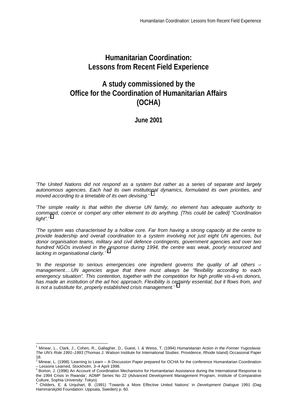## **Humanitarian Coordination: Lessons from Recent Field Experience**

## **A study commissioned by the Office for the Coordination of Humanitarian Affairs (OCHA)**

**June 2001** 

*'The United Nations did not respond as a system but rather as a series of separate and largely autonomous agencies. Each had its own institutional dynamics, formulated its own priorities, and moved according to a timetable of its own devising.' 1*

*'The simple reality is that within the diverse UN family, no element has adequate authority to command, coerce or compel any other element to do anything. [This could be called] "Coordination light".' 2*

*'The system was characterised by a hollow core. Far from having a strong capacity at the centre to provide leadership and overall coordination to a system involving not just eight UN agencies, but donor organisation teams, military and civil defence contingents, government agencies and over two hundred NGOs involved in the response during 1994, the centre was weak, poorly resourced and lacking in organisational clarity.' 3*

*'In the response to serious emergencies one ingredient governs the quality of all others – management.…UN agencies argue that there must always be "flexibility according to each emergency situation". This contention, together with the competition for high profile vis-à-vis donors, has made an institution of the ad hoc approach. Flexibility is certainly essential; but it flows from, and is not a substitute for, properly established crisis management.'* <sup>4</sup>

 1 Minear, L., Clark, J., Cohen, R., Gallagher, D., Guest, I. & Weiss, T. (1994) *Humanitarian Action in the Former Yugoslavia: The UN's Role 1991–1993* (Thomas J. Watson Institute for International Studies: Providence, Rhode Island) Occasional Paper

<sup>18.&</sup>lt;br><sup>2</sup> Minear, L. (1998) 'Learning to Learn – A Discussion Paper prepared for OCHA for the conference Humanitarian Coordination – Lessons Learned, Stockholm, 3–4 April 1998.

<sup>&</sup>lt;sup>3</sup> Borton, J. (1996) An Account of Coordination Mechanisms for Humanitarian Assistance during the International Response to the 1994 Crisis in Rwanda', ADMP Series No 22 (Advanced Development Management Program, Institute of Comparative Culture, Sophia University: Tokyo). 4

Childers, E. & Urquhart, B. (1991) 'Towards a More Effective United Nations' in *Development Dialogue* 1991 (Dag Hammarskjöld Foundation: Uppsala, Sweden) p. 60.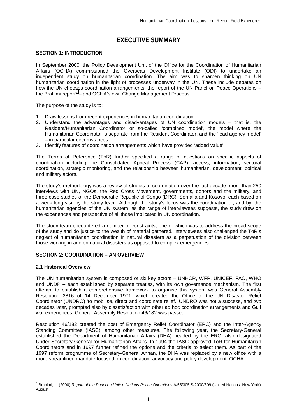## **EXECUTIVE SUMMARY**

## **SECTION 1: INTRODUCTION**

In September 2000, the Policy Development Unit of the Office for the Coordination of Humanitarian Affairs (OCHA) commissioned the Overseas Development Institute (ODI) to undertake an independent study on humanitarian coordination. The aim was to sharpen thinking on UN humanitarian coordination in the light of processes underway in the UN. These include debates on how the UN chooses coordination arrangements, the report of the UN Panel on Peace Operations – the Brahimi report $5$  – and OCHA's own Change Management Process.

The purpose of the study is to:

- 1. Draw lessons from recent experiences in humanitarian coordination.
- 2. Understand the advantages and disadvantages of UN coordination models that is, the Resident/Humanitarian Coordinator or so-called 'combined model', the model where the Humanitarian Coordinator is separate from the Resident Coordinator, and the 'lead agency model' – in particular circumstances.
- 3. Identify features of coordination arrangements which have provided 'added value'.

The Terms of Reference (ToR) further specified a range of questions on specific aspects of coordination including the Consolidated Appeal Process (CAP), access, information, sectoral coordination, strategic monitoring, and the relationship between humanitarian, development, political and military actors.

The study's methodology was a review of studies of coordination over the last decade, more than 250 interviews with UN, NGOs, the Red Cross Movement, governments, donors and the military, and three case studies of the Democratic Republic of Congo (DRC), Somalia and Kosovo, each based on a week-long visit by the study team. Although the study's focus was the coordination of, and by, the humanitarian agencies of the UN system, as the range of interviewees suggests, the study drew on the experiences and perspective of all those implicated in UN coordination.

The study team encountered a number of constraints, one of which was to address the broad scope of the study and do justice to the wealth of material gathered. Interviewees also challenged the ToR's neglect of humanitarian coordination in natural disasters as a perpetuation of the division between those working in and on natural disasters as opposed to complex emergencies.

## **SECTION 2: COORDINATION – AN OVERVIEW**

## **2.1 Historical Overview**

The UN humanitarian system is composed of six key actors – UNHCR, WFP, UNICEF, FAO, WHO and UNDP – each established by separate treaties, with its own governance mechanism. The first attempt to establish a comprehensive framework to organise this system was General Assembly Resolution 2816 of 14 December 1971, which created the Office of the UN Disaster Relief Coordinator (UNDRO) 'to mobilise, direct and coordinate relief.' UNDRO was not a success, and two decades later, prompted also by dissatisfaction with other ad hoc coordination arrangements and Gulf war experiences, General Assembly Resolution 46/182 was passed.

Resolution 46/182 created the post of Emergency Relief Coordinator (ERC) and the Inter-Agency Standing Committee (IASC), among other measures. The following year, the Secretary-General established the Department of Humanitarian Affairs (DHA) headed by the ERC, also designated Under Secretary-General for Humanitarian Affairs. In 1994 the IASC approved ToR for Humanitarian Coordinators and in 1997 further refined the options and the criteria to select them. As part of the 1997 reform programme of Secretary-General Annan, the DHA was replaced by a new office with a more streamlined mandate focused on coordination, advocacy and policy development: OCHA.

 5 Brahimi, L. (2000) *Report of the Panel on United Nations Peace Operations* A/55/305 S/2000/809 (United Nations: New York) August.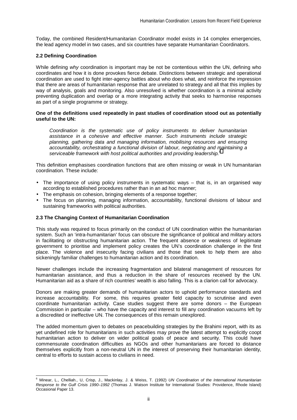Today, the combined Resident/Humanitarian Coordinator model exists in 14 complex emergencies, the lead agency model in two cases, and six countries have separate Humanitarian Coordinators.

## **2.2 Defining Coordination**

While defining *why* coordination is important may be not be contentious within the UN, defining who coordinates and how it is done provokes fierce debate. Distinctions between strategic and operational coordination are used to fight inter-agency battles about who does what, and reinforce the impression that there are areas of humanitarian response that are unrelated to strategy and all that this implies by way of analysis, goals and monitoring. Also unresolved is whether coordination is a minimal activity preventing duplication and overlap or a more integrating activity that seeks to harmonise responses as part of a single programme or strategy.

## **One of the definitions used repeatedly in past studies of coordination stood out as potentially useful to the UN:**

*Coordination is the systematic use of policy instruments to deliver humanitarian assistance in a cohesive and effective manner. Such instruments include strategic planning, gathering data and managing information, mobilising resources and ensuring accountability, orchestrating a functional division of labour, negotiating and maintaining a*  serviceable framework with host political authorities and providing leadership.<sup>6</sup> 

This definition emphasises coordination functions that are often missing or weak in UN humanitarian coordination. These include:

- The importance of using policy instruments in systematic ways that is, in an organised way according to established procedures rather than in an ad hoc manner;
- The emphasis on cohesion, bringing elements of a response together:
- The focus on planning, managing information, accountability, functional divisions of labour and sustaining frameworks with political authorities.

## **2.3 The Changing Context of Humanitarian Coordination**

This study was required to focus primarily on the conduct of UN coordination within the humanitarian system. Such an 'intra-humanitarian' focus can obscure the significance of political and military actors in facilitating or obstructing humanitarian action. The frequent absence or weakness of legitimate government to prioritise and implement policy creates the UN's coordination challenge in the first place. The violence and insecurity facing civilians and those that seek to help them are also sickeningly familiar challenges to humanitarian action and its coordination.

Newer challenges include the increasing fragmentation and bilateral management of resources for humanitarian assistance, and thus a reduction in the share of resources received by the UN. Humanitarian aid as a share of rich countries' wealth is also falling. This is a clarion call for advocacy.

Donors are making greater demands of humanitarian actors to uphold performance standards and increase accountability. For some, this requires greater field capacity to scrutinise and even coordinate humanitarian activity. Case studies suggest there are some donors – the European Commission in particular – who have the capacity and interest to fill any coordination vacuums left by a discredited or ineffective UN. The consequences of this remain unexplored.

The added momentum given to debates on peacebuilding strategies by the Brahimi report, with its as yet undefined role for humanitarians in such activities may prove the latest attempt to explicitly coopt humanitarian action to deliver on wider political goals of peace and security. This could have commensurate coordination difficulties as NGOs and other humanitarians are forced to distance themselves explicitly from a non-neutral UN in the interest of preserving their humanitarian identity, central to efforts to sustain access to civilians in need.

 6 Minear, L., Chelliah., U, Crisp, J., Mackinlay, J. & Weiss, T. (1992) *UN Coordination of the International Humanitarian Response to the Gulf Crisis 1990–1992* (Thomas J. Watson Institute for International Studies: Providence, Rhode Island) Occasional Paper 13.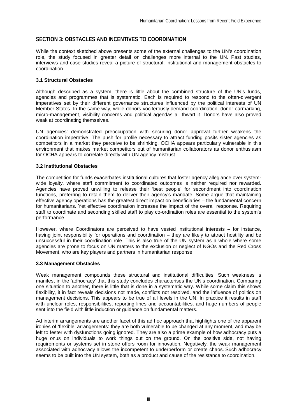## **SECTION 3: OBSTACLES AND INCENTIVES TO COORDINATION**

While the context sketched above presents some of the external challenges to the UN's coordination role, the study focused in greater detail on challenges more internal to the UN. Past studies, interviews and case studies reveal a picture of structural, institutional and management obstacles to coordination.

## **3.1 Structural Obstacles**

Although described as a system, there is little about the combined structure of the UN's funds, agencies and programmes that is systematic. Each is required to respond to the often-divergent imperatives set by their different governance structures influenced by the political interests of UN Member States. In the same way, while donors vociferously demand coordination, donor earmarking, micro-management, visibility concerns and political agendas all thwart it. Donors have also proved weak at coordinating themselves.

UN agencies' demonstrated preoccupation with securing donor approval further weakens the coordination imperative. The push for profile necessary to attract funding posits sister agencies as competitors in a market they perceive to be shrinking. OCHA appears particularly vulnerable in this environment that makes market competitors out of humanitarian collaborators as donor enthusiasm for OCHA appears to correlate directly with UN agency mistrust.

## **3.2 Institutional Obstacles**

The competition for funds exacerbates institutional cultures that foster agency allegiance over systemwide loyalty, where staff commitment to coordinated outcomes is neither required nor rewarded. Agencies have proved unwilling to release their 'best people' for secondment into coordination functions, preferring to retain them to deliver their agency's mandate. Some argue that maintaining effective agency operations has the greatest direct impact on beneficiaries – the fundamental concern for humanitarians. Yet effective coordination increases the impact of the overall response. Requiring staff to coordinate and seconding skilled staff to play co-ordination roles are essential to the system's performance.

However, where Coordinators are perceived to have vested institutional interests – for instance, having joint responsibility for operations and coordination – they are likely to attract hostility and be unsuccessful in their coordination role. This is also true of the UN system as a whole where some agencies are prone to focus on UN matters to the exclusion or neglect of NGOs and the Red Cross Movement, who are key players and partners in humanitarian response.

## **3.3 Management Obstacles**

Weak management compounds these structural and institutional difficulties. Such weakness is manifest in the 'adhocracy' that this study concludes characterises the UN's coordination. Comparing one situation to another, there is little that is done in a systematic way. While some claim this shows flexibility, it in fact reveals decisions not made, conflicts not resolved, and the influence of politics on management decisions. This appears to be true of all levels in the UN. In practice it results in staff with unclear roles, responsibilities, reporting lines and accountabilities, and huge numbers of people sent into the field with little induction or guidance on fundamental matters.

Ad interim arrangements are another facet of this ad hoc approach that highlights one of the apparent ironies of 'flexible' arrangements: they are both vulnerable to be changed at any moment, and may be left to fester with dysfunctions going ignored. They are also a prime example of how adhocracy puts a huge onus on individuals to work things out on the ground. On the positive side, not having requirements or systems set in stone offers room for innovation. Negatively, the weak management associated with adhocracy allows the incompetent to underperform or create chaos. Such adhocracy seems to be built into the UN system, both as a product and cause of the resistance to coordination.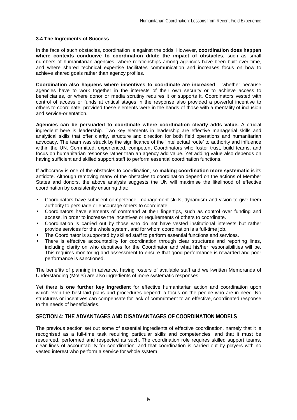## **3.4 The Ingredients of Success**

In the face of such obstacles, coordination is against the odds. However, **coordination does happen where contexts conducive to coordination dilute the impact of obstacles**, such as small numbers of humanitarian agencies, where relationships among agencies have been built over time, and where shared technical expertise facilitates communication and increases focus on how to achieve shared goals rather than agency profiles.

**Coordination also happens where incentives to coordinate are increased** – whether because agencies have to work together in the interests of their own security or to achieve access to beneficiaries, or where donor or media scrutiny requires it or supports it. Coordinators vested with control of access or funds at critical stages in the response also provided a powerful incentive to others to coordinate, provided these elements were in the hands of those with a mentality of inclusion and service-orientation.

**Agencies can be persuaded to coordinate where coordination clearly adds value.** A crucial ingredient here is leadership. Two key elements in leadership are effective managerial skills and analytical skills that offer clarity, structure and direction for both field operations and humanitarian advocacy. The team was struck by the significance of the 'intellectual route' to authority and influence within the UN. Committed, experienced, competent Coordinators who foster trust, build teams, and focus on humanitarian response rather than an agency add value. Yet adding value also depends on having sufficient and skilled support staff to perform essential coordination functions.

If adhocracy is one of the obstacles to coordination, so **making coordination more systematic** is its antidote. Although removing many of the obstacles to coordination depend on the actions of Member States and donors, the above analysis suggests the UN will maximise the likelihood of effective coordination by consistently ensuring that:

- Coordinators have sufficient competence, management skills, dynamism and vision to give them authority to persuade or encourage others to coordinate.
- Coordinators have elements of command at their fingertips, such as control over funding and access, in order to increase the incentives or requirements of others to coordinate.
- Coordination is carried out by those who do not have vested institutional interests but rather provide services for the whole system, and for whom coordination is a full-time job.
- The Coordinator is supported by skilled staff to perform essential functions and services.
- There is effective accountability for coordination through clear structures and reporting lines, including clarity on who deputises for the Coordinator and what his/her responsibilities will be. This requires monitoring and assessment to ensure that good performance is rewarded and poor performance is sanctioned.

The benefits of planning in advance, having rosters of available staff and well-written Memoranda of Understanding (MoUs) are also ingredients of more systematic responses.

Yet there is **one further key ingredient** for effective humanitarian action and coordination upon which even the best laid plans and procedures depend: a focus on the people who are in need. No structures or incentives can compensate for lack of commitment to an effective, coordinated response to the needs of beneficiaries.

## **SECTION 4: THE ADVANTAGES AND DISADVANTAGES OF COORDINATION MODELS**

The previous section set out some of essential ingredients of effective coordination, namely that it is recognised as a full-time task requiring particular skills and competencies, and that it must be resourced, performed and respected as such. The coordination role requires skilled support teams, clear lines of accountability for coordination, and that coordination is carried out by players with no vested interest who perform a service for whole system.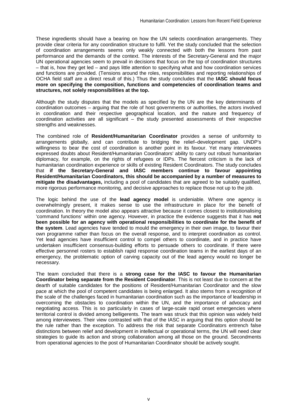These ingredients should have a bearing on how the UN selects coordination arrangements. They provide clear criteria for any coordination structure to fulfil. Yet the study concluded that the selection of coordination arrangements seems only weakly connected with both the lessons from past performance and the demands of the context. The interests of the Secretary-General and the major UN operational agencies seem to prevail in decisions that focus on the top of coordination structures – that is, how they get led – and pays little attention to specifying what and how coordination services and functions are provided. (Tensions around the roles, responsibilities and reporting relationships of OCHA field staff are a direct result of this.) Thus the study concludes that the **IASC should focus more on specifying the composition, functions and competencies of coordination teams and structures, not solely responsibilities at the top.**

Although the study disputes that the models as specified by the UN are the key determinants of coordination outcomes – arguing that the role of host governments or authorities, the actors involved in coordination and their respective geographical location, and the nature and frequency of coordination activities are all significant – the study presented assessments of their respective strengths and weaknesses.

The combined role of **Resident/Humanitarian Coordinator** provides a sense of uniformity to arrangements globally, and can contribute to bridging the relief–development gap. UNDP's willingness to bear the cost of coordination is another point in its favour. Yet many interviewees expressed doubts about Resident/Humanitarian Coordinators' ability to carry out robust humanitarian diplomacy, for example, on the rights of refugees or IDPs. The fiercest criticism is the lack of humanitarian coordination experience or skills of existing Resident Coordinators. The study concludes that **if the Secretary-General and IASC members continue to favour appointing Resident/Humanitarian Coordinators, this should be accompanied by a number of measures to mitigate the disadvantages,** including a pool of candidates that are agreed to be suitably qualified, more rigorous performance monitoring, and decisive approaches to replace those not up to the job.

The logic behind the use of the **lead agency model** is undeniable. Where one agency is overwhelmingly present, it makes sense to use the infrastructure in place for the benefit of coordination. In theory the model also appears attractive because it comes closest to institutionalising 'command functions' within one agency. However, in practice the evidence suggests that it has **not been possible for an agency with operational responsibilities to coordinate for the benefit of the system**. Lead agencies have tended to mould the emergency in their own image, to favour their own programme rather than focus on the overall response, and to interpret coordination as control. Yet lead agencies have insufficient control to compel others to coordinate, and in practice have undertaken insufficient consensus-building efforts to persuade others to coordinate. If there were effective personnel rosters to establish rapid response coordination teams in the earliest days of an emergency, the problematic option of carving capacity out of the lead agency would no longer be necessary.

The team concluded that there is a **strong case for the IASC to favour the Humanitarian Coordinator being separate from the Resident Coordinator**. This is not least due to concern at the dearth of suitable candidates for the positions of Resident/Humanitarian Coordinator and the slow pace at which the pool of competent candidates is being enlarged. It also stems from a recognition of the scale of the challenges faced in humanitarian coordination such as the importance of leadership in overcoming the obstacles to coordination within the UN, and the importance of advocacy and negotiating access. This is so particularly in cases of large-scale rapid onset emergencies where territorial control is divided among belligerents. The team was struck that this opinion was widely held among interviewees. Their view contrasted with that of the IASC in arguing that this option should be the rule rather than the exception. To address the risk that separate Coordinators entrench false distinctions between relief and development in intellectual or operational terms, the UN will need clear strategies to guide its action and strong collaboration among all those on the ground. Secondments from operational agencies to the post of Humanitarian Coordinator should be actively sought.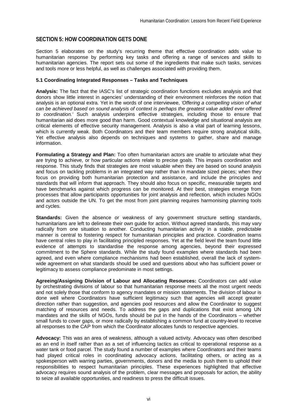## **SECTION 5: HOW COORDINATION GETS DONE**

Section 5 elaborates on the study's recurring theme that effective coordination adds value to humanitarian response by performing key tasks and offering a range of services and skills to humanitarian agencies. The report sets out some of the ingredients that make such tasks, services and tools more or less helpful, as well as challenges associated with providing them.

## **5.1 Coordinating Integrated Responses – Tasks and Techniques**

**Analysis:** The fact that the IASC's list of strategic coordination functions excludes analysis and that donors show little interest in agencies' understanding of their environment reinforces the notion that analysis is an optional extra. Yet in the words of one interviewee, *'Offering a compelling vision of what can be achieved based on sound analysis of context is perhaps the greatest value added ever offered to coordination.'* Such analysis underpins effective strategies, including those to ensure that humanitarian aid does more good than harm. Good contextual knowledge and situational analysis are critical elements of effective security management. Analysis is also a vital part of learning lessons, which is currently weak. Both Coordinators and their team members require strong analytical skills. Yet effective analysis also depends on techniques and systems to gather, share and manage information.

**Formulating a Strategy and Plan:** Too often humanitarian actors are unable to articulate what they are trying to achieve, or how particular actions relate to precise goals. This impairs coordination and response. This study finds that strategies are most valuable when they are based on sound analysis and focus on tackling problems in an integrated way rather than in mandate sized pieces; when they focus on providing both humanitarian protection and assistance, and include the principles and standards that will inform that approach. They should also focus on specific, measurable targets and have benchmarks against which progress can be monitored. At their best, strategies emerge from processes that allow participants opportunities for joint analysis and reflection, which includes NGOs and actors outside the UN. To get the most from joint planning requires harmonising planning tools and cycles.

**Standards:** Given the absence or weakness of any government structure setting standards, humanitarians are left to delineate their own guide for action. Without agreed standards, this may vary radically from one situation to another. Conducting humanitarian activity in a stable, predictable manner is central to fostering respect for humanitarian principles and practice. Coordination teams have central roles to play in facilitating principled responses. Yet at the field level the team found little evidence of attempts to standardise the response among agencies, beyond their expressed commitment to the Sphere standards. While the study found examples where standards had been agreed, and even where compliance mechanisms had been established, overall the lack of systemwide agreement on what standards should be used and questions about who has sufficient power or legitimacy to assess compliance predominate in most settings.

**Agreeing/Assigning Division of Labour and Allocating Resources:** Coordinators can add value by orchestrating divisions of labour so that humanitarian response meets all the most urgent needs and not solely those that conform to agency mandates or mission statements. The division of labour is done well where Coordinators have sufficient legitimacy such that agencies will accept greater direction rather than suggestion, and agencies pool resources and allow the Coordinator to suggest matching of resources and needs. To address the gaps and duplications that exist among UN mandates and the skills of NGOs, funds should be put in the hands of the Coordinators – whether small funds to cover gaps, or more radically by establishing a common fund at country-level to receive all responses to the CAP from which the Coordinator allocates funds to respective agencies.

**Advocacy:** This was an area of weakness, although a valued activity. Advocacy was often described as an end in itself rather than as a set of influencing tactics as critical to operational response as a water tank or food parcel. The study found a number of examples where Coordinators and their teams had played critical roles in coordinating advocacy actions, facilitating others, or acting as a spokesperson with warring parties, governments, donors and the media to push them to uphold their responsibilities to respect humanitarian principles. These experiences highlighted that effective advocacy requires sound analysis of the problem, clear messages and proposals for action, the ability to seize all available opportunities, and readiness to press the difficult issues.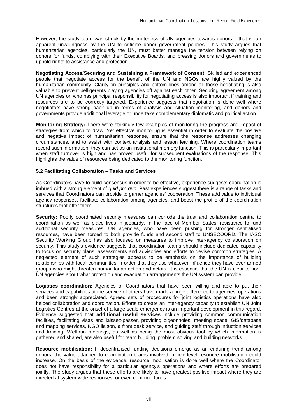However, the study team was struck by the muteness of UN agencies towards donors – that is, an apparent unwillingness by the UN to criticise donor government policies. This study argues that humanitarian agencies, particularly the UN, must better manage the tension between relying on donors for funds, complying with their Executive Boards, and pressing donors and governments to uphold rights to assistance and protection.

**Negotiating Access/Securing and Sustaining a Framework of Consent:** Skilled and experienced people that negotiate access for the benefit of the UN and NGOs are highly valued by the humanitarian community. Clarity on principles and bottom lines among all those negotiating is also valuable to prevent belligerents playing agencies off against each other. Securing agreement among UN agencies on who has principal responsibility for negotiating access is also important if training and resources are to be correctly targeted. Experience suggests that negotiation is done well where negotiators have strong back up in terms of analysis and situation monitoring, and donors and governments provide additional leverage or undertake complementary diplomatic and political action.

**Monitoring Strategy:** There were strikingly few examples of monitoring the progress and impact of strategies from which to draw. Yet effective monitoring is essential in order to evaluate the positive and negative impact of humanitarian response, ensure that the response addresses changing circumstances, and to assist with context analysis and lesson learning. Where coordination teams record such information, they can act as an institutional memory function. This is particularly important when staff turnover is high and has proved useful for subsequent evaluations of the response. This highlights the value of resources being dedicated to the monitoring function.

## **5.2 Facilitating Collaboration – Tasks and Services**

As Coordinators have to build consensus in order to be effective, experience suggests coordination is imbued with a strong element of *quid pro quo*. Past experiences suggest there is a range of tasks and services that Coordinators can provide to garner agencies' cooperation. These add value to individual agency responses, facilitate collaboration among agencies, and boost the profile of the coordination structures that offer them.

**Security:** Poorly coordinated security measures can corrode the trust and collaboration central to coordination as well as place lives in jeopardy. In the face of Member States' resistance to fund additional security measures, UN agencies, who have been pushing for stronger centralised resources, have been forced to both provide funds and second staff to UNSECOORD. The IASC Security Working Group has also focused on measures to improve inter-agency collaboration on security. This study's evidence suggests that coordination teams should include dedicated capability to focus on security plans, assessments and advisories and efforts to devise common strategies. A neglected element of such strategies appears to be emphasis on the importance of building relationships with local communities in order that they use whatever influence they have over armed groups who might threaten humanitarian action and actors. It is essential that the UN is clear to non-UN agencies about what protection and evacuation arrangements the UN system can provide.

**Logistics coordination:** Agencies or Coordinators that have been willing and able to put their services and capabilities at the service of others have made a huge difference to agencies' operations and been strongly appreciated. Agreed sets of procedures for joint logistics operations have also helped collaboration and coordination. Efforts to create an inter-agency capacity to establish UN Joint Logistics Centres at the onset of a large-scale emergency is an important development in this regard. Evidence suggested that **additional useful services** include providing common communication facilities, facilitating visas and laissez-passer, providing pigeonholes, meeting space, GIS/database and mapping services, NGO liaison, a front desk service, and guiding staff through induction services and training. Well-run meetings, as well as being the most obvious tool by which information is gathered and shared, are also useful for team building, problem solving and building networks.

**Resource mobilisation:** If decentralised funding decisions emerge as an enduring trend among donors, the value attached to coordination teams involved in field-level resource mobilisation could increase. On the basis of the evidence, resource mobilisation is done well where the Coordinator does not have responsibility for a particular agency's operations and where efforts are prepared jointly. The study argues that these efforts are likely to have greatest positive impact where they are directed at system-wide responses, or even common funds.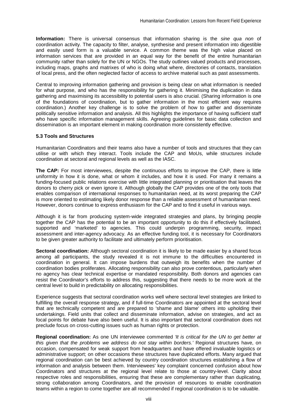**Information:** There is universal consensus that information sharing is the *sine qua non* of coordination activity. The capacity to filter, analyse, synthesise and present information into digestible and easily used form is a valuable service. A common theme was the high value placed on information services that are provided in an equal way for the benefit of the entire humanitarian community rather than solely for the UN or NGOs. The study outlines valued products and processes, including maps, graphs and matrixes of who is doing what where, directories of contacts, translation of local press, and the often neglected factor of access to archive material such as past assessments.

Central to improving information gathering and provision is being clear on what information is needed for what purpose, and who has the responsibility for gathering it. Minimising the duplication in data gathering and maximising its accessibility to potential users is also crucial. (Sharing information is one of the foundations of coordination, but to gather information in the most efficient way requires coordination.) Another key challenge is to solve the problem of how to gather and disseminate politically sensitive information and analysis. All this highlights the importance of having sufficient staff who have specific information management skills. Agreeing guidelines for basic data collection and dissemination is an important element in making coordination more consistently effective.

## **5.3 Tools and Structures**

Humanitarian Coordinators and their teams also have a number of tools and structures that they can utilise or with which they interact. Tools include the CAP and MoUs, while structures include coordination at sectoral and regional levels as well as the IASC.

**The CAP:** For most interviewees, despite the continuous efforts to improve the CAP, there is little uniformity in how it is done, what or whom it includes, and how it is used. For many it remains a funding-focused public relations exercise with little integrated planning or prioritisation that leaves the donors to cherry pick or even ignore it. Although globally the CAP provides one of the only tools that enables comparison of international responses to humanitarian need, at its worst preparing the CAP is more oriented to estimating likely donor response than a reliable assessment of humanitarian need. However, donors continue to express enthusiasm for the CAP and to find it useful in various ways.

Although it is far from producing system-wide integrated strategies and plans, by bringing people together the CAP has the potential to be an important opportunity to do this if effectively facilitated, supported and 'marketed' to agencies. This could underpin programming, security, impact assessment and inter-agency advocacy. As an effective funding tool, it is necessary for Coordinators to be given greater authority to facilitate and ultimately perform prioritisation.

**Sectoral coordination:** Although sectoral coordination it is likely to be made easier by a shared focus among all participants, the study revealed it is not immune to the difficulties encountered in coordination in general. It can impose burdens that outweigh its benefits when the number of coordination bodies proliferates. Allocating responsibility can also prove contentious, particularly when no agency has clear technical expertise or mandated responsibility. Both donors and agencies can resist the Coordinator's efforts to address this, suggesting that there needs to be more work at the central level to build in predictability on allocating responsibilities.

Experience suggests that sectoral coordination works well where sectoral level strategies are linked to fulfilling the overall response strategy, and if full-time Coordinators are appointed at the sectoral level that are technically competent and are prepared to 'shame and blame' others into upholding their undertakings. Field units that collect and disseminate information, advise on strategies, and act as focal points for debate have also been useful. It is also important that sectoral coordination does not preclude focus on cross-cutting issues such as human rights or protection.

**Regional coordination:** As one UN interviewee commented *'It is critical for the UN to get better at this given that the problems we address do not stay within borders.'* Regional structures have, on occasion, compensated for weak support from headquarters and have offered invaluable logistics or administrative support; on other occasions these structures have duplicated efforts. Many argued that regional coordination can be best achieved by country coordination structures establishing a flow of information and analysis between them. Interviewees' key complaint concerned confusion about how Coordinators and structures at the regional level relate to those at country-level. Clarity about respective roles and responsibilities, ensuring that these are complementary rather than duplicating, strong collaboration among Coordinators, and the provision of resources to enable coordination teams within a region to come together are all recommended if regional coordination is to be valuable.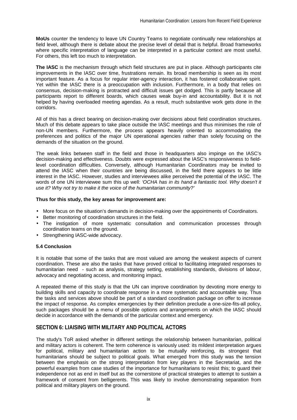**MoUs** counter the tendency to leave UN Country Teams to negotiate continually new relationships at field level, although there is debate about the precise level of detail that is helpful. Broad frameworks where specific interpretation of language can be interpreted in a particular context are most useful. For others, this left too much to interpretation.

**The IASC** is the mechanism through which field structures are put in place. Although participants cite improvements in the IASC over time, frustrations remain. Its broad membership is seen as its most important feature. As a focus for regular inter-agency interaction, it has fostered collaborative spirit. Yet within the IASC there is a preoccupation with inclusion. Furthermore, in a body that relies on consensus, decision-making is protracted and difficult issues get dodged. This is partly because all participants report to different boards, which causes weak buy-in and accountability. But it is not helped by having overloaded meeting agendas. As a result, much substantive work gets done in the corridors.

All of this has a direct bearing on decision-making over decisions about field coordination structures. Much of this debate appears to take place outside the IASC meetings and thus minimises the role of non-UN members. Furthermore, the process appears heavily oriented to accommodating the preferences and politics of the major UN operational agencies rather than solely focusing on the demands of the situation on the ground.

The weak links between staff in the field and those in headquarters also impinge on the IASC's decision-making and effectiveness. Doubts were expressed about the IASC's responsiveness to fieldlevel coordination difficulties. Conversely, although Humanitarian Coordinators may be invited to attend the IASC when their countries are being discussed, in the field there appears to be little interest in the IASC. However, studies and interviewees alike perceived the potential of the IASC. The words of one UN interviewee sum this up well: *'OCHA has in its hand a fantastic tool. Why doesn't it use it? Why not try to make it the voice of the humanitarian community?'* 

## **Thus for this study, the key areas for improvement are:**

- More focus on the situation's demands in decision-making over the appointments of Coordinators.
- Better monitoring of coordination structures in the field.
- The instigation of more systematic consultation and communication processes through coordination teams on the ground.
- Strengthening IASC-wide advocacy.

## **5.4 Conclusion**

It is notable that some of the tasks that are most valued are among the weakest aspects of current coordination. These are also the tasks that have proved critical to facilitating integrated responses to humanitarian need - such as analysis, strategy setting, establishing standards, divisions of labour, advocacy and negotiating access, and monitoring impact.

A repeated theme of this study is that the UN can improve coordination by devoting more energy to building skills and capacity to coordinate response in a more systematic and accountable way. Thus the tasks and services above should be part of a standard coordination package on offer to increase the impact of response. As complex emergencies by their definition preclude a one-size-fits-all policy, such packages should be a menu of possible options and arrangements on which the IASC should decide in accordance with the demands of the particular context and emergency.

## **SECTION 6: LIAISING WITH MILITARY AND POLITICAL ACTORS**

The study's ToR asked whether in different settings the relationship between humanitarian, political and military actors is coherent. The term coherence is variously used: its mildest interpretation argues for political, military and humanitarian action to be mutually reinforcing, its strongest that humanitarians should be subject to political goals. What emerged from this study was the tension between the emphasis on the strong interpretation from key players in the Secretariat, and the powerful examples from case studies of the importance for humanitarians to resist this; to guard their independence not as end in itself but as the cornerstone of practical strategies to attempt to sustain a framework of consent from belligerents. This was likely to involve demonstrating separation from political and military players on the ground.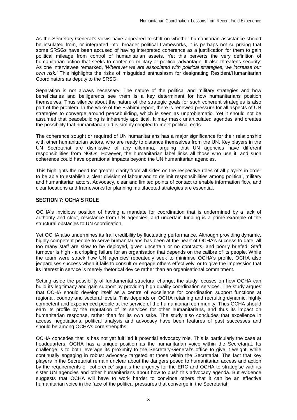As the Secretary-General's views have appeared to shift on whether humanitarian assistance should be insulated from, or integrated into, broader political frameworks, it is perhaps not surprising that some SRSGs have been accused of having interpreted coherence as a justification for them to gain political mileage from control of humanitarian assets. Yet this perverts the very definition of humanitarian action that seeks to confer no military or political advantage. It also threatens security: As one interviewee remarked, *'Wherever we are associated with political strategies, we increase our own risk.'* This highlights the risks of misguided enthusiasm for designating Resident/Humanitarian Coordinators as deputy to the SRSG.

Separation is not always necessary. The nature of the political and military strategies and how beneficiaries and belligerents see them is a key determinant for how humanitarians position themselves. Thus silence about the nature of the strategic goals for such coherent strategies is also part of the problem. In the wake of the Brahimi report, there is renewed pressure for all aspects of UN strategies to converge around peacebuilding, which is seen as unproblematic. Yet it should not be assumed that peacebuilding is inherently apolitical. It may mask unarticulated agendas and creates the possibility that humanitarian aid is simply coopted to meet political ends.

The coherence sought or required of UN humanitarians has a major significance for their relationship with other humanitarian actors, who are ready to distance themselves from the UN. Key players in the UN Secretariat are dismissive of any dilemma, arguing that UN agencies have different responsibilities from NGOs. However, the humanitarian label links all those who use it, and such coherence could have operational impacts beyond the UN humanitarian agencies.

This highlights the need for greater clarity from all sides on the respective roles of all players in order to be able to establish a clear division of labour and to delimit responsibilities among political, military and humanitarian actors. Advocacy, clear and limited points of contact to enable information flow, and clear locations and frameworks for planning multifaceted strategies are essential.

## **SECTION 7: OCHA'S ROLE**

OCHA's invidious position of having a mandate for coordination that is undermined by a lack of authority and clout, resistance from UN agencies, and uncertain funding is a prime example of the structural obstacles to UN coordination.

Yet OCHA also undermines its frail credibility by fluctuating performance. Although providing dynamic, highly competent people to serve humanitarians has been at the heart of OCHA's success to date, all too many staff are slow to be deployed, given uncertain or no contracts, and poorly briefed. Staff turnover is high - a crippling failure for an organisation that depends on the calibre of its people. While the team were struck how UN agencies repeatedly seek to minimise OCHA's profile, OCHA also jeopardises success when it fails to consult or engage others effectively, or to give the impression that its interest in service is merely rhetorical device rather than an organisational commitment.

Setting aside the possibility of fundamental structural change, the study focuses on how OCHA can build its legitimacy and gain support by providing high quality coordination services. The study argues that OCHA should develop itself as a centre of excellence for coordination support functions at regional, country and sectoral levels. This depends on OCHA retaining and recruiting dynamic, highly competent and experienced people at the service of the humanitarian community. Thus OCHA should earn its profile by the reputation of its services for other humanitarians, and thus its impact on humanitarian response, rather than for its own sake. The study also concludes that excellence in access negotiations, political analysis and advocacy have been features of past successes and should be among OCHA's core strengths.

OCHA concedes that is has not yet fulfilled it potential advocacy role. This is particularly the case at headquarters. OCHA has a unique position as the humanitarian voice within the Secretariat. Its challenge is to both leverage its proximity to the Secretary-General's office to give it weight, while continually engaging in robust advocacy targeted at those within the Secretariat. The fact that key players in the Secretariat remain unclear about the dangers posed to humanitarian access and action by the requirements of 'coherence' signals the urgency for the ERC and OCHA to strategise with its sister UN agencies and other humanitarians about how to push this advocacy agenda. But evidence suggests that OCHA will have to work harder to convince others that it can be an effective humanitarian voice in the face of the political pressures that converge in the Secretariat.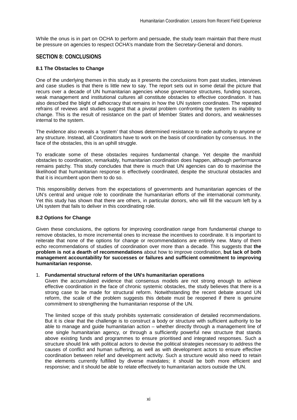While the onus is in part on OCHA to perform and persuade, the study team maintain that there must be pressure on agencies to respect OCHA's mandate from the Secretary-General and donors.

## **SECTION 8: CONCLUSIONS**

## **8.1 The Obstacles to Change**

One of the underlying themes in this study as it presents the conclusions from past studies, interviews and case studies is that there is little new to say. The report sets out in some detail the picture that recurs over a decade of UN humanitarian agencies whose governance structures, funding sources, weak management and institutional cultures all constitute obstacles to effective coordination. It has also described the blight of adhocracy that remains in how the UN system coordinates. The repeated refrains of reviews and studies suggest that a pivotal problem confronting the system its inability to change. This is the result of resistance on the part of Member States and donors, and weaknesses internal to the system.

The evidence also reveals a 'system' that shows determined resistance to cede authority to anyone or any structure. Instead, all Coordinators have to work on the basis of coordination by consensus. In the face of the obstacles, this is an uphill struggle.

To eradicate some of these obstacles requires fundamental change. Yet despite the manifold obstacles to coordination, remarkably, humanitarian coordination does happen, although performance remains patchy. This study concludes that there is much that UN agencies can do to maximise the likelihood that humanitarian response is effectively coordinated, despite the structural obstacles and that it is incumbent upon them to do so.

This responsibility derives from the expectations of governments and humanitarian agencies of the UN's central and unique role to coordinate the humanitarian efforts of the international community. Yet this study has shown that there are others, in particular donors, who will fill the vacuum left by a UN system that fails to deliver in this coordinating role.

## **8.2 Options for Change**

Given these conclusions, the options for improving coordination range from fundamental change to remove obstacles, to more incremental ones to increase the incentives to coordinate. It is important to reiterate that none of the options for change or recommendations are entirely new. Many of them echo recommendations of studies of coordination over more than a decade. This suggests that the **problem is not a dearth of recommendations** about how to improve coordination, **but lack of both management accountability for successes or failures and sufficient commitment to improving humanitarian response.** 

## 1. **Fundamental structural reform of the UN's humanitarian operations**

Given the accumulated evidence that consensus models are not strong enough to achieve effective coordination in the face of chronic systemic obstacles, the study believes that there is a strong case to be made for structural reform. Notwithstanding the recent debate around UN reform, the scale of the problem suggests this debate must be reopened if there is genuine commitment to strengthening the humanitarian response of the UN.

The limited scope of this study prohibits systematic consideration of detailed recommendations. But it is clear that the challenge is to construct a body or structure with sufficient authority to be able to manage and guide humanitarian action – whether directly through a management line of one single humanitarian agency, or through a sufficiently powerful new structure that stands above existing funds and programmes to ensure prioritised and integrated responses. Such a structure should link with political actors to devise the political strategies necessary to address the causes of conflict and human suffering, as well as with development actors to ensure effective coordination between relief and development activity. Such a structure would also need to retain the elements currently fulfilled by diverse mandates; it should be both more efficient and responsive; and it should be able to relate effectively to humanitarian actors outside the UN.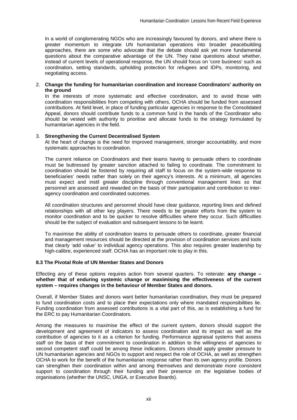In a world of conglomerating NGOs who are increasingly favoured by donors, and where there is greater momentum to integrate UN humanitarian operations into broader peacebuilding approaches, there are some who advocate that the debate should ask yet more fundamental questions about the comparative advantage of the UN. They raise questions about whether, instead of current levels of operational response, the UN should focus on 'core business' such as coordination, setting standards, upholding protection for refugees and IDPs, monitoring, and negotiating access.

## 2. **Change the funding for humanitarian coordination and increase Coordinators' authority on the ground**

In the interests of more systematic and effective coordination, and to avoid those with coordination responsibilities from competing with others, OCHA should be funded from assessed contributions. At field level, in place of funding particular agencies in response to the Consolidated Appeal, donors should contribute funds to a common fund in the hands of the Coordinator who should be vested with authority to prioritise and allocate funds to the strategy formulated by humanitarian agencies in the field.

## 3. **Strengthening the Current Decentralised System**

At the heart of change is the need for improved management, stronger accountability, and more systematic approaches to coordination.

The current reliance on Coordinators and their teams having to persuade others to coordinate must be buttressed by greater sanction attached to failing to coordinate. The commitment to coordination should be fostered by requiring all staff to focus on the system-wide response to beneficiaries' needs rather than solely on their agency's interests. At a minimum, all agencies must expect and instil greater discipline through conventional management lines so that personnel are assessed and rewarded on the basis of their participation and contribution to interagency coordination and coordinated outcomes.

All coordination structures and personnel should have clear guidance, reporting lines and defined relationships with all other key players. There needs to be greater efforts from the system to monitor coordination and to be quicker to resolve difficulties where they occur. Such difficulties should be the subject of evaluation and subsequent lessons to be learnt.

To maximise the ability of coordination teams to persuade others to coordinate, greater financial and management resources should be directed at the provision of coordination services and tools that clearly 'add value' to individual agency operations. This also requires greater leadership by high-calibre, experienced staff. OCHA has an important role to play in this.

## **8.3 The Pivotal Role of UN Member States and Donors**

Effecting any of these options requires action from several quarters. To reiterate: **any change – whether that of enduring systemic change or maximising the effectiveness of the current system – requires changes in the behaviour of Member States and donors.**

Overall, if Member States and donors want better humanitarian coordination, they must be prepared to fund coordination costs and to place their expectations only where mandated responsibilities lie. Funding coordination from assessed contributions is a vital part of this, as is establishing a fund for the ERC to pay Humanitarian Coordinators.

Among the measures to maximise the effect of the current system, donors should support the development and agreement of indicators to assess coordination and its impact as well as the contribution of agencies to it as a criterion for funding. Performance appraisal systems that assess staff on the basis of their commitment to coordination in addition to the willingness of agencies to second competent staff could be among these indicators. Donors should apply greater pressure to UN humanitarian agencies and NGOs to support and respect the role of OCHA, as well as strengthen OCHA to work for the benefit of the humanitarian response rather than its own agency profile. Donors can strengthen their coordination within and among themselves and demonstrate more consistent support to coordination through their funding and their presence on the legislative bodies of organisations (whether the UNSC, UNGA, or Executive Boards).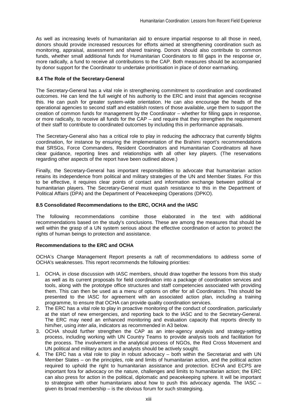As well as increasing levels of humanitarian aid to ensure impartial response to all those in need, donors should provide increased resources for efforts aimed at strengthening coordination such as monitoring, appraisal, assessment and shared training. Donors should also contribute to common funds, whether small additional funds for Humanitarian Coordinators to fill gaps in the response or, more radically, a fund to receive all contributions to the CAP. Both measures should be accompanied by donor support for the Coordinator to undertake prioritisation in place of donor earmarking.

## **8.4 The Role of the Secretary-General**

The Secretary-General has a vital role in strengthening commitment to coordination and coordinated outcomes. He can lend the full weight of his authority to the ERC and insist that agencies recognise this. He can push for greater system-wide orientation. He can also encourage the heads of the operational agencies to second staff and establish rosters of those available, urge them to support the creation of common funds for management by the Coordinator – whether for filling gaps in response, or more radically, to receive all funds for the CAP – and require that they strengthen the requirement of their staff to contribute to coordinated outcomes by including this in performance appraisals.

The Secretary-General also has a critical role to play in reducing the adhocracy that currently blights coordination, for instance by ensuring the implementation of the Brahimi report's recommendations that SRSGs, Force Commanders, Resident Coordinators and Humanitarian Coordinators all have clear guidance, reporting lines and relationships with all other key players. (The reservations regarding other aspects of the report have been outlined above.)

Finally, the Secretary-General has important responsibilities to advocate that humanitarian action retains its independence from political and military strategies of the UN and Member States. For this to be effective, it requires clear points of contact and information exchange between political or humanitarian players. The Secretary-General must quash resistance to this in the Department of Political Affairs (DPA) and the Department of Peacekeeping Operations (DPKO).

## **8.5 Consolidated Recommendations to the ERC, OCHA and the IASC**

The following recommendations combine those elaborated in the text with additional recommendations based on the study's conclusions. These are among the measures that should be well within the grasp of a UN system serious about the effective coordination of action to protect the rights of human beings to protection and assistance.

## **Recommendations to the ERC and OCHA**

OCHA's Change Management Report presents a raft of recommendations to address some of OCHA's weaknesses. This report recommends the following priorities:

- 1. OCHA, in close discussion with IASC members, should draw together the lessons from this study as well as its current proposals for field coordination into a package of coordination services and tools, along with the prototype office structures and staff competencies associated with providing them. This can then be used as a menu of options on offer for all Coordinators. This should be presented to the IASC for agreement with an associated action plan, including a training programme, to ensure that OCHA can provide quality coordination services.
- 2. The ERC has a vital role to play in proactive monitoring of the conduct of coordination, particularly at the start of new emergencies, and reporting back to the IASC and to the Secretary-General. The ERC may need an enhanced monitoring and evaluation capacity that reports directly to him/her, using *inter alia*, indicators as recommended in A3 below.
- 3. OCHA should further strengthen the CAP as an inter-agency analysis and strategy-setting process, including working with UN Country Teams to provide analysis tools and facilitation for the process. The involvement in the analytical process of NGOs, the Red Cross Movement and UN political and military actors and analysts should be actively sought.
- 4. The ERC has a vital role to play in robust advocacy both within the Secretariat and with UN Member States – on the principles, role and limits of humanitarian action, and the political action required to uphold the right to humanitarian assistance and protection. ECHA and ECPS are important fora for advocacy on the nature, challenges and limits to humanitarian action; the ERC can also press for action in the political, diplomatic and peacekeeping sphere. It will be important to strategise with other humanitarians about how to push this advocacy agenda. The IASC – given its broad membership – is the obvious forum for such strategising.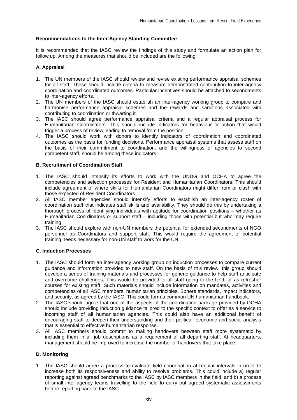## **Recommendations to the Inter-Agency Standing Committee**

It is recommended that the IASC review the findings of this study and formulate an action plan for follow up. Among the measures that should be included are the following:

## **A. Appraisal**

- 1. The UN members of the IASC should review and revise existing performance appraisal schemes for all staff. These should include criteria to measure demonstrated contribution to inter-agency coordination and coordinated outcomes. Particular incentives should be attached to secondments to inter-agency efforts.
- 2. The UN members of the IASC should establish an inter-agency working group to compare and harmonise performance appraisal schemes and the rewards and sanctions associated with contributing to coordination or thwarting it.
- 3. The IASC should agree performance appraisal criteria and a regular appraisal process for Humanitarian Coordinators. This should include indicators for behaviour or action that would trigger a process of review leading to removal from the position.
- 4. The IASC should work with donors to identify indicators of coordination and coordinated outcomes as the basis for funding decisions. Performance appraisal systems that assess staff on the basis of their commitment to coordination, and the willingness of agencies to second competent staff, should be among these indicators.

## **B. Recruitment of Coordination Staff**

- 1. The IASC should intensify its efforts to work with the UNDG and OCHA to agree the competencies and selection processes for Resident and Humanitarian Coordinators. This should include agreement of where skills for Humanitarian Coordinators might differ from or clash with those expected of Resident Coordinators.
- 2. All IASC member agencies should intensify efforts to establish an inter-agency roster of coordination staff that indicates staff skills and availability. They should do this by undertaking a thorough process of identifying individuals with aptitude for coordination positions – whether as Humanitarian Coordinators or support staff – including those with potential but who may require training.
- 3. The IASC should explore with non-UN members the potential for extended secondments of NGO personnel as Coordinators and support staff. This would require the agreement of potential training needs necessary for non-UN staff to work for the UN.

## **C. Induction Processes**

- 1. The IASC should form an inter-agency working group on induction processes to compare current guidance and information provided to new staff. On the basis of this review, this group should develop a series of training materials and processes for generic guidance to help staff anticipate and overcome challenges. This would be provided to all staff going to the field, or as refresher courses for existing staff. Such materials should include information on mandates, activities and competencies of all IASC members, humanitarian principles, Sphere standards, impact indicators, and security, as agreed by the IASC. This could form a common UN humanitarian handbook.
- 2. The IASC should agree that one of the aspects of the coordination package provided by OCHA should include providing induction guidance tailored to the specific context to offer as a service to incoming staff of all humanitarian agencies. This could also have an additional benefit of encouraging staff to deepen their understanding and their political, economic and social analysis that is essential to effective humanitarian response.
- 3. All IASC members should commit to making handovers between staff more systematic by including them in all job descriptions as a requirement of all departing staff. At headquarters, management should be improved to increase the number of handovers that take place.

## **D. Monitoring**

1. The IASC should agree a process to evaluate field coordination at regular intervals in order to increase both its responsiveness and ability to resolve problems. This could include a) regular reporting against agreed benchmarks to the IASC by IASC members in the field, and b) a process of small inter-agency teams travelling to the field to carry out agreed systematic assessments before reporting back to the IASC.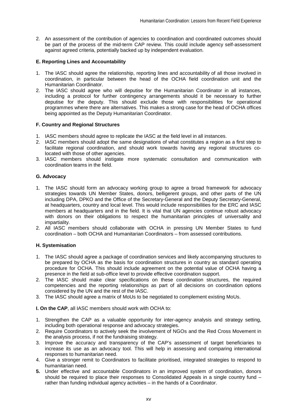2. An assessment of the contribution of agencies to coordination and coordinated outcomes should be part of the process of the mid-term CAP review. This could include agency self-assessment against agreed criteria, potentially backed up by independent evaluation.

## **E. Reporting Lines and Accountability**

- 1. The IASC should agree the relationship, reporting lines and accountability of all those involved in coordination, in particular between the head of the OCHA field coordination unit and the Humanitarian Coordinator.
- 2. The IASC should agree who will deputise for the Humanitarian Coordinator in all instances, including a protocol for further contingency arrangements should it be necessary to further deputise for the deputy. This should exclude those with responsibilities for operational programmes where there are alternatives. This makes a strong case for the head of OCHA offices being appointed as the Deputy Humanitarian Coordinator.

## **F. Country and Regional Structures**

- 1. IASC members should agree to replicate the IASC at the field level in all instances.
- 2. IASC members should adopt the same designations of what constitutes a region as a first step to facilitate regional coordination, and should work towards having any regional structures colocated with those of other agencies.
- 3. IASC members should instigate more systematic consultation and communication with coordination teams in the field.

## **G. Advocacy**

- 1. The IASC should form an advocacy working group to agree a broad framework for advocacy strategies towards UN Member States, donors, belligerent groups, and other parts of the UN including DPA, DPKO and the Office of the Secretary-General and the Deputy Secretary-General, at headquarters, country and local level. This would include responsibilities for the ERC and IASC members at headquarters and in the field. It is vital that UN agencies continue robust advocacy with donors on their obligations to respect the humanitarian principles of universality and impartiality.
- 2. All IASC members should collaborate with OCHA in pressing UN Member States to fund coordination – both OCHA and Humanitarian Coordinators – from assessed contributions.

## **H. Systemisation**

- 1. The IASC should agree a package of coordination services and likely accompanying structures to be prepared by OCHA as the basis for coordination structures in country as standard operating procedure for OCHA. This should include agreement on the potential value of OCHA having a presence in the field at sub-office level to provide effective coordination support.
- 2. The IASC should make clear specifications on these coordination structures, the required competencies and the reporting relationships as part of all decisions on coordination options considered by the UN and the rest of the IASC.
- 3. The IASC should agree a matrix of MoUs to be negotiated to complement existing MoUs.

**I. On the CAP**, all IASC members should work with OCHA to:

- 1. Strengthen the CAP as a valuable opportunity for inter-agency analysis and strategy setting, including both operational response and advocacy strategies.
- 2. Require Coordinators to actively seek the involvement of NGOs and the Red Cross Movement in the analysis process, if not the fundraising strategy.
- 3. Improve the accuracy and transparency of the CAP's assessment of target beneficiaries to increase its use as an advocacy tool. This will help in assessing and comparing international responses to humanitarian need.
- 4. Give a stronger remit to Coordinators to facilitate prioritised, integrated strategies to respond to humanitarian need.
- **5.** Under effective and accountable Coordinators in an improved system of coordination, donors should be required to place their responses to Consolidated Appeals in a single country fund – rather than funding individual agency activities – in the hands of a Coordinator.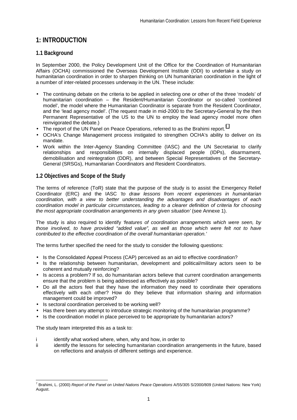## **1: INTRODUCTION**

## **1.1 Background**

In September 2000, the Policy Development Unit of the Office for the Coordination of Humanitarian Affairs (OCHA) commissioned the Overseas Development Institute (ODI) to undertake a study on humanitarian coordination in order to sharpen thinking on UN humanitarian coordination in the light of a number of inter-related processes underway in the UN. These include:

- The continuing debate on the criteria to be applied in selecting one or other of the three 'models' of humanitarian coordination – the Resident/Humanitarian Coordinator or so-called 'combined model', the model where the Humanitarian Coordinator is separate from the Resident Coordinator, and the 'lead agency model'. (The request made in mid-2000 to the Secretary-General by the then Permanent Representative of the US to the UN to employ the lead agency model more often reinvigorated the debate.)
- The report of the UN Panel on Peace Operations, referred to as the Brahimi report.<sup>7</sup>
- OCHA's Change Management process instigated to strengthen OCHA's ability to deliver on its mandate.
- Work within the Inter-Agency Standing Committee (IASC) and the UN Secretariat to clarify relationships and responsibilities on internally displaced people (IDPs), disarmament, demobilisation and reintegration (DDR), and between Special Representatives of the Secretary-General (SRSGs), Humanitarian Coordinators and Resident Coordinators.

## **1.2 Objectives and Scope of the Study**

The terms of reference (ToR) state that the purpose of the study is to assist the Emergency Relief Coordinator (ERC) and the IASC *'to draw lessons from recent experiences in humanitarian coordination, with a view to better understanding the advantages and disadvantages of each coordination model in particular circumstances, leading to a clearer definition of criteria for choosing the most appropriate coordination arrangements in any given situation'* (see Annexe 1).

The study is also required to identify *'features of coordination arrangements which were seen, by those involved, to have provided "added value", as well as those which were felt not to have contributed to the effective coordination of the overall humanitarian operation.'*

The terms further specified the need for the study to consider the following questions:

- Is the Consolidated Appeal Process (CAP) perceived as an aid to effective coordination?
- Is the relationship between humanitarian, development and political/military actors seen to be coherent and mutually reinforcing?
- Is access a problem? If so, do humanitarian actors believe that current coordination arrangements ensure that the problem is being addressed as effectively as possible?
- Do all the actors feel that they have the information they need to coordinate their operations effectively with each other? How do they believe that information sharing and information management could be improved?
- Is sectoral coordination perceived to be working well?
- Has there been any attempt to introduce strategic monitoring of the humanitarian programme?
- Is the coordination model in place perceived to be appropriate by humanitarian actors?

The study team interpreted this as a task to:

- i identify what worked where, when, why and how, in order to
- ii identify the lessons for selecting humanitarian coordination arrangements in the future, based on reflections and analysis of different settings and experience.

 7 Brahimi, L. (2000) *Report of the Panel on United Nations Peace Operations* A/55/305 S/2000/809 (United Nations: New York) August.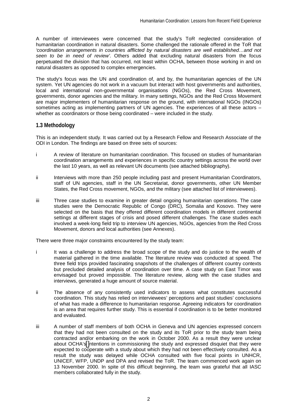A number of interviewees were concerned that the study's ToR neglected consideration of humanitarian coordination in natural disasters. Some challenged the rationale offered in the ToR that *'coordination arrangements in countries afflicted by natural disasters are well established…and not seen to be in need of review'*. Others added that excluding natural disasters from the focus perpetuated the division that has occurred, not least within OCHA, between those working in and on natural disasters as opposed to complex emergencies.

The study's focus was the UN and coordination of, and by, the humanitarian agencies of the UN system. Yet UN agencies do not work in a vacuum but interact with host governments and authorities, local and international non-governmental organisations (NGOs), the Red Cross Movement, governments, donor agencies and the military. In many settings, NGOs and the Red Cross Movement are major implementers of humanitarian response on the ground, with international NGOs (INGOs) sometimes acting as implementing partners of UN agencies. The experiences of all these actors – whether as coordinators or those being coordinated – were included in the study.

## **1.3 Methodology**

This is an independent study. It was carried out by a Research Fellow and Research Associate of the ODI in London. The findings are based on three sets of sources:

- i A review of literature on humanitarian coordination. This focused on studies of humanitarian coordination arrangements and experiences in specific country settings across the world over the last 10 years, as well as relevant UN documents (see attached bibliography).
- ii Interviews with more than 250 people including past and present Humanitarian Coordinators, staff of UN agencies, staff in the UN Secretariat, donor governments, other UN Member States, the Red Cross movement, NGOs, and the military (see attached list of interviewees).
- iii Three case studies to examine in greater detail ongoing humanitarian operations. The case studies were the Democratic Republic of Congo (DRC), Somalia and Kosovo. They were selected on the basis that they offered different coordination models in different continental settings at different stages of crisis and posed different challenges. The case studies each involved a week-long field trip to interview UN agencies, NGOs, agencies from the Red Cross Movement, donors and local authorities (see Annexes).

There were three major constraints encountered by the study team:

- i It was a challenge to address the broad scope of the study and do justice to the wealth of material gathered in the time available. The literature review was conducted at speed. The three field trips provided fascinating snapshots of the challenges of different country contexts but precluded detailed analysis of coordination over time. A case study on East Timor was envisaged but proved impossible. The literature review, along with the case studies and interviews, generated a huge amount of source material.
- ii The absence of any consistently used indicators to assess what constitutes successful coordination. This study has relied on interviewees' perceptions and past studies' conclusions of what has made a difference to humanitarian response. Agreeing indicators for coordination is an area that requires further study. This is essential if coordination is to be better monitored and evaluated.
- iii A number of staff members of both OCHA in Geneva and UN agencies expressed concern that they had not been consulted on the study and its ToR prior to the study team being contracted and/or embarking on the work in October 2000. As a result they were unclear about OCHA's [i](mailto:OCHA@s)ntentions in commissioning the study and expressed disquiet that they were expected to cooperate with a study about which they had not been effectively consulted. As a result the study was delayed while OCHA consulted with five focal points in UNHCR, UNICEF, WFP, UNDP and DPA and revised the ToR. The team commenced work again on 13 November 2000. In spite of this difficult beginning, the team was grateful that all IASC members collaborated fully in the study.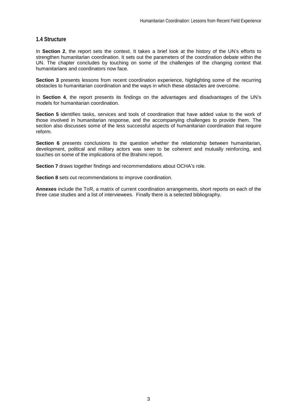## **1.4 Structure**

In **Section 2**, the report sets the context. It takes a brief look at the history of the UN's efforts to strengthen humanitarian coordination. It sets out the parameters of the coordination debate within the UN. The chapter concludes by touching on some of the challenges of the changing context that humanitarians and coordinators now face.

**Section 3** presents lessons from recent coordination experience, highlighting some of the recurring obstacles to humanitarian coordination and the ways in which these obstacles are overcome.

In **Section 4**, the report presents its findings on the advantages and disadvantages of the UN's models for humanitarian coordination.

**Section 5** identifies tasks, services and tools of coordination that have added value to the work of those involved in humanitarian response, and the accompanying challenges to provide them. The section also discusses some of the less successful aspects of humanitarian coordination that require reform.

**Section 6** presents conclusions to the question whether the relationship between humanitarian, development, political and military actors was seen to be coherent and mutually reinforcing, and touches on some of the implications of the Brahimi report.

**Section 7** draws together findings and recommendations about OCHA's role.

**Section 8** sets out recommendations to improve coordination.

**Annexes** include the ToR, a matrix of current coordination arrangements, short reports on each of the three case studies and a list of interviewees. Finally there is a selected bibliography.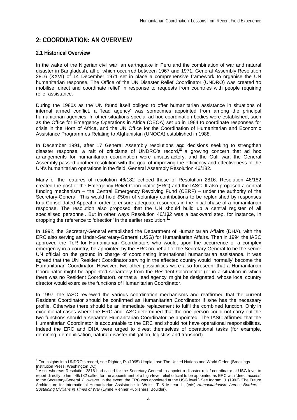## **2: COORDINATION: AN OVERVIEW**

## **2.1 Historical Overview**

In the wake of the Nigerian civil war, an earthquake in Peru and the combination of war and natural disaster in Bangladesh, all of which occurred between 1967 and 1971, General Assembly Resolution 2816 (XXVI) of 14 December 1971 set in place a comprehensive framework to organise the UN humanitarian response. The Office of the UN Disaster Relief Coordinator (UNDRO) was created 'to mobilise, direct and coordinate relief' in response to requests from countries with people requiring relief assistance.

During the 1980s as the UN found itself obliged to offer humanitarian assistance in situations of internal armed conflict, a 'lead agency' was sometimes appointed from among the principal humanitarian agencies. In other situations special ad hoc coordination bodies were established, such as the Office for Emergency Operations in Africa (OEOA) set up in 1984 to coordinate responses for crisis in the Horn of Africa, and the UN Office for the Coordination of Humanitarian and Economic Assistance Programmes Relating to Afghanistan (UNOCA) established in 1988.

In December 1991, after 17 General Assembly resolutions and decisions seeking to strengthen disaster response, a raft of criticisms of UNDRO's record, a growing concern that ad hoc arrangements for humanitarian coordination were unsatisfactory, and the Gulf war, the General Assembly passed another resolution with the goal of improving the efficiency and effectiveness of the UN's humanitarian operations in the field, General Assembly Resolution 46/182.

Many of the features of resolution 46/182 echoed those of Resolution 2816. Resolution 46/182 created the post of the Emergency Relief Coordinator (ERC) and the IASC. It also proposed a central funding mechanism – the Central Emergency Revolving Fund (CERF) – under the authority of the Secretary-General. This would hold \$50m of voluntary contributions to be replenished by responses to a Consolidated Appeal in order to ensure adequate resources in the initial phase of a humanitarian response. The resolution also proposed that the UN should build up a central register of all specialised personnel. But in other ways Resolution 46/182 was a backward step, for instance, in dropping the reference to 'direction' in the earlier resolution.<sup>9</sup>

In 1992, the Secretary-General established the Department of Humanitarian Affairs (DHA), with the ERC also serving as Under-Secretary-General (USG) for Humanitarian Affairs. Then in 1994 the IASC approved the ToR for Humanitarian Coordinators who would, upon the occurrence of a complex emergency in a country, be appointed by the ERC on behalf of the Secretary-General to be the senior UN official on the ground in charge of coordinating international humanitarian assistance. It was agreed that the UN Resident Coordinator serving in the affected country would 'normally' become the Humanitarian Coordinator. However, two other possibilities were also foreseen: that a Humanitarian Coordinator might be appointed separately from the Resident Coordinator (or in a situation in which there was no Resident Coordinator), or that a 'lead agency' might be designated, whose local country director would exercise the functions of Humanitarian Coordinator.

In 1997, the IASC reviewed the various coordination mechanisms and reaffirmed that the current Resident Coordinator should be confirmed as Humanitarian Coordinator if s/he has the necessary profile. Otherwise there should be an immediate replacement to fulfil the combined function. Only in exceptional cases where the ERC and IASC determined that the one person could not carry out the two functions should a separate Humanitarian Coordinator be appointed. The IASC affirmed that the Humanitarian Coordinator is accountable to the ERC and should not have operational responsibilities. Indeed the ERC and DHA were urged to divest themselves of operational tasks (for example, demining, demobilisation, natural disaster mitigation, logistics and transport).

 $\overline{\phantom{a}}$ <sup>8</sup> For insights into UNDRO's record, see Righter, R. (1995) Utopia Lost: The United Nations and World Order. (Brookings Institution Press: Washington DC).

<sup>9</sup> Also, whereas Resolution 2816 had called for the Secretary-General to appoint a disaster relief coordinator at USG level to report directly to him, 46/182 called for the appointment of a high-level relief official to be appointed as ERC with 'direct access' to the Secretary-General. (However, in the event, the ERC was appointed at the USG level.) See Ingram, J. (1993) 'The Future Architecture for International Humanitarian Assistance' in Weiss, T. & Minear, L. (eds) *Humanitarianism Across Borders – Sustaining Civilians in Times of War* (Lynne Rienner Publishers: Boulder).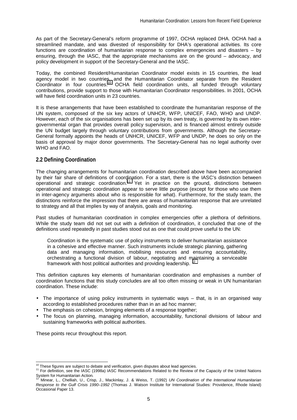As part of the Secretary-General's reform programme of 1997, OCHA replaced DHA. OCHA had a streamlined mandate, and was divested of responsibility for DHA's operational activities. Its core functions are coordination of humanitarian response to complex emergencies and disasters – by ensuring, through the IASC, that the appropriate mechanisms are on the ground – advocacy, and policy development in support of the Secretary-General and the IASC.

Today, the combined Resident/Humanitarian Coordinator model exists in 15 countries, the lead agency model in two countries, and the Humanitarian Coordinator separate from the Resident Coordinator in four countries.<sup>10</sup> OCHA field coordination units, all funded through voluntary contributions, provide support to those with Humanitarian Coordinator responsibilities. In 2001, OCHA will have field coordination units in 23 countries.

It is these arrangements that have been established to coordinate the humanitarian response of the UN system, composed of the six key actors of UNHCR, WFP, UNICEF, FAO, WHO and UNDP. However, each of the six organisations has been set up by its own treaty, is governed by its own intergovernmental organ that provides overall policy supervision, and is financed almost entirely outside the UN budget largely through voluntary contributions from governments. Although the Secretary-General formally appoints the heads of UNHCR, UNICEF, WFP and UNDP, he does so only on the basis of approval by major donor governments. The Secretary-General has no legal authority over WHO and FAO.

## **2.2 Defining Coordination**

The changing arrangements for humanitarian coordination described above have been accompanied by their fair share of definitions of coordination. For a start, there is the IASC's distinction between operational and strategic coordination.11 Yet in practice on the ground, distinctions between operational and strategic coordination appear to serve little purpose (except for those who use them in inter-agency arguments about who is responsible for what). Furthermore, for the study team, the distinctions reinforce the impression that there are areas of humanitarian response that are unrelated to strategy and all that implies by way of analysis, goals and monitoring.

Past studies of humanitarian coordination in complex emergencies offer a plethora of definitions. While the study team did not set out with a definition of coordination, it concluded that one of the definitions used repeatedly in past studies stood out as one that could prove useful to the UN:

Coordination is the systematic use of policy instruments to deliver humanitarian assistance in a cohesive and effective manner. Such instruments include strategic planning, gathering data and managing information, mobilising resources and ensuring accountability, orchestrating a functional division of labour, negotiating and maintaining a serviceable framework with host political authorities and providing leadership.<sup>12</sup>

This definition captures key elements of humanitarian coordination and emphasises a number of coordination functions that this study concludes are all too often missing or weak in UN humanitarian coordination. These include:

- The importance of using policy instruments in systematic ways that, is in an organised way according to established procedures rather than in an ad hoc manner;
- The emphasis on cohesion, bringing elements of a response together;
- The focus on planning, managing information, accountability, functional divisions of labour and sustaining frameworks with political authorities.

These points recur throughout this report.

<sup>&</sup>lt;sup>10</sup> These figures are subject to debate and verification, given disputes about lead agencies.

<sup>11</sup> For definition, see the IASC (1998a) IASC Recommendations Related to the Review of the Capacity of the United Nations<br>System for Humanitarian Action.<br>12 Minoral Disputes and Capacity of the United Nations Related to the

System for Humanitarian Action*.* 12 Minear, L., Chelliah, U., Crisp, J., Mackinlay, J. & Weiss, T. (1992) *UN Coordination of the International Humanitarian Response to the Gulf Crisis 1990–1992* (Thomas J. Watson Institute for International Studies: Providence, Rhode Island) Occasional Paper 13.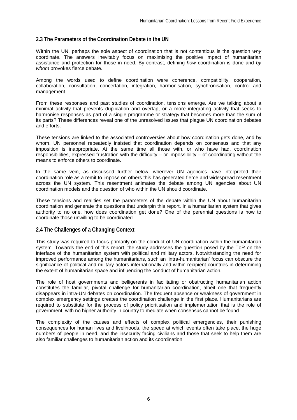## **2.3 The Parameters of the Coordination Debate in the UN**

Within the UN, perhaps the sole aspect of coordination that is not contentious is the question *why* coordinate. The answers inevitably focus on maximising the positive impact of humanitarian assistance and protection for those in need. By contrast, defining *how* coordination is done and *by whom* provokes fierce debate.

Among the words used to define coordination were coherence, compatibility, cooperation, collaboration, consultation, concertation, integration, harmonisation, synchronisation, control and management.

From these responses and past studies of coordination, tensions emerge. Are we talking about a minimal activity that prevents duplication and overlap, or a more integrating activity that seeks to harmonise responses as part of a single programme or strategy that becomes more than the sum of its parts? These differences reveal one of the unresolved issues that plague UN coordination debates and efforts.

These tensions are linked to the associated controversies about how coordination gets done, and by whom. UN personnel repeatedly insisted that coordination depends on consensus and that any imposition is inappropriate. At the same time all those with, or who have had, coordination responsibilities, expressed frustration with the difficulty – or impossibility – of coordinating without the means to enforce others to coordinate.

In the same vein, as discussed further below, wherever UN agencies have interpreted their coordination role as a remit to impose on others this has generated fierce and widespread resentment across the UN system. This resentment animates the debate among UN agencies about UN coordination models and the question of who within the UN should coordinate.

These tensions and realities set the parameters of the debate within the UN about humanitarian coordination and generate the questions that underpin this report. In a humanitarian system that gives authority to no one, how does coordination get done? One of the perennial questions is how to coordinate those unwilling to be coordinated.

## **2.4 The Challenges of a Changing Context**

This study was required to focus primarily on the conduct of UN coordination within the humanitarian system. Towards the end of this report, the study addresses the question posed by the ToR on the interface of the humanitarian system with political and military actors. Notwithstanding the need for improved performance among the humanitarians, such an 'intra-humanitarian' focus can obscure the significance of political and military actors internationally and within recipient countries in determining the extent of humanitarian space and influencing the conduct of humanitarian action.

The role of host governments and belligerents in facilitating or obstructing humanitarian action constitutes the familiar, pivotal challenge for humanitarian coordination, albeit one that frequently disappears in intra-UN debates on coordination. The frequent absence or weakness of government in complex emergency settings creates the coordination challenge in the first place. Humanitarians are required to substitute for the process of policy prioritisation and implementation that is the role of government, with no higher authority in country to mediate when consensus cannot be found.

The complexity of the causes and effects of complex political emergencies, their punishing consequences for human lives and livelihoods, the speed at which events often take place, the huge numbers of people in need, and the insecurity facing civilians and those that seek to help them are also familiar challenges to humanitarian action and its coordination.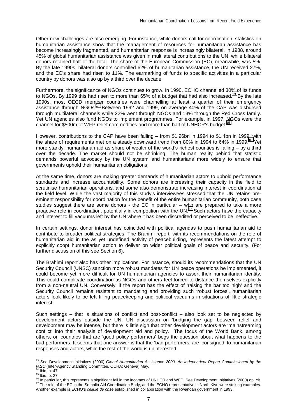Other new challenges are also emerging. For instance, while donors call for coordination, statistics on humanitarian assistance show that the management of resources for humanitarian assistance has become increasingly fragmented, and humanitarian response is increasingly bilateral. In 1988, around 45% of global humanitarian assistance was given in multilateral contributions to the UN, while bilateral donors retained half of the total. The share of the European Commission (EC), meanwhile, was 5%. By the late 1990s, bilateral donors controlled 62% of humanitarian assistance, the UN received 27%, and the EC's share had risen to 11%. The earmarking of funds to specific activities in a particular country by donors was also up by a third over the decade.

Furthermore, the significance of NGOs continues to grow. In 1990, ECHO channelled 30% of its funds to NGOs. By 1999 this had risen to more than 65% of a budget that had also increased.<sup>13</sup> By the late 1990s, most OECD member countries were channelling at least a quarter of their emergency assistance through NGOs.<sup>14</sup> Between 1992 and 1999, on average 40% of the CAP was disbursed through multilateral channels while 22% went through NGOs and 13% through the Red Cross family. Yet UN agencies also fund NGOs to implement programmes. For example, in 1997, NGOs were the channel for \$500m of WFP relief commodities and more than half of UNHCR's budget.<sup>15</sup>

However, contributions to the CAP have been falling – from \$1.96bn in 1994 to \$1.4bn in 1999, with the share of requirements met on a steady downward trend from 80% in 1994 to 64% in 1999.<sup>16</sup> Yet more starkly, humanitarian aid as share of wealth of the world's richest counties is falling – by a third over the decade. The market should not be shrinking. The human reality behind that statistic demands powerful advocacy by the UN system and humanitarians more widely to ensure that governments uphold their humanitarian obligations.

At the same time, donors are making greater demands of humanitarian actors to uphold performance standards and increase accountability. Some donors are increasing their capacity in the field to scrutinise humanitarian operations, and some also demonstrate increasing interest in coordination at the field level. While the vast majority of this study's interviewees stressed that the UN retains preeminent responsibility for coordination for the benefit of the entire humanitarian community, both case studies suggest there are some donors - the EC in particular – who are prepared to take a more proactive role in coordination, potentially in competition with the UN.<sup>17</sup> Such actors have the capacity and interest to fill vacuums left by the UN where it has been discredited or perceived to be ineffective.

In certain settings, donor interest has coincided with political agendas to push humanitarian aid to contribute to broader political strategies. The Brahimi report, with its recommendations on the role of humanitarian aid in the as yet undefined activity of peacebuilding, represents the latest attempt to explicitly coopt humanitarian action to deliver on wider political goals of peace and security. (For further discussion of this see Section 6).

The Brahimi report also has other implications. For instance, should its recommendations that the UN Security Council (UNSC) sanction more robust mandates for UN peace operations be implemented, it could become yet more difficult for UN humanitarian agencies to assert their humanitarian identity. This could complicate coordination as NGOs and others feel forced to distance themselves explicitly from a non-neutral UN. Conversely, if the report has the effect of 'raising the bar too high' and the Security Council remains resistant to mandating and providing such 'robust forces', humanitarian actors look likely to be left filling peacekeeping and political vacuums in situations of little strategic interest.

Such settings – that is situations of conflict and post-conflict – also look set to be neglected by development actors outside the UN. UN discussion on 'bridging the gap' between relief and development may be intense, but there is little sign that other development actors are 'mainstreaming conflict' into their analysis of development aid and policy. The focus of the World Bank, among others, on countries that are 'good policy performers' begs the question about what happens to the bad performers. It seems that one answer is that the 'bad performers' are 'consigned' to humanitarian responses and actors, while the rest of the world is uninterested.

 $\overline{\phantom{a}}$ 

<sup>13</sup> See Development Initiatives (2000) *Global Humanitarian Assistance 2000. An Independent Report Commissioned by the* 

TASC (Inter-Agency Standing Committee, OCHA: Geneva) May.<br><sup>14</sup> Ibid, p. 47.<br><sup>15</sup> Ibid, p. 27.<br><sup>16</sup> In particular, this represents a significant fall in the incomes of UNHCR and WFP. See Development Initiatives (2000) op. c Another example is ECHO's *cellule de crise* established in collaboration with the Rwandan government in 1993.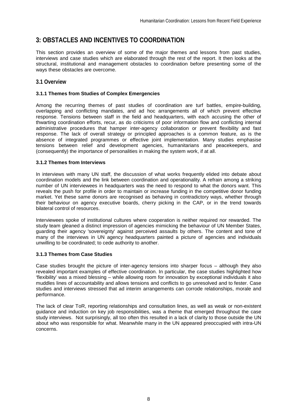## **3: OBSTACLES AND INCENTIVES TO COORDINATION**

This section provides an overview of some of the major themes and lessons from past studies, interviews and case studies which are elaborated through the rest of the report. It then looks at the structural, institutional and management obstacles to coordination before presenting some of the ways these obstacles are overcome.

## **3.1 Overview**

## **3.1.1 Themes from Studies of Complex Emergencies**

Among the recurring themes of past studies of coordination are turf battles, empire-building, overlapping and conflicting mandates, and ad hoc arrangements all of which prevent effective response. Tensions between staff in the field and headquarters, with each accusing the other of thwarting coordination efforts, recur, as do criticisms of poor information flow and conflicting internal administrative procedures that hamper inter-agency collaboration or prevent flexibility and fast response. The lack of overall strategy or principled approaches is a common feature, as is the absence of integrated programmes or effective joint implementation. Many studies emphasise tensions between relief and development agencies, humanitarians and peacekeepers, and (consequently) the importance of personalities in making the system work, if at all.

## **3.1.2 Themes from Interviews**

In interviews with many UN staff, the discussion of what works frequently elided into debate about coordination models and the link between coordination and operationality. A refrain among a striking number of UN interviewees in headquarters was the need to respond to what the donors want. This reveals the push for profile in order to maintain or increase funding in the competitive donor funding market. Yet these same donors are recognised as behaving in contradictory ways, whether through their behaviour on agency executive boards, cherry picking in the CAP, or in the trend towards bilateral control of resources.

Interviewees spoke of institutional cultures where cooperation is neither required nor rewarded. The study team gleaned a distinct impression of agencies mimicking the behaviour of UN Member States, guarding their agency 'sovereignty' against perceived assaults by others. The content and tone of many of the interviews in UN agency headquarters painted a picture of agencies and individuals unwilling to be coordinated; to cede authority to another.

## **3.1.3 Themes from Case Studies**

Case studies brought the picture of inter-agency tensions into sharper focus – although they also revealed important examples of effective coordination. In particular, the case studies highlighted how 'flexibility' was a mixed blessing – while allowing room for innovation by exceptional individuals it also muddles lines of accountability and allows tensions and conflicts to go unresolved and to fester. Case studies and interviews stressed that ad interim arrangements can corrode relationships, morale and performance.

The lack of clear ToR, reporting relationships and consultation lines, as well as weak or non-existent guidance and induction on key job responsibilities, was a theme that emerged throughout the case study interviews. Not surprisingly, all too often this resulted in a lack of clarity to those outside the UN about who was responsible for what. Meanwhile many in the UN appeared preoccupied with intra-UN concerns.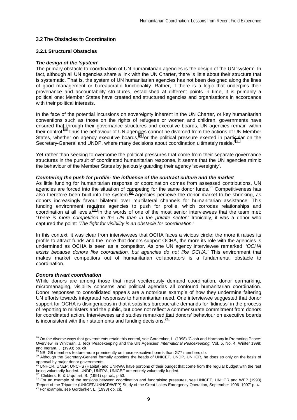## **3.2 The Obstacles to Coordination**

## **3.2.1 Structural Obstacles**

## *The design of the 'system'*

The primary obstacle to coordination of UN humanitarian agencies is the design of the UN 'system'. In fact, although all UN agencies share a link with the UN Charter, there is little about their structure that is systematic. That is, the system of UN humanitarian agencies has not been designed along the lines of good management or bureaucratic functionality. Rather, if there is a logic that underpins their provenance and accountability structures, established at different points in time, it is primarily a political one: Member States have created and structured agencies and organisations in accordance with their political interests.

In the face of the potential incursions on sovereignty inherent in the UN Charter, or key humanitarian conventions such as those on the rights of refugees or women and children, governments have ensured that through their governance structures and executive boards, UN agencies remain within their control.18 Thus the behaviour of UN agencies cannot be divorced from the actions of UN Member States, whether on agency executive boards,<sup>19</sup> or the political pressure exerted in particular on the Secretary-General and UNDP, where many decisions about coordination ultimately reside.<sup>2</sup>

Yet rather than seeking to overcome the political pressures that come from their separate governance structures in the pursuit of coordinated humanitarian response, it seems that the UN agencies mimic the behaviour of the Member States by jealously guarding their agency 'sovereignty'.

## *Countering the push for profile: the influence of the contract culture and the market*

As little funding for humanitarian response or coordination comes from assessed contributions, UN agencies are forced into the situation of competing for the same donor funds.<sup>21</sup> Competitiveness has also therefore been built into the system.<sup>22</sup> Agencies perceive the donor market to be shrinking, as donors increasingly favour bilateral over multilateral channels for humanitarian assistance. This funding environment requires agencies to push for profile, which corrodes relationships and coordination at all levels.<sup>23</sup> In the words of one of the most senior interviewees that the team met: *'There is more competition in the UN than in the private sector.'* Ironically, it was a donor who captured the point: *'The fight for visibility is an obstacle for coordination.'* 

In this context, it was clear from interviewees that OCHA faces a vicious circle: the more it raises its profile to attract funds and the more that donors support OCHA, the more its role with the agencies is undermined as OCHA is seen as a competitor. As one UN agency interviewee remarked: *'OCHA exists because donors like coordination, but agencies do not like OCHA.'* This environment that makes market competitors out of humanitarian collaborators is a fundamental obstacle to coordination.

## *Donors thwart coordination*

While donors are among those that most vociferously demand coordination, donor earmarking, micromanaging, visibility concerns and political agendas all confound humanitarian coordination. Donor responses to consolidated appeals are a notorious example of how they undermine faltering UN efforts towards integrated responses to humanitarian need. One interviewee suggested that donor support for OCHA is disingenuous in that it satisfies bureaucratic demands for 'tidiness' in the process of reporting to ministers and the public, but does not reflect a commensurate commitment from donors for coordinated action. Interviewees and studies remarked that donors' behaviour on executive boards is inconsistent with their statements and funding decisions. $24$ 

 $\overline{a}$ <sup>18</sup> On the diverse ways that governments retain this control, see Gordenker, L. (1998) 'Clash and Harmony in Promoting Peace: Overview' in Whitman, J. (ed) 'Peacekeeping and the UN Agencies' *International Peacekeeping,* Vol. 5, No. 4, Winter 1998; and Ingram, J. (1993) op. cit.

<sup>&</sup>lt;sup>19</sup> NB: G8 members feature more prominently on these executive boards than G77 members do.<br><sup>20</sup> Although the Secretary-General formally appoints the heads of UNICEF, UNDP, UNHCR, he does so only on the basis of approval by major donor governments.<br><sup>21</sup> UNHCR, UNEP, UNCHS (Habitat) and UNRWA have portions of their budget that come from the regular budget with the rest

being voluntarily funded. UNDP, UNFPA, UNICEF are entirely voluntarily funded.<br><sup>22</sup> Childers, E. & Urguhart, B. (1991) op. cit., p.53.

<sup>23</sup> For an example of the tensions between coordination and fundraising pressures, see UNICEF, UNHCR and WFP (1998) 'Report of the Tripartite (UNICEF/UNHCR/WFP) Study of the Great Lakes Emergency Operation, September 1996–1997' p. 4.

 $24$  For example, see Gordenker, L. (1998) op. cit.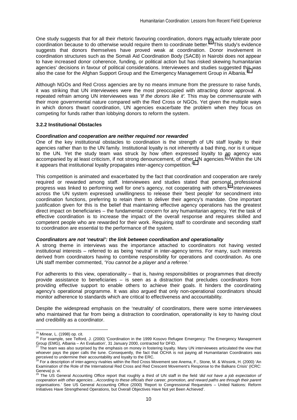One study suggests that for all their rhetoric favouring coordination, donors may actually tolerate poor coordination because to do otherwise would require them to coordinate better.<sup>25</sup> This study's evidence suggests that donors themselves have proved weak at coordination. Donor involvement in coordination structures such as the Somali Aid Coordination Body (SACB) in Nairobi does not appear to have increased donor coherence, funding, or political action but has risked skewing humanitarian agencies' decisions in favour of political considerations. Interviewees and studies suggested this was also the case for the Afghan Support Group and the Emergency Management Group in Albania.<sup>26</sup>

Although NGOs and Red Cross agencies are by no means immune from the pressure to raise funds, it was striking that UN interviewees were the most preoccupied with attracting donor approval. A repeated refrain among UN interviewees was *'If the donors like it'.* This may be commensurate with their more governmental nature compared with the Red Cross or NGOs. Yet given the multiple ways in which donors thwart coordination, UN agencies exacerbate the problem when they focus on competing for funds rather than lobbying donors to reform the system.

## **3.2.2 Institutional Obstacles**

## *Coordination and cooperation are neither required nor rewarded*

One of the key institutional obstacles to coordination is the strength of UN staff loyalty to their agencies rather than to the UN family. Institutional loyalty is not inherently a bad thing, nor is it unique to the UN. Yet the study team was struck by how often expressed loyalty to an agency was accompanied by at least criticism, if not strong denouncement, of other UN agencies.<sup>27</sup> Within the UN it appears that institutional loyalty propagates inter-agency competition.<sup>28</sup>

This competition is animated and exacerbated by the fact that coordination and cooperation are rarely required or rewarded among staff. Interviewees and studies stated that personal professional progress was linked to performing well for one's agency, not cooperating with others.<sup>29</sup> Interviewees across the UN system expressed unwillingness to release their 'best people' for secondment into coordination functions, preferring to retain them to deliver their agency's mandate. One important justification given for this is the belief that maintaining effective agency operations has the greatest direct impact on beneficiaries – the fundamental concern for any humanitarian agency. Yet the task of effective coordination is to increase the impact of the overall response and requires skilled and competent people who are rewarded for their work. Requiring staff to coordinate and seconding staff to coordination are essential to the performance of the system.

## *Coordinators are not 'neutral': the link between coordination and operationality*

A strong theme in interviews was the importance attached to coordinators not having vested institutional interests – referred to as being 'neutral' in inter-agency terms. For many, such interests derived from coordinators having to combine responsibility for operations and coordination. As one UN staff member commented, *'You cannot be a player and a referee.'* 

For adherents to this view, operationality – that is, having responsibilities or programmes that directly provide assistance to beneficiaries – is seen as a distraction that precludes coordinators from providing effective support to enable others to achieve their goals. It hinders the coordinating agency's operational programme. It was also argued that only non-operational coordinators should monitor adherence to standards which are critical to effectiveness and accountability.

Despite the widespread emphasis on the 'neutrality' of coordinators, there were some interviewees who maintained that far from being a distraction to coordination, operationality is key to having clout and credibility as a coordinator.

 $\overline{\phantom{a}}$ 

<sup>&</sup>lt;sup>25</sup> Minear, L. (1998) op. cit.<br><sup>26</sup> For example, see Telford, J. (2000) 'Coordination in the 1999 Kosovo Refugee Emergency: The Emergency Management Group (EMG), Albania – An Evaluation', 31 January 2000, contracted for DFID. 27 The team was also surprised by the emphasis on money in the 1999 reduced for DFID.<br><sup>27</sup> The team was also surprised by the emphasis on money in fostering loyalty. Many UN interviewees articulated the view that

whoever pays the piper calls the tune. Consequently, the fact that OCHA is not paying all Humanitarian Coordinators was perceived to undermine their accountability and loyalty to the ERC.

<sup>28</sup> For a description of inter-agency rivalries within the Red Cross Movement see Anema, F., Stone, M. & Wissink, H. (2000) 'An Examination of the Role of the International Red Cross and Red Crescent Movement's Response to the Balkans Crisis' (ICRC: Geneva) p. vi.

<sup>29</sup> The US General Accounting Office report that roughly a third of UN staff in the field *'did not have a job expectation of cooperation with other agencies…According to these officials their career, promotion, and reward paths are through their parent organisations.'* See US General Accounting Office (2000) 'Report to Congressional Requesters – United Nations: Reform Initiatives Have Strengthened Operations, but Overall Objectives Have Not yet Been Achieved'.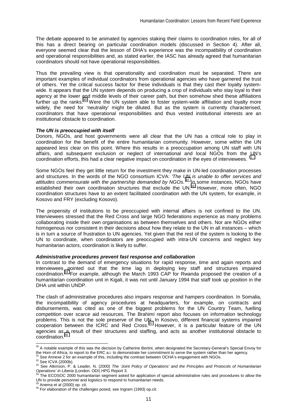The debate appeared to be animated by agencies staking their claims to coordination roles, for all of this has a direct bearing on particular coordination models (discussed in Section 4). After all, everyone seemed clear that the lesson of DHA's experience was the incompatibility of coordination and operational responsibilities and, as stated earlier, the IASC has already agreed that humanitarian coordinators should not have operational responsibilities.

Thus the prevailing view is that operationality and coordination must be separated. There are important examples of individual coordinators from operational agencies who have garnered the trust of others. Yet the critical success factor for these individuals is that they cast their loyalty systemwide. It appears that the UN system depends on producing a crop of individuals who stay loyal to their agency at the lower and middle levels of their career path, but then somehow shed these affiliations further up the ranks.<sup>30</sup> Were the UN system able to foster system-wide affiliation and loyalty more widely, the need for 'neutrality' might be diluted. But as the system is currently characterised, coordinators that have operational responsibilities and thus vested institutional interests are an institutional obstacle to coordination.

## *The UN is preoccupied with itself*

Donors, NGOs, and host governments were all clear that the UN has a critical role to play in coordination for the benefit of the entire humanitarian community. However, some within the UN appeared less clear on this point. Where this results in a preoccupation among UN staff with UN affairs, and subsequent exclusion or neglect of international and local NGOs from the UN's coordination efforts, this had a clear negative impact on coordination in the eyes of interviewees. <sup>31</sup>

Some NGOs feel they get little return for the investment they make in UN-led coordination processes and structures. In the words of the NGO consortium ICVA: *'The UN is unable to offer services and attitudes commensurate with the partnership demanded by NGOs.'*32 In some instances, NGOs have established their own coordination structures that exclude the UN.<sup>33</sup> However, more often, NGO coordination structures have to an extent facilitated coordination with the UN system, for example, in Kosovo and FRY (excluding Kosovo).

The propensity of institutions to be preoccupied with internal affairs is not confined to the UN. Interviewees stressed that the Red Cross and large NGO federations experience as many problems collaborating inside their own organisations as between themselves and others. Nor are NGOs either homogenous nor consistent in their decisions about how they relate to the UN in all instances – which is in turn a source of frustration to UN agencies. Yet given that the rest of the system is looking to the UN to coordinate, when coordinators are preoccupied with intra-UN concerns and neglect key humanitarian actors, coordination is likely to suffer.

#### *Administrative procedures prevent fast response and collaboration*

In contrast to the demand of emergency situations for rapid response, time and again reports and interviewees pointed out that the time lag in deploying key staff and structures impaired coordination.<sup>34</sup> For example, although the March 1993 CAP for Rwanda proposed the creation of a humanitarian coordination unit in Kigali, it was not until January 1994 that staff took up position in the DHA unit within UNDP.

The clash of administrative procedures also impairs response and hampers coordination. In Somalia, the incompatibility of agency procedures at headquarters, for example, on contracts and disbursements, was cited as one of the biggest problems for the UN Country Team, fuelling competition over scarce aid resources. The Brahimi report also focuses on information technology problems. This is not the sole preserve of the UN. In Kosovo, different financial systems impaired cooperation between the ICRC and Red Cross.<sup>35</sup> However, it is a particular feature of the UN agencies as a result of their structures and staffing, and acts as another institutional obstacle to coordination.

 $\overline{a}$ 

 $30$  A notable example of this was the decision by Catherine Bertini, when designated the Secretary-General's Special Envoy for the Horn of Africa, to report to the ERC a.i. to demonstrate her commitment to serve the system rather than her agency.<br><sup>31</sup> See Annexe 2 for an example of this, including the contrast between OCHA's engagement with NGOs.

<sup>32</sup> See ICVA (2000b).<br>33 See Atkinson, P. & Leader, N. (2000) The 'Joint Policy of Operations' and the Principles and Protocols of Humanitarian<br>Operations' in Liberia (London: ODI) HPG Report 3.

The ECOSOC 2000 humanitarian segment asked for application of special administrative rules and procedures to allow the UN to provide personnel and logistics to respond to humanitarian needs.<br><sup>35</sup> Anema et al (2000) op. cit.

<sup>&</sup>lt;sup>36</sup> For elaboration of the challenges posed, see Ingram (1993) op.cit.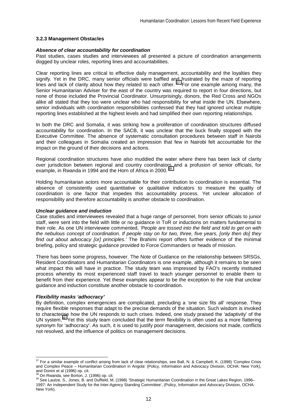#### **3.2.3 Management Obstacles**

#### *Absence of clear accountability for coordination*

Past studies, cases studies and interviewees all presented a picture of coordination arrangements dogged by unclear roles, reporting lines and accountabilities.

Clear reporting lines are critical to effective daily management, accountability and the loyalties they signify. Yet in the DRC, many senior officials were baffled and frustrated by the maze of reporting lines and lack of clarity about how they related to each other.<sup>37</sup> For one example among many, the Senior Humanitarian Adviser for the east of the country was required to report in four directions, but none of those included the Provincial Coordinator. Unsurprisingly, donors, the Red Cross and NGOs alike all stated that they too were unclear who had responsibility for what inside the UN. Elsewhere, senior individuals with coordination responsibilities confessed that they had ignored unclear multiple reporting lines established at the highest levels and had simplified their own reporting relationships.

In both the DRC and Somalia, it was striking how a proliferation of coordination structures diffused accountability for coordination. In the SACB, it was unclear that the buck finally stopped with the Executive Committee. The absence of systematic consultation procedures between staff in Nairobi and their colleagues in Somalia created an impression that few in Nairobi felt accountable for the impact on the ground of their decisions and actions.

Regional coordination structures have also muddied the water where there has been lack of clarity over jurisdiction between regional and country coordinators and a profusion of senior officials, for example, in Rwanda in 1994 and the Horn of Africa in 2000.<sup>38</sup>

Holding humanitarian actors more accountable for their contribution to coordination is essential. The absence of consistently used quantitative or qualitative indicators to measure the quality of coordination is one factor that impedes this accountability process. Yet unclear allocation of responsibility and therefore accountability is another obstacle to coordination.

#### *Unclear guidance and induction*

Case studies and interviewees revealed that a huge range of personnel, from senior officials to junior staff, were sent into the field with little or no guidance in ToR or inductions on matters fundamental to their role. As one UN interviewee commented, *'People are tossed into the field and told to get on with the nebulous concept of coordination. If people stay on for two, three, five years, [only then do] they find out about advocacy [or] principles.'* The Brahimi report offers further evidence of the minimal briefing, policy and strategic guidance provided to Force Commanders or heads of mission.

There has been some progress, however. The Note of Guidance on the relationship between SRSGs, Resident Coordinators and Humanitarian Coordinators is one example, although it remains to be seen what impact this will have in practice. The study team was impressed by FAO's recently instituted process whereby its most experienced staff travel to teach younger personnel to enable them to benefit from their experience. Yet these examples appear to be the exception to the rule that unclear guidance and induction constitute another obstacle to coordination.

#### *Flexibility masks 'adhocracy'*

By definition, complex emergencies are complicated, precluding a 'one size fits all' response. They require flexible responses that adapt to the precise demands of the situation. Such wisdom is invoked to characterise how the UN responds to such crises. Indeed, one study praised the 'adaptivity' of the UN system.<sup>39</sup> Yet this study team concluded that the term flexibility is often used as a more flattering synonym for 'adhocracy'. As such, it is used to justify poor management, decisions not made, conflicts not resolved, and the influence of politics on management decisions.

 $\overline{\phantom{a}}$ 

 $37$  For a similar example of conflict arising from lack of clear relationships, see Ball, N. & Campbell, K. (1998) 'Complex Crisis and Complex Peace – Humanitarian Coordination in Angola' (Policy, Information and Advocacy Division, OCHA: New York), and Donini et al (1996) op. cit.<br><sup>38</sup> On Rwanda, see Borton, J. (1996) op. cit.

<sup>39</sup> See Lautze, S., Jones, B. and Duffield, M. (1998) 'Strategic Humanitarian Coordination in the Great Lakes Region, 1996– 1997: An Independent Study for the Inter-Agency Standing Committee', (Policy, Information and Advocacy Division, OCHA: New York).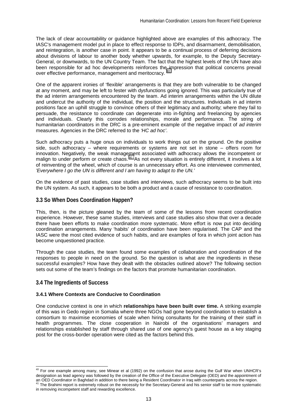The lack of clear accountability or guidance highlighted above are examples of this adhocracy. The IASC's management model put in place to effect response to IDPs, and disarmament, demobilisation, and reintegration, is another case in point. It appears to be a continual process of deferring decisions about divisions of labour to another body whether upwards, for example, to the Deputy Secretary-General, or downwards, to the UN Country Team. The fact that the highest levels of the UN have also been responsible for ad hoc developments reinforces the impression that political concerns prevail over effective performance, management and meritocracy. <sup>40</sup>

One of the apparent ironies of 'flexible' arrangements is that they are both vulnerable to be changed at any moment, and may be left to fester with dysfunctions going ignored. This was particularly true of the ad interim arrangements encountered by the team. Ad interim arrangements within the UN dilute and undercut the authority of the individual, the position and the structures. Individuals in ad interim positions face an uphill struggle to convince others of their legitimacy and authority; where they fail to persuade, the resistance to coordinate can degenerate into in-fighting and freelancing by agencies and individuals. Clearly this corrodes relationships, morale and performance. The string of humanitarian coordinators in the DRC is a pre-eminent example of the negative impact of *ad interim*  measures. Agencies in the DRC referred to the *'HC ad hoc'*.

Such adhocracy puts a huge onus on individuals to work things out on the ground. On the positive side, such adhocracy – where requirements or systems are not set in stone – offers room for innovation. Negatively, the weak management associated with adhocracy allows the incompetent or malign to under perform or create chaos.<sup>41</sup> As not every situation is entirely different, it involves a lot of reinventing of the wheel, which of course is an unnecessary effort. As one interviewee commented, *'Everywhere I go the UN is different and I am having to adapt to the UN.'*

On the evidence of past studies, case studies and interviews, such adhocracy seems to be built into the UN system. As such, it appears to be both a product and a cause of resistance to coordination.

## **3.3 So When Does Coordination Happen?**

This, then, is the picture gleaned by the team of some of the lessons from recent coordination experience. However, these same studies, interviews and case studies also show that over a decade there have been efforts to make coordination more systematic. More effort is now put into deciding coordination arrangements. Many 'habits' of coordination have been regularised. The CAP and the IASC were the most cited evidence of such habits, and are examples of fora in which joint action has become unquestioned practice.

Through the case studies, the team found some examples of collaboration and coordination of the responses to people in need on the ground. So the question is what are the ingredients in these successful examples? How have they dealt with the obstacles outlined above? The following section sets out some of the team's findings on the factors that promote humanitarian coordination.

## **3.4 The Ingredients of Success**

 $\overline{\phantom{a}}$ 

## **3.4.1 Where Contexts are Conducive to Coordination**

One conducive context is one in which **relationships have been built over time.** A striking example of this was in Gedo region in Somalia where three NGOs had gone beyond coordination to establish a consortium to maximise economies of scale when hiring consultants for the training of their staff in health programmes. The close cooperation in Nairobi of the organisations' managers and relationships established by staff through shared use of one agency's guest house as a key staging post for the cross-border operation were cited as the factors behind this.

 $40$  For one example among many, see Minear et al (1992) on the confusion that arose during the Gulf War when UNHCR's designation as lead agency was followed by the creation of the Office of the Executive Delegate (OED) and the appointment of an OED Coordinator in Baghdad in addition to there being a Resident Coordinator in Iraq with counterparts across the region.<br><sup>41</sup> The Brahimi report is extremely robust on the necessity for the Secretary-General and his se in removing incompetent staff and rewarding excellence.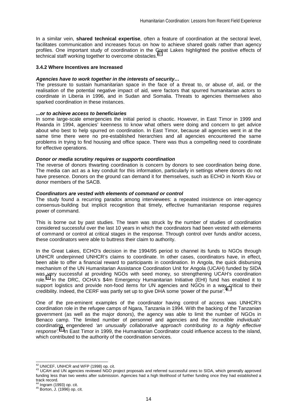In a similar vein, **shared technical expertise**, often a feature of coordination at the sectoral level, facilitates communication and increases focus on how to achieve shared goals rather than agency profiles. One important study of coordination in the Great Lakes highlighted the positive effects of technical staff working together to overcome obstacles.<sup>42</sup>

#### **3.4.2 Where Incentives are Increased**

## *Agencies have to work together in the interests of security…*

The pressure to sustain humanitarian space in the face of a threat to, or abuse of, aid, or the realisation of the potential negative impact of aid, were factors that spurred humanitarian actors to coordinate in Liberia in 1996, and in Sudan and Somalia. Threats to agencies themselves also sparked coordination in these instances.

#### *...or to achieve access to beneficiaries*

In some large-scale emergencies the initial period is chaotic. However, in East Timor in 1999 and Rwanda in 1994, agencies' keenness to know what others were doing and concern to get advice about who best to help spurred on coordination. In East Timor, because all agencies went in at the same time there were no pre-established hierarchies and all agencies encountered the same problems in trying to find housing and office space. There was thus a compelling need to coordinate for effective operations.

#### *Donor or media scrutiny requires or supports coordination*

The reverse of donors thwarting coordination is concern by donors to see coordination being done. The media can act as a key conduit for this information, particularly in settings where donors do not have presence. Donors on the ground can demand it for themselves, such as ECHO in North Kivu or donor members of the SACB.

## *Coordinators are vested with elements of command or control*

The study found a recurring paradox among interviewees: a repeated insistence on inter-agency consensus-building but implicit recognition that timely, effective humanitarian response requires power of command.

This is borne out by past studies. The team was struck by the number of studies of coordination considered successful over the last 10 years in which the coordinators had been vested with elements of command or control at critical stages in the response. Through control over funds and/or access, these coordinators were able to buttress their claim to authority.

In the Great Lakes, ECHO's decision in the 1994/95 period to channel its funds to NGOs through UNHCR underpinned UNHCR's claims to coordinate. In other cases, coordinators have, in effect, been able to offer a financial reward to participants in coordination. In Angola, the quick disbursing mechanism of the UN Humanitarian Assistance Coordination Unit for Angola (UCAH) funded by SIDA was very successful at providing NGOs with seed money, so strengthening UCAH's coordination role.<sup>43</sup> In the DRC, OCHA's \$4m Emergency Humanitarian Initiative (EHI) fund has enabled it to support logistics and provide non-food items for UN agencies and NGOs in a way critical to their credibility. Indeed, the CERF was partly set up to give DHA some 'power of the purse'.

One of the pre-eminent examples of the coordinator having control of access was UNHCR's coordination role in the refugee camps of Ngara, Tanzania in 1994. With the backing of the Tanzanian government (as well as the major donors), the agency was able to limit the number of NGOs in Benaco camp. The limited number of personnel and agencies and the '*incredible individuals*' coordinating engendered *'an unusually collaborative approach contributing to a highly effective response'*. 45 In East Timor in 1999, the Humanitarian Coordinator could influence access to the island, which contributed to the authority of the coordination services.

<sup>&</sup>lt;sup>42</sup> UNICEF, UNHCR and WFP (1998) op. cit.

<sup>43</sup> UCAH and UN agencies reviewed NGO project proposals and referred successful ones to SIDA, which generally approved funding less than two weeks after submission. Agencies had a high likelihood of further funding once they had established a track record.<br><sup>44</sup> Ingram (1993) op. cit.

 $45$  Borton, J. (1996) op. cit.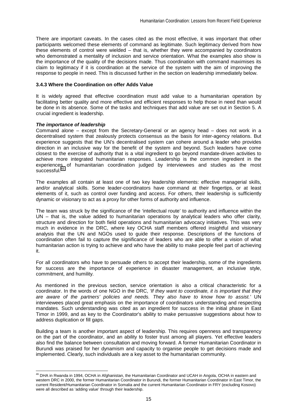There are important caveats. In the cases cited as the most effective, it was important that other participants welcomed these elements of command as legitimate. Such legitimacy derived from how these elements of control were wielded – that is, whether they were accompanied by coordinators who demonstrated a mentality of inclusion and service orientation. What the examples also show is the importance of the quality of the decisions made. Thus coordination with command maximises its claim to legitimacy if it is coordination at the service of the system with the aim of improving the response to people in need. This is discussed further in the section on leadership immediately below.

## **3.4.3 Where the Coordination on offer Adds Value**

It is widely agreed that effective coordination must add value to a humanitarian operation by facilitating better quality and more effective and efficient responses to help those in need than would be done in its absence. Some of the tasks and techniques that add value are set out in Section 5. A crucial ingredient is leadership.

## *The importance of leadership*

l

Command alone – except from the Secretary-General or an agency head – does not work in a decentralised system that zealously protects consensus as the basis for inter-agency relations. But experience suggests that the UN's decentralised system can cohere around a leader who provides direction in an inclusive way for the benefit of the system and beyond. Such leaders have come closest to the exercise of authority that is a vital ingredient to go beyond mandate-driven activities to achieve more integrated humanitarian responses. Leadership is the common ingredient in the experiences of humanitarian coordination judged by interviewees and studies as the most successful.<sup>46</sup>

The examples all contain at least one of two key leadership elements: effective managerial skills, and/or analytical skills. Some leader-coordinators have command at their fingertips, or at least elements of it, such as control over funding and access. For others, their leadership is sufficiently dynamic or visionary to act as a proxy for other forms of authority and influence.

The team was struck by the significance of the 'intellectual route' to authority and influence within the UN – that is, the value added to humanitarian operations by analytical leaders who offer clarity, structure and direction for both field operations and humanitarian advocacy initiatives. This was very much in evidence in the DRC, where key OCHA staff members offered insightful and visionary analysis that the UN and NGOs used to guide their response. Descriptions of the functions of coordination often fail to capture the significance of leaders who are able to offer a vision of what humanitarian action is trying to achieve and who have the ability to make people feel part of achieving it.

For all coordinators who have to persuade others to accept their leadership, some of the ingredients for success are the importance of experience in disaster management, an inclusive style, commitment, and humility.

As mentioned in the previous section, service orientation is also a critical characteristic for a coordinator. In the words of one NGO in the DRC, *'If they want to coordinate, it is important that they are aware of the partners' policies and needs. They also have to know how to assist.'* UN interviewees placed great emphasis on the importance of coordinators understanding and respecting mandates. Such understanding was cited as an ingredient for success in the initial phase in East Timor in 1999, and as key to the Coordinator's ability to make persuasive suggestions about how to address duplication or fill gaps.

Building a team is another important aspect of leadership. This requires openness and transparency on the part of the coordinator, and an ability to foster trust among all players. Yet effective leaders also find the balance between consultation and moving forward. A former Humanitarian Coordinator in Burundi was praised for her dynamism and capacity to organise people to get decisions made and implemented. Clearly, such individuals are a key asset to the humanitarian community.

<sup>&</sup>lt;sup>46</sup> DHA in Rwanda in 1994, OCHA in Afghanistan, the Humanitarian Coordinator and UCAH in Angola, OCHA in eastern and western DRC in 2000, the former Humanitarian Coordinator in Burundi, the former Humanitarian Coordinator in East Timor, the current Resident/Humanitarian Coordinator in Somalia and the current Humanitarian Coordinator in FRY (excluding Kosovo) were all described as 'adding value' through their leadership.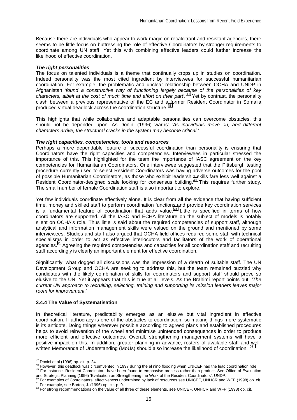Because there are individuals who appear to work magic on recalcitrant and resistant agencies, there seems to be little focus on buttressing the role of effective Coordinators by stronger requirements to coordinate among UN staff. Yet this with combining effective leaders could further increase the likelihood of effective coordination.

## *The right personalities*

The focus on talented individuals is a theme that continually crops up in studies on coordination. Indeed personality was the most cited ingredient by interviewees for successful humanitarian coordination. For example, the problematic and unclear relationship between OCHA and UNDP in Afghanistan *'found a constructive way of functioning largely because of the personalities of key*  characters, albeit at the cost of much time and effort on their part<sup>'. 47</sup> Yet by contrast, the personality clash between a previous representative of the EC and a former Resident Coordinator in Somalia produced virtual deadlock across the coordination structure.<sup>48</sup>

This highlights that while collaborative and adaptable personalities can overcome obstacles, this should not be depended upon. As Donini (1996) warns: *'As individuals move on, and different characters arrive, the structural cracks in the system may become critical.'* 

## *The right capacities, competencies, tools and resources*

Perhaps a more dependable feature of successful coordination than personality is ensuring that Coordinators have the right capacities and competencies. Interviewees in particular stressed the importance of this. This highlighted for the team the importance of IASC agreement on the key competencies for Humanitarian Coordinators. One interviewee suggested that the Pittsburgh testing procedure currently used to select Resident Coordinators was having adverse outcomes for the pool of possible Humanitarian Coordinators, as those who exhibit leadership skills fare less well against a Resident Coordinator-designed scale looking for consensus building.49 This requires further study. The small number of female Coordination staff is also important to explore.

Yet few individuals coordinate effectively alone. It is clear from all the evidence that having sufficient time, money and skilled staff to perform coordination functions and provide key coordination services is a fundamental feature of coordination that adds value.<sup>50</sup> Little is specified in terms of how coordinators are supported. All the IASC and ECHA literature on the subject of models is notably silent on OCHA's role. Thus little is said about the required competencies of support staff, although analytical and information management skills were valued on the ground and mentioned by some interviewees. Studies and staff also argued that OCHA field offices required some staff with technical specialisms in order to act as effective interlocutors and facilitators of the work of operational agencies.51 Agreeing the required competencies and capacities for all coordination staff and recruiting staff accordingly is clearly an important element for effective coordination.

Significantly, what dogged all discussions was the impression of a dearth of suitable staff. The UN Development Group and OCHA are seeking to address this, but the team remained puzzled why candidates with the likely combination of skills for coordinators and support staff should prove so elusive to the UN. Yet it appears that this is true at all levels. As the Brahimi report points out, *'The current UN approach to recruiting, selecting, training and supporting its mission leaders leaves major room for improvement.'* 

## **3.4.4 The Value of Systematisation**

In theoretical literature, predictability emerges as an elusive but vital ingredient in effective coordination. If adhocracy is one of the obstacles to coordination, so making things more systematic is its antidote. Doing things wherever possible according to agreed plans and established procedures helps to avoid reinvention of the wheel and minimise unintended consequences in order to produce more efficient and effective outcomes. Overall, strengthening management systems will have a positive impact on this. In addition, greater planning in advance, rosters of available staff and wellwritten Memoranda of Understanding (MoUs) should also increase the likelihood of coordination. <sup>52</sup>

<sup>&</sup>lt;sup>47</sup> Donini et al (1996) op. cit. p. 24.

<sup>48</sup> However, this deadlock was circumvented in 1997 during the el niño flooding when UNICEF had the lead coordination role.<br>49 For instance, Resident Coordinators have been found to emphasise process rather than product. Se

and Strategic Planning (1996) 'Evaluation on Strengthening the Work of the Resident Coordinators', UNDP.<br><sup>50</sup> For examples of Coordinators' effectiveness undermined by lack of resources see UNICEF, UNHCR and WFP (1998) op.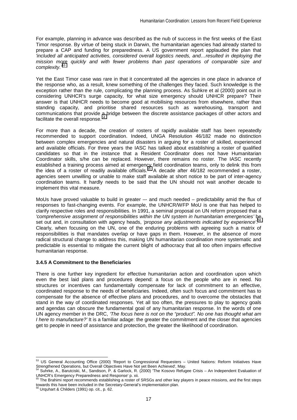For example, planning in advance was described as the nub of success in the first weeks of the East Timor response. By virtue of being stuck in Darwin, the humanitarian agencies had already started to prepare a CAP and funding for preparedness. A US government report applauded the plan that *'included all anticipated activities, considered overall logistics needs, and…resulted in deploying the mission more quickly and with fewer problems than past operations of comparable size and complexity.'*53

Yet the East Timor case was rare in that it concentrated all the agencies in one place in advance of the response who, as a result, knew something of the challenges they faced. Such knowledge is the exception rather than the rule, complicating the planning process. As Suhkre et al (2000) point out in considering UNHCR's surge capacity, for what size emergency should UNHCR prepare? Their answer is that UNHCR needs to become good at mobilising resources from elsewhere, rather than standing capacity, and prioritise shared resources such as warehousing, transport and communications that provide a bridge between the discrete assistance packages of other actors and facilitate the overall response.<sup>5</sup>

For more than a decade, the creation of rosters of rapidly available staff has been repeatedly recommended to support coordination. Indeed, UNGA Resolution 46/182 made no distinction between complex emergencies and natural disasters in arguing for a roster of skilled, experienced and available officials. For three years the IASC has talked about establishing a roster of qualified candidates so that in the instance that a Resident Coordinator does not have Humanitarian Coordinator skills, s/he can be replaced. However, there remains no roster. The IASC recently established a training process aimed at emergency field coordination teams, only to delink this from the idea of a roster of readily available officials.<sup>55</sup> A decade after 46/182 recommended a roster, agencies seem unwilling or unable to make staff available at short notice to be part of inter-agency coordination teams. It hardly needs to be said that the UN should not wait another decade to implement this vital measure.

MoUs have proved valuable to build in greater -- and much needed - predictability amid the flux of responses to fast-changing events. For example, the UNHCR/WFP MoU is one that has helped to clarify respective roles and responsibilities. In 1991, a seminal proposal on UN reform proposed that a *'comprehensive assignment of responsibilities within the UN system in humanitarian emergencies'* be 56 set out and, in consultation with agency heads, *'propose any adjustments indicated by experience'*. Clearly, when focusing on the UN, one of the enduring problems with agreeing such a matrix of responsibilities is that mandates overlap or have gaps in them. However, in the absence of more radical structural change to address this, making UN humanitarian coordination more systematic and predictable is essential to mitigate the current blight of adhocracy that all too often impairs effective humanitarian response.

#### **3.4.5 A Commitment to the Beneficiaries**

There is one further key ingredient for effective humanitarian action and coordination upon which even the best laid plans and procedures depend: a focus on the people who are in need. No structures or incentives can fundamentally compensate for lack of commitment to an effective, coordinated response to the needs of beneficiaries. Indeed, often such focus and commitment has to compensate for the absence of effective plans and procedures, and to overcome the obstacles that stand in the way of coordinated responses. Yet all too often, the pressures to play to agency goals and agendas can obscure the fundamental goal of any humanitarian response. In the words of one UN agency member in the DRC, *'The focus here is not on the "product". No one has thought what am I here to manufacture?'* It is a familiar adage: the greater the commitment and the closer that agencies get to people in need of assistance and protection, the greater the likelihood of coordination.

<sup>&</sup>lt;sup>53</sup> US General Accounting Office (2000) 'Report to Congressional Requesters – United Nations: Reform Initiatives Have Strengthened Operations, but Overall Objectives Have Not yet Been Achieved', May.

<sup>54</sup> Suhrke, A., Barutciski, M., Sandison, P. & Garlock, R. (2000) 'The Kosovo Refugee Crisis – An Independent Evaluation of UNHCR's Emergency Preparedness and Response' p. xii.<br><sup>55</sup> The Brahimi report recommends establishing a roster of SRSGs and other key players in peace missions, and the first steps

towards this have been included in the Secretary-General's implementation plan.

<sup>56</sup> Urquhart & Childers (1991) op. cit., p. 62.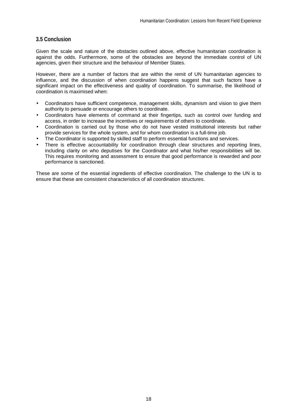# **3.5 Conclusion**

Given the scale and nature of the obstacles outlined above, effective humanitarian coordination is against the odds. Furthermore, some of the obstacles are beyond the immediate control of UN agencies, given their structure and the behaviour of Member States.

However, there are a number of factors that are within the remit of UN humanitarian agencies to influence, and the discussion of when coordination happens suggest that such factors have a significant impact on the effectiveness and quality of coordination. To summarise, the likelihood of coordination is maximised when:

- Coordinators have sufficient competence, management skills, dynamism and vision to give them authority to persuade or encourage others to coordinate.
- Coordinators have elements of command at their fingertips, such as control over funding and access, in order to increase the incentives or requirements of others to coordinate.
- Coordination is carried out by those who do not have vested institutional interests but rather provide services for the whole system, and for whom coordination is a full-time job.
- The Coordinator is supported by skilled staff to perform essential functions and services.
- There is effective accountability for coordination through clear structures and reporting lines, including clarity on who deputises for the Coordinator and what his/her responsibilities will be. This requires monitoring and assessment to ensure that good performance is rewarded and poor performance is sanctioned.

These are some of the essential ingredients of effective coordination. The challenge to the UN is to ensure that these are consistent characteristics of all coordination structures.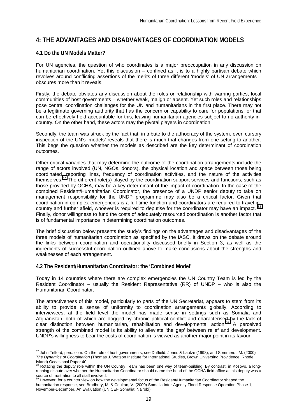# **4: THE ADVANTAGES AND DISADVANTAGES OF COORDINATION MODELS**

# **4.1 Do the UN Models Matter?**

For UN agencies, the question of who coordinates is a major preoccupation in any discussion on humanitarian coordination. Yet this discussion – confined as it is to a highly partisan debate which revolves around conflicting assertions of the merits of three different 'models' of UN arrangements – obscures more than it reveals.

Firstly, the debate obviates any discussion about the roles or relationship with warring parties, local communities of host governments – whether weak, malign or absent. Yet such roles and relationships pose central coordination challenges for the UN and humanitarians in the first place. There may not be a legitimate governing authority that has the concern or capability to care for populations, or that can be effectively held accountable for this, leaving humanitarian agencies subject to no authority incountry. On the other hand, these actors may the pivotal players in coordination.

Secondly, the team was struck by the fact that, in tribute to the adhocracy of the system, even cursory inspection of the UN's 'models' reveals that there is much that changes from one setting to another. This begs the question whether the models as described are the key determinant of coordination outcomes.

Other critical variables that may determine the outcome of the coordination arrangements include the range of actors involved (UN, NGOs, donors), the physical location and space between those being coordinated, reporting lines, frequency of coordination activities, and the nature of the activities themselves.<sup>57</sup> The different role(s) played by the coordination support services and functions, such as those provided by OCHA, may be a key determinant of the impact of coordination. In the case of the combined Resident/Humanitarian Coordinator, the presence of a UNDP senior deputy to take on management responsibility for the UNDP programme may also be a critical factor. Given that coordination in complex emergencies is a full-time function and coordinators are required to travel incountry and further afield, whoever is required to deputise for the coordinator may have an impact. <sup>58</sup> Finally, donor willingness to fund the costs of adequately resourced coordination is another factor that is of fundamental importance in determining coordination outcomes.

The brief discussion below presents the study's findings on the advantages and disadvantages of the three models of humanitarian coordination as specified by the IASC. It draws on the debate around the links between coordination and operationality discussed briefly in Section 3, as well as the ingredients of successful coordination outlined above to make conclusions about the strengths and weaknesses of each arrangement.

## **4.2 The Resident/Humanitarian Coordinator: the 'Combined Model'**

Today in 14 countries where there are complex emergencies the UN Country Team is led by the Resident Coordinator – usually the Resident Representative (RR) of UNDP – who is also the Humanitarian Coordinator.

The attractiveness of this model, particularly to parts of the UN Secretariat, appears to stem from its ability to provide a sense of uniformity to coordination arrangements globally. According to interviewees, at the field level the model has made sense in settings such as Somalia and Afghanistan, both of which are dogged by chronic political conflict and characterised by the lack of clear distinction between humanitarian, rehabilitation and developmental action.<sup>59</sup> A perceived strength of the combined model is its ability to alleviate 'the gap' between relief and development. UNDP's willingness to bear the costs of coordination is viewed as another major point in its favour.

 $\overline{a}$  $^{57}$  John Telford, pers. com. On the role of host governments, see Duffield, Jones & Lautze (1998), and Sommers , M. (2000) *The Dynamics of Coordination* (Thomas J. Watson Institute for International Studies, Brown University: Providence, Rhode  $I_{\text{S}}$   $I_{\text{S}}$   $I_{\text{S}}$  or  $I_{\text{S}}$  of  $I_{\text{S}}$  or  $I_{\text{S}}$  and  $I_{\text{S}}$  and  $I_{\text{S}}$  and  $I_{\text{S}}$  and  $I_{\text{S}}$  and  $I_{\text{S}}$  and  $I_{\text{S}}$  and  $I_{\text{S}}$  and  $I_{\text{S}}$  and  $I_{\text{S}}$  and  $I_{\text{S}}$  and  $I_{\text{S}}$ 

<sup>58</sup> Rotating the deputy role within the UN Country Team has been one way of team-building. By contrast, in Kosovo, a longrunning dispute over whether the Humanitarian Coordinator should name the head of the OCHA field office as his deputy was a source of frustration to all staff involved.<br><sup>59</sup> However, for a counter view on how the developmental focus of the Resident/Humanitarian Coordinator shaped the

humanitarian response, see Bradbury, M. & Coultan, V. (2000) Somalia Inter-Agency Flood Response Operation Phase 1, November-December. An Evaluation (UNICEF Somalia: Nairobi).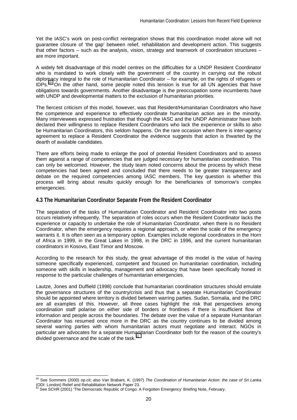Yet the IASC's work on post-conflict reintegration shows that this coordination model alone will not guarantee closure of 'the gap' between relief, rehabilitation and development action. This suggests that other factors – such as the analysis, vision, strategy and teamwork of coordination structures – are more important.

A widely felt disadvantage of this model centres on the difficulties for a UNDP Resident Coordinator who is mandated to work closely with the government of the country in carrying out the robust diplomacy integral to the role of Humanitarian Coordinator – for example, on the rights of refugees or  $IDPs<sup>60</sup>$  On the other hand, some people noted this tension is true for all UN agencies that have obligations towards governments. Another disadvantage is the preoccupation some incumbents have with UNDP and developmental matters to the exclusion of humanitarian priorities.

The fiercest criticism of this model, however, was that Resident/Humanitarian Coordinators who have the competence and experience to effectively coordinate humanitarian action are in the minority. Many interviewees expressed frustration that though the IASC and the UNDP Administrator have both declared their willingness to replace Resident Coordinators who lack the experience or skills to also be Humanitarian Coordinators, this seldom happens. On the rare occasion when there is inter-agency agreement to replace a Resident Coordinator the evidence suggests that action is thwarted by the dearth of available candidates.

There are efforts being made to enlarge the pool of potential Resident Coordinators and to assess them against a range of competencies that are judged necessary for humanitarian coordination. This can only be welcomed. However, the study team noted concerns about the process by which these competencies had been agreed and concluded that there needs to be greater transparency and debate on the required competencies among IASC members. The key question is whether this process will bring about results quickly enough for the beneficiaries of tomorrow's complex emergencies.

## **4.3 The Humanitarian Coordinator Separate From the Resident Coordinator**

The separation of the tasks of Humanitarian Coordinator and Resident Coordinator into two posts occurs relatively infrequently. The separation of roles occurs when the Resident Coordinator lacks the experience or capacity to undertake the role of Humanitarian Coordinator, when there is no Resident Coordinator, when the emergency requires a regional approach, or when the scale of the emergency warrants it. It is often seen as a temporary option. Examples include regional coordinators in the Horn of Africa in 1999, in the Great Lakes in 1998, in the DRC in 1996, and the current humanitarian coordinators in Kosovo, East Timor and Moscow.

According to the research for this study, the great advantage of this model is the value of having someone specifically experienced, competent and focused on humanitarian coordination, including someone with skills in leadership, management and advocacy that have been specifically honed in response to the particular challenges of humanitarian emergencies.

Lautze, Jones and Duffield (1998) conclude that humanitarian coordination structures should emulate the governance structures of the country/crisis and thus that a separate Humanitarian Coordinator should be appointed where territory is divided between warring parties. Sudan, Somalia, and the DRC are all examples of this. However, all three cases highlight the risk that perspectives among coordination staff polarise on either side of borders or frontlines if there is insufficient flow of information and people across the boundaries. The debate over the value of a separate Humanitarian Coordinator has resumed once more in the DRC as the country continues to be divided among several warring parties with whom humanitarian actors must negotiate and interact. NGOs in particular are advocates for a separate Humanitarian Coordinator both for the reason of the country's divided governance and the scale of the task. $61$ 

 $\overline{a}$ 60 See Sommers (2000) op.cit; also Van Brabant, K. (1997) *The Coordination of Humanitarian Action: the case of Sri Lanka* (ODI: London) Relief and Rehabilitation Network Paper 23.

See SCHR (2001) 'The Democratic Republic of Congo: A Forgotten Emergency' Briefing Note, February.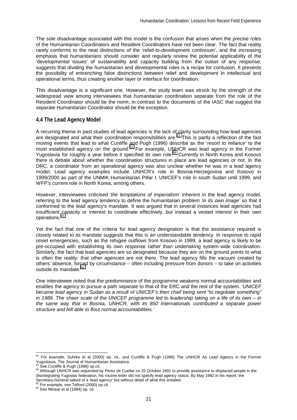The sole disadvantage associated with this model is the confusion that arises when the precise roles of the Humanitarian Coordinators and Resident Coordinators have not been clear. The fact that reality rarely conforms to the neat distinctions of the 'relief-to-development continuum', and the increasing emphasis that humanitarians should consider and regularly review the potential applicability of the 'developmental issues' of sustainability and capacity building from the outset of any response, suggests that dividing the humanitarian and developmental roles is a recipe for confusion. It presents the possibility of entrenching false distinctions between relief and development in intellectual and operational terms, thus creating another layer or interface for coordination.

This disadvantage is a significant one. However, the study team was struck by the strength of the widespread view among interviewees that humanitarian coordination separate from the role of the Resident Coordinator should be the norm, in contrast to the documents of the IASC that suggest the separate Humanitarian Coordinator should be the exception.

# **4.4 The Lead Agency Model**

A recurring theme in past studies of lead agencies is the lack of clarity surrounding how lead agencies are designated and what their coordination responsibilities are.<sup>62</sup> This is partly a reflection of the fast moving events that lead to what Cunliffe and Pugh (1996) describe as the '*resort to reliance*' to the most established agency on the ground.<sup>63</sup> For example, UNHCR was lead agency in the Former Yugoslavia for roughly a year before it specified its own role.<sup>64</sup> Currently in North Korea and Kosovo there is debate about whether the coordination structures in place are lead agencies or not. In the DRC, a coordinator from an operational agency was also unclear whether he was in a lead agency model. Lead agency examples include UNHCR's role in Bosnia-Herzegovina and Kosovo in 1999/2000 as part of the UNMIK Humanitarian Pillar I, UNICEF's role in south Sudan until 1999, and WFP's current role in North Korea, among others.

However, interviewees criticised *'the temptations of imperialism'* inherent in the lead agency model, referring to the lead agency tendency to define the humanitarian problem *'in its own image'* so that it conformed to the lead agency's mandate. It was argued that in several instances lead agencies had insufficient capacity or interest to coordinate effectively, but instead a vested interest in their own operations.<sup>6</sup>

Yet the fact that one of the criteria for lead agency designation is that the assistance required is closely related to its mandate suggests that this is an understandable tendency. In response to rapid onset emergencies, such as the refugee outflows from Kosovo in 1999, a lead agency is likely to be pre-occupied with establishing its own response rather than undertaking system-wide coordination. Similarly, the fact that lead agencies are so designated because they are on the ground points to what is often the reality: that other agencies are not there. The lead agency fills the vacuum created by others' absence, forced by circumstance – often including pressure from donors – to take on activities outside its mandate.<sup>66</sup>

One interviewee noted that the predominance of the programme weakens normal accountabilities and enables the agency to pursue a path separate to that of the ERC and the rest of the system. *'UNICEF became lead agency in Sudan as a result of UNICEF's then chief being sent "to negotiate something" in 1989. The sheer scale of the UNICEF programme led to leadership taking on a life of its own – in the same way that in Bosnia, UNHCR, with its 850 internationals contributed a separate power structure and felt able to flout normal accountabilities.'*

 $^{62}$  For example, Suhrke et al (2000) op. cit., and Cunliffe & Pugh (1996) The UNHCR As Lead Agency in the Former Yugoslavia, The Journal of Humanitarian Assistance.<br><sup>63</sup> See Cunliffe & Pugh (1996) op.cit.

<sup>&</sup>lt;sup>64</sup> Although UNHCR was requested by Perez de Cuellar on 25 October 1991 to provide assistance to displaced people in the disintegrating Yugoslav federation, his routine letter did not specify lead agency status. By May 1992 in his report, the Secretary-General talked of a 'lead agency' but without detail of what this entailed.

 $^{65}$  For example, see Telford (2000) op.cit.  $^{66}$  See Minear et al (1994) op. cit.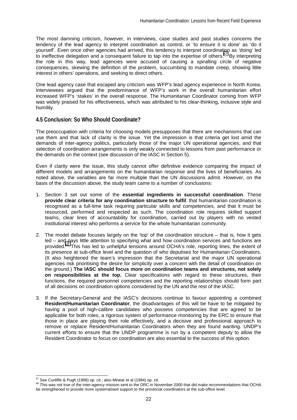The most damning criticism, however, in interviews, case studies and past studies concerns the tendency of the lead agency to interpret coordination as control, or 'to ensure it is done' as 'do it yourself'. Even once other agencies had arrived, this tendency to interpret coordination as 'doing' led to ineffective delegation and a consequent failure to tap into the expertise of others.<sup>67</sup> By interpreting the role in this way, lead agencies were accused of causing a spiralling circle of negative consequences, skewing the definition of the problem, succumbing to mandate creep, showing little interest in others' operations, and seeking to direct others.

One lead agency case that escaped any criticism was WFP's lead agency experience in North Korea. Interviewees argued that the predominance of WFP's work in the overall humanitarian effort increased WFP's 'stakes' in the overall response. The Humanitarian Coordinator coming from WFP was widely praised for his effectiveness, which was attributed to his clear-thinking, inclusive style and humility.

# **4.5 Conclusion: So Who Should Coordinate?**

The preoccupation with criteria for choosing models presupposes that there are mechanisms that can use them and that lack of clarity is the issue. Yet the impression is that criteria get lost amid the demands of inter-agency politics, particularly those of the major UN operational agencies, and that selection of coordination arrangements is only weakly connected to lessons from past performance or the demands on the context (see discussion of the IASC in Section 5).

Even if clarity were the issue, this study cannot offer definitive evidence comparing the impact of different models and arrangements on the humanitarian response and the lives of beneficiaries. As noted above, the variables are far more multiple than the UN discussions admit. However, on the basis of the discussion above, the study team came to a number of conclusions:

- 1. Section 3 set out some of the **essential ingredients in successful coordination**. These **provide clear criteria for any coordination structure to fulfil**: that humanitarian coordination is recognised as a full-time task requiring particular skills and competencies, and that it must be resourced, performed and respected as such. The coordination role requires skilled support teams, clear lines of accountability for coordination, carried out by players with no vested institutional interest who performs a service for the whole humanitarian community.
- 2. The model debate focuses largely on the 'top' of the coordination structure that is, how it gets led – and pays little attention to specifying what and how coordination services and functions are<br>provided.<sup>68</sup> This has led to unhelpful tensions around OCHA's role, reporting lines, the extent of  $8$  This has led to unhelpful tensions around OCHA's role, reporting lines, the extent of its presence at sub-office level and the question of who deputises for Humanitarian Coordinators. (It also heightened the team's impression that the Secretariat and the major UN operational agencies risk prioritising the desire for simplicity over a concern with the detail of coordination on the ground.) **The IASC should focus more on coordination teams and structures, not solely on responsibilities at the top.** Clear specifications with regard to these structures, their functions, the required personnel competencies and the reporting relationships should form part of all decisions on coordination options considered by the UN and the rest of the IASC.
- 3. If the Secretary-General and the IASC's decisions continue to favour appointing a combined **Resident/Humanitarian Coordinator**, the disadvantages of this will be have to be mitigated by having a pool of high-calibre candidates who possess competencies that are agreed to be applicable for both roles, a rigorous system of performance monitoring by the ERC to ensure that those in place are playing their role effectively, and a decisive and professional approach to remove or replace Resident/Humanitarian Coordinators when they are found wanting. UNDP's current efforts to ensure that the UNDP programme is run by a competent deputy to allow the Resident Coordinator to focus on coordination are also essential to the success of this option.

<sup>&</sup>lt;sup>67</sup> See Cunliffe & Pugh (1996) op. cit.; also Minear et al (1994) op. cit.

<sup>&</sup>lt;sup>68</sup> This was not true of the inter-agency mission sent to the DRC in November 2000 that did make recommendations that OCHA be strengthened to provide more systematised support to the provincial coordinators at the sub-office level.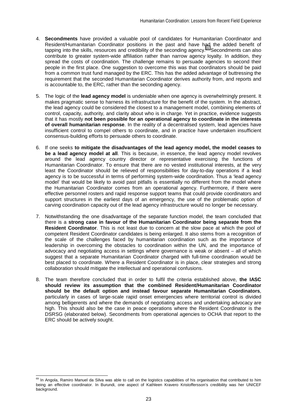- 4. **Secondments** have provided a valuable pool of candidates for Humanitarian Coordinator and Resident/Humanitarian Coordinator positions in the past and have had the added benefit of tapping into the skills, resources and credibility of the seconding agency.<sup>69</sup> Secondments can also contribute to greater system-wide affiliation rather than narrow agency loyalty. In addition, they spread the costs of coordination. The challenge remains to persuade agencies to second their people in the first place. One suggestion to overcome this was that coordinators should be paid from a common trust fund managed by the ERC. This has the added advantage of buttressing the requirement that the seconded Humanitarian Coordinator derives authority from, and reports and is accountable to, the ERC, rather than the seconding agency.
- 5. The logic of the **lead agency model** is undeniable when one agency is overwhelmingly present. It makes pragmatic sense to harness its infrastructure for the benefit of the system. In the abstract, the lead agency could be considered the closest to a management model, combining elements of control, capacity, authority, and clarity about who is in charge. Yet in practice, evidence suggests that it has mostly **not been possible for an operational agency to coordinate in the interests of overall humanitarian response**. In the reality of a decentralised system, lead agencies have insufficient control to compel others to coordinate, and in practice have undertaken insufficient consensus-building efforts to persuade others to coordinate.
- 6. If one seeks **to mitigate the disadvantages of the lead agency model, the model ceases to be a lead agency model at all**. This is because, in essence, the lead agency model revolves around the lead agency country director or representative exercising the functions of Humanitarian Coordinator. To ensure that there are no vested institutional interests, at the very least the Coordinator should be relieved of responsibilities for day-to-day operations if a lead agency is to be successful in terms of performing system-wide coordination. Thus a 'lead agency model' that would be likely to avoid past pitfalls is essentially no different from the model where the Humanitarian Coordinator comes from an operational agency. Furthermore, if there were effective personnel rosters and rapid response support teams that could provide coordinators and support structures in the earliest days of an emergency, the use of the problematic option of carving coordination capacity out of the lead agency infrastructure would no longer be necessary.
- 7. Notwithstanding the one disadvantage of the separate function model, the team concluded that there is a **strong case in favour of the Humanitarian Coordinator being separate from the Resident Coordinator**. This is not least due to concern at the slow pace at which the pool of competent Resident Coordinator candidates is being enlarged. It also stems from a recognition of the scale of the challenges faced by humanitarian coordination such as the importance of leadership in overcoming the obstacles to coordination within the UN, and the importance of advocacy and negotiating access in settings where governance is weak or absent – all of which suggest that a separate Humanitarian Coordinator charged with full-time coordination would be best placed to coordinate. Where a Resident Coordinator is in place, clear strategies and strong collaboration should mitigate the intellectual and operational confusions.
- 8. The team therefore concluded that in order to fulfil the criteria established above, **the IASC should review its assumption that the combined Resident/Humanitarian Coordinator should be the default option and instead favour separate Humanitarian Coordinators**, particularly in cases of large-scale rapid onset emergencies where territorial control is divided among belligerents and where the demands of negotiating access and undertaking advocacy are high. This should also be the case in peace operations where the Resident Coordinator is the DSRSG (elaborated below). Secondments from operational agencies to OCHA that report to the ERC should be actively sought.

<sup>&</sup>lt;sup>69</sup> In Angola, Ramiro Manuel da Silva was able to call on the logistics capabilities of his organisation that contributed to him being an effective coordinator. In Burundi, one aspect of Kathleen Kravero Kristoffersson's credibility was her UNICEF background.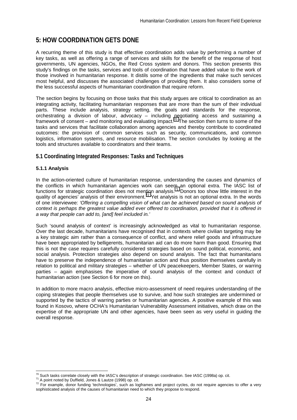# **5: HOW COORDINATION GETS DONE**

A recurring theme of this study is that effective coordination adds value by performing a number of key tasks, as well as offering a range of services and skills for the benefit of the response of host governments, UN agencies, NGOs, the Red Cross system and donors. This section presents this study's findings on the tasks, services and tools of coordination that have added value to the work of those involved in humanitarian response. It distils some of the ingredients that make such services most helpful, and discusses the associated challenges of providing them. It also considers some of the less successful aspects of humanitarian coordination that require reform.

The section begins by focusing on those tasks that this study argues are critical to coordination as an integrating activity, facilitating humanitarian responses that are more than the sum of their individual parts. These include analysis, strategy setting, the goals and standards for the response, orchestrating a division of labour, advocacy – including negotiating access and sustaining a framework of consent – and monitoring and evaluating impact.<sup>70</sup> The section then turns to some of the tasks and services that facilitate collaboration among agencies and thereby contribute to coordinated outcomes: the provision of common services such as security, communications, and common logistics, information systems, and resource mobilisation. The section concludes by looking at the tools and structures available to coordinators and their teams.

# **5.1 Coordinating Integrated Responses: Tasks and Techniques**

## **5.1.1 Analysis**

In the action-oriented culture of humanitarian response, understanding the causes and dynamics of the conflicts in which humanitarian agencies work can seem an optional extra. The IASC list of functions for strategic coordination does not mention analysis.<sup>71</sup> Donors too show little interest in the quality of agencies' analysis of their environment.<sup>72</sup> Yet analysis is not an optional extra. In the words of one interviewee: *'Offering a compelling vision of what can be achieved based on sound analysis of context is perhaps the greatest value added ever offered to coordination, provided that it is offered in a way that people can add to, [and] feel included in.'*

Such 'sound analysis of context' is increasingly acknowledged as vital to humanitarian response. Over the last decade, humanitarians have recognised that in contexts where civilian targeting may be a key strategic aim rather than a consequence of conflict, and where relief goods and infrastructure have been appropriated by belligerents, humanitarian aid can do more harm than good. Ensuring that this is not the case requires carefully considered strategies based on sound political, economic, and social analysis. Protection strategies also depend on sound analysis. The fact that humanitarians have to preserve the independence of humanitarian action and thus position themselves carefully in relation to political and military strategies – whether of UN peacekeepers, Member States, or warring parties – again emphasises the imperative of sound analysis of the context and conduct of humanitarian action (see Section 6 for more on this).

In addition to more macro analysis, effective micro-assessment of need requires understanding of the coping strategies that people themselves use to survive, and how such strategies are undermined or supported by the tactics of warring parties or humanitarian agencies. A positive example of this was found in Kosovo, where OCHA's Humanitarian Vulnerability Assessment initiatives, which draw on the expertise of the appropriate UN and other agencies, have been seen as very useful in guiding the overall response.

<sup>70</sup> Such tasks correlate closely with the IASC's description of strategic coordination. See IASC (1998a) op. cit.

 $14$  A point noted by Duffield, Jones & Lautze (1998) op. cit.<br> $14$  Point noted by Duffield, Jones & Lautze (1998) op. cit.<br> $12$  For example, donor funding 'technologies', such as logframes and project cycles, do not requ sophisticated analysis of the causes of humanitarian need to which they propose to respond.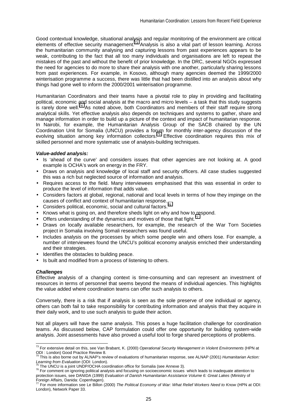Good contextual knowledge, situational analysis and regular monitoring of the environment are critical elements of effective security management.<sup>73</sup> Analysis is also a vital part of lesson learning. Across the humanitarian community analysing and capturing lessons from past experiences appears to be weak, contributing to the fact that all too many individuals and organisations are left to repeat the mistakes of the past and without the benefit of prior knowledge. In the DRC, several NGOs expressed the need for agencies to do more to share their analysis with one another, particularly sharing lessons from past experiences. For example, in Kosovo, although many agencies deemed the 1999/2000 winterisation programme a success, there was little that had been distilled into an analysis about why things had gone well to inform the 2000/2001 winterisation programme.

Humanitarian Coordinators and their teams have a pivotal role to play in providing and facilitating political, economic and social analysis at the macro and micro levels – a task that this study suggests  $\overline{\phantom{a}}$  is rarely done well.<sup>74</sup> As noted above, both Coordinators and members of their staff require strong analytical skills. Yet effective analysis also depends on techniques and systems to gather, share and manage information in order to build up a picture of the context and impact of humanitarian response. In Nairobi, for example, the Humanitarian Analysis Group of the SACB chaired by the UN Coordination Unit for Somalia (UNCU) provides a forum for monthly inter-agency discussion of the evolving situation among key information collectors.<sup>75</sup> Effective coordination requires this mix of skilled personnel and more systematic use of analysis-building techniques.

#### *Value-added analysis:*

- Is 'ahead of the curve' and considers issues that other agencies are not looking at. A good example is OCHA's work on energy in the FRY.
- Draws on analysis and knowledge of local staff and security officers. All case studies suggested this was a rich but neglected source of information and analysis.
- Requires access to the field. Many interviewees emphasised that this was essential in order to produce the level of information that adds value.
- Considers factors at global, regional, national and local levels in terms of how they impinge on the causes of conflict and context of humanitarian response.
- Considers political, economic, social and cultural factors.<sup>76</sup>
- Knows what is going on, and therefore sheds light on why and how to respond.
- Offers understanding of the dynamics and motives of those that fight.<sup>7</sup>
- Draws on locally available researchers, for example, the research of the War Torn Societies project in Somalia involving Somali researchers was found useful.
- Includes analysis on the processes by which some people win and others lose. For example, a number of interviewees found the UNCU's political economy analysis enriched their understanding and their strategies.
- Identifies the obstacles to building peace.
- Is built and modified from a process of listening to others.

#### *Challenges*

Effective analysis of a changing context is time-consuming and can represent an investment of resources in terms of personnel that seems beyond the means of individual agencies. This highlights the value added where coordination teams can offer such analysis to others.

Conversely, there is a risk that if analysis is seen as the sole preserve of one individual or agency, others can both fail to take responsibility for contributing information and analysis that they acquire in their daily work, and to use such analysis to guide their action.

Not all players will have the same analysis. This poses a huge facilitation challenge for coordination teams. As discussed below, CAP formulation could offer one opportunity for building system-wide analysis. Joint assessments have also proved a useful tool to forge shared perceptions of problems.

 $\overline{a}$ 73 For extensive detail on this, see Van Brabant, K. (2000) *Operational Security Management in Violent Environments* (HPN at ODI : London) Good Practice Review 8. 74 This is also borne out by ALNAP's review of evaluations of humanitarian response, see ALNAP (2001) *Humanitarian Action:* 

Learning from Evaluation (ODI: London).<br><sup>75</sup> The UNCU is a joint UNDP/OCHA coordination office for Somalia (see Annexe 3).<br><sup>76</sup> For comment on ignoring political analysis and focusing on socioeconomic issues which leads to

protection issues, see DANIDA (1999) *Evaluation of Danish Humanitarian Assistance Volume 6: Great Lakes* (Ministry of Foreign Affairs, Danida: Copenhagen).

<sup>77</sup> For more information see Le Billon (2000) *The Political Economy of War: What Relief Workers Need to Know* (HPN at ODI: London), Network Paper 33.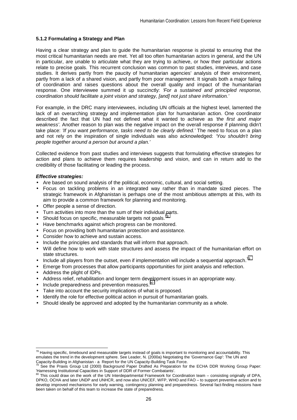#### **5.1.2 Formulating a Strategy and Plan**

Having a clear strategy and plan to guide the humanitarian response is pivotal to ensuring that the most critical humanitarian needs are met. Yet all too often humanitarian actors in general, and the UN in particular, are unable to articulate what they are trying to achieve, or how their particular actions relate to precise goals. This recurrent conclusion was common to past studies, interviews, and case studies. It derives partly from the paucity of humanitarian agencies' analysis of their environment, partly from a lack of a shared vision, and partly from poor management. It signals both a major failing of coordination and raises questions about the overall quality and impact of the humanitarian response. One interviewee summed it up succinctly: *'For a sustained and principled response, coordination should facilitate a joint vision and strategy, [and] not just share information.'* 

For example, in the DRC many interviewees, including UN officials at the highest level, lamented the lack of an overarching strategy and implementation plan for humanitarian action. One coordinator described the fact that UN had not defined what it wanted to achieve as *'the first and major weakness'*. Another reason to plan was the negative impact on the overall response if planning didn't take place: *'If you want performance, tasks need to be clearly defined.'* The need to focus on a plan and not rely on the inspiration of single individuals was also acknowledged: *'You shouldn't bring people together around a person but around a plan.'* 

Collected evidence from past studies and interviews suggests that formulating effective strategies for action and plans to achieve them requires leadership and vision, and can in return add to the credibility of those facilitating or leading the process.

#### *Effective strategies:*

- Are based on sound analysis of the political, economic, cultural, and social setting.
- Focus on tackling problems in an integrated way rather than in mandate sized pieces. The strategic framework in Afghanistan is perhaps one of the most ambitious attempts at this, with its aim to provide a common framework for planning and monitoring.
- Offer people a sense of direction.
- Turn activities into more than the sum of their individual parts.
- Should focus on specific, measurable targets not goals.<sup>7</sup>
- Have benchmarks against which progress can be monitored.
- Focus on providing both humanitarian protection and assistance.
- Consider how to achieve and sustain access.
- Include the principles and standards that will inform that approach.
- Will define how to work with state structures and assess the impact of the humanitarian effort on state structures.
- Include all players from the outset, even if implementation will include a sequential approach.<sup>79</sup>
- Emerge from processes that allow participants opportunities for joint analysis and reflection.
- Address the plight of IDPs.
- Address relief, rehabilitation and longer term development issues in an appropriate way.
- Include preparedness and prevention measures.<sup>80</sup>
- Take into account the security implications of what is proposed.
- Identify the role for effective political action in pursuit of humanitarian goals.
- Should ideally be approved and adopted by the humanitarian community as a whole.

 $\overline{a}$  $^{78}$  Having specific, timebound and measurable targets instead of goals is important to monitoring and accountability. This emulates the trend in the development sphere. See Leader, N. (2000a) Negotiating the 'Governance Gap': The UN and Capacity-Building in Afghanistan - a Report for the UN Capacity-Building Task Force.<br>
<sup>79</sup> See the Provis Crave Lid (2000) For in the UN Capacity-Building Task Force.

See the Praxis Group Ltd (2000) Background Paper Drafted As Preparation for the ECHA DDR Working Group Paper: 'Harnessing Institutional Capacities in Support of DDR of Former Combatants'.

This could draw on the work of the UN Interdepartmental Framework for Coordination team – consisting originally of DPA, DPKO, OCHA and later UNDP and UNHCR, and now also UNICEF, WFP, WHO and FAO – to support preventive action and to develop improved mechanisms for early warning, contingency planning and preparedness. Several fact-finding missions have been taken on behalf of this team to increase the state of preparedness.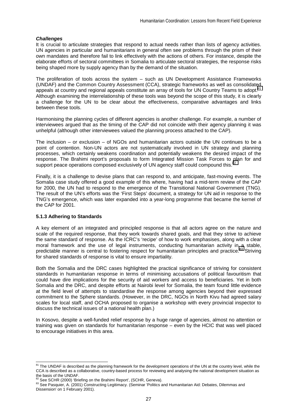## *Challenges*

It is crucial to articulate strategies that respond to actual needs rather than lists of agency activities. UN agencies in particular and humanitarians in general often see problems through the prism of their own mandates and therefore fail to link effectively with the actions of others. For instance, despite the elaborate efforts of sectoral committees in Somalia to articulate sectoral strategies, the response risks being shaped more by supply agency than by the demand of the situation.

The proliferation of tools across the system – such as UN Development Assistance Frameworks (UNDAF) and the Common Country Assessment (CCA), strategic frameworks as well as consolidated appeals at country and regional appeals constitute an array of tools for UN Country Teams to adopt.<sup>81</sup> Although examining the interrelationship of these tools was beyond the scope of this study, it is clearly a challenge for the UN to be clear about the effectiveness, comparative advantages and links between these tools.

Harmonising the planning cycles of different agencies is another challenge. For example, a number of interviewees argued that as the timing of the CAP did not coincide with their agency planning it was unhelpful (although other interviewees valued the planning process attached to the CAP).

The inclusion – or exclusion – of NGOs and humanitarian actors outside the UN continues to be a point of contention. Non-UN actors are not systematically involved in UN strategy and planning processes, which certainly weakens coordination and potentially weakens the desired impact of the response. The Brahimi report's proposals to form Integrated Mission Task Forces to plan for and support peace operations composed exclusively of UN agency staff could compound this.<sup>8</sup>

Finally, it is a challenge to devise plans that can respond to, and anticipate, fast-moving events. The Somalia case study offered a good example of this where, having had a mid-term review of the CAP for 2000, the UN had to respond to the emergence of the Transitional National Government (TNG). The result of the UN's efforts was the 'First Steps' document, a strategy for UN aid in response to the TNG's emergence, which was later expanded into a year-long programme that became the kernel of the CAP for 2001.

#### **5.1.3 Adhering to Standards**

l

A key element of an integrated and principled response is that all actors agree on the nature and scale of the required response, that they work towards shared goals, and that they strive to achieve the same standard of response. As the ICRC's 'recipe' of how to work emphasises, along with a clear moral framework and the use of legal instruments, conducting humanitarian activity in a stable, predictable manner is central to fostering respect for humanitarian principles and practice.<sup>83</sup> Striving predictable manner is central to fostering respect for humanitarian principles and practice.<sup>8</sup> for shared standards of response is vital to ensure impartiality.

Both the Somalia and the DRC cases highlighted the practical significance of striving for consistent standards in humanitarian response in terms of minimising accusations of political favouritism that could have dire implications for the security of aid workers and access to beneficiaries. Yet in both Somalia and the DRC, and despite efforts at Nairobi level for Somalia, the team found little evidence at the field level of attempts to standardise the response among agencies beyond their expressed commitment to the Sphere standards. (However, in the DRC, NGOs in North Kivu had agreed salary scales for local staff, and OCHA proposed to organise a workshop with every provincial inspector to discuss the technical issues of a national health plan.)

In Kosovo, despite a well-funded relief response by a huge range of agencies, almost no attention or training was given on standards for humanitarian response – even by the HCIC that was well placed to encourage initiatives in this area.

<sup>&</sup>lt;sup>81</sup> The UNDAF is described as the planning framework for the development operations of the UN at the country level, while the CCA is described as a collaborative, country-based process for reviewing and analysing the national development situation as the basis of the UNDAF.<br>
<sup>82</sup> See SCHR (2000) 'Briefing on the Brahimi Report', (SCHR, Geneva).

<sup>83</sup> See Pasquier, A. (2001) Constructing Legitimacy. (Seminar 'Politics and Humanitarian Aid: Debates, Dilemmas and Dissension' on 1 February 2001).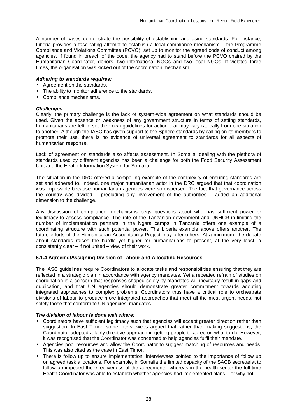A number of cases demonstrate the possibility of establishing and using standards. For instance, Liberia provides a fascinating attempt to establish a local compliance mechanism – the Programme Compliance and Violations Committee (PCVO), set up to monitor the agreed code of conduct among agencies. If found in breach of the code, the agency had to stand before the PCVO chaired by the Humanitarian Coordinator, donors, two international NGOs and two local NGOs. If violated three times, the organisation was kicked out of the coordination mechanism.

## *Adhering to standards requires:*

- Agreement on the standards.
- The ability to monitor adherence to the standards.
- Compliance mechanisms.

# *Challenges*

Clearly, the primary challenge is the lack of system-wide agreement on what standards should be used. Given the absence or weakness of any government structure in terms of setting standards, humanitarians are left to set their own guidelines for action that may vary radically from one situation to another. Although the IASC has given support to the Sphere standards by calling on its members to promote their use, there is no evidence of universal agreement to standards for all aspects of humanitarian response.

Lack of agreement on standards also affects assessment. In Somalia, dealing with the plethora of standards used by different agencies has been a challenge for both the Food Security Assessment Unit and the Health Information System for Somalia.

The situation in the DRC offered a compelling example of the complexity of ensuring standards are set and adhered to. Indeed, one major humanitarian actor in the DRC argued that that coordination was impossible because humanitarian agencies were so dispersed. The fact that governance across the country was divided – precluding any involvement of the authorities – added an additional dimension to the challenge.

Any discussion of compliance mechanisms begs questions about who has sufficient power or legitimacy to assess compliance. The role of the Tanzanian government and UNHCR in limiting the number of implementation partners in the Ngara camps in Tanzania offers one example of a coordinating structure with such potential power. The Liberia example above offers another. The future efforts of the Humanitarian Accountability Project may offer others. At a minimum, the debate about standards raises the hurdle yet higher for humanitarians to present, at the very least, a consistently clear – if not united – view of their work.

## **5.1.4 Agreeing/Assigning Division of Labour and Allocating Resources**

The IASC guidelines require Coordinators to allocate tasks and responsibilities ensuring that they are reflected in a strategic plan in accordance with agency mandates. Yet a repeated refrain of studies on coordination is a concern that responses shaped solely by mandates will inevitably result in gaps and duplication, and that UN agencies should demonstrate greater commitment towards adopting integrated approaches to complex problems. Coordinators thus have a critical role to orchestrate divisions of labour to produce more integrated approaches that meet all the most urgent needs, not solely those that conform to UN agencies' mandates.

## *The division of labour is done well where:*

- Coordinators have sufficient legitimacy such that agencies will accept greater direction rather than suggestion. In East Timor, some interviewees argued that rather than making suggestions, the Coordinator adopted a fairly directive approach in getting people to agree on what to do. However, it was recognised that the Coordinator was concerned to help agencies fulfil their mandate.
- Agencies pool resources and allow the Coordinator to suggest matching of resources and needs. This was also cited as the case in East Timor.
- There is follow up to ensure implementation. Interviewees pointed to the importance of follow up on agreed task allocations. For example, in Somalia the limited capacity of the SACB secretariat to follow up impeded the effectiveness of the agreements, whereas in the health sector the full-time Health Coordinator was able to establish whether agencies had implemented plans – or why not.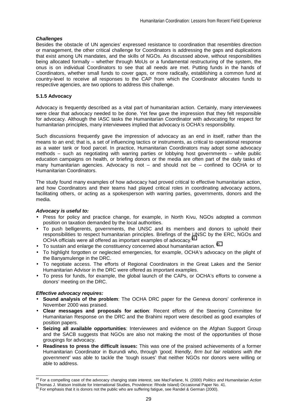## *Challenges*

Besides the obstacle of UN agencies' expressed resistance to coordination that resembles direction or management, the other critical challenge for Coordinators is addressing the gaps and duplications that exist among UN mandates, and the skills of NGOs. As discussed above, without responsibilities being allocated formally – whether through MoUs or a fundamental restructuring of the system, the onus is on individual Coordinators to see that all needs are met. Putting funds in the hands of Coordinators, whether small funds to cover gaps, or more radically, establishing a common fund at country-level to receive all responses to the CAP from which the Coordinator allocates funds to respective agencies, are two options to address this challenge.

## **5.1.5 Advocacy**

Advocacy is frequently described as a vital part of humanitarian action. Certainly, many interviewees were clear that advocacy needed to be done. Yet few gave the impression that they felt responsible for advocacy. Although the IASC tasks the Humanitarian Coordinator with advocating for respect for humanitarian principles, many interviewees implied that advocacy is OCHA's responsibility.

Such discussions frequently gave the impression of advocacy as an end in itself, rather than the means to an end; that is, a set of influencing tactics or instruments, as critical to operational response as a water tank or food parcel. In practice, Humanitarian Coordinators may adopt some advocacy methods – such as negotiating with warring parties or lobbying host governments – while public education campaigns on health, or briefing donors or the media are often part of the daily tasks of many humanitarian agencies. Advocacy is not – and should not be – confined to OCHA or to Humanitarian Coordinators.

The study found many examples of how advocacy had proved critical to effective humanitarian action, and how Coordinators and their teams had played critical roles in coordinating advocacy actions, facilitating others, or acting as a spokesperson with warring parties, governments, donors and the media.

## *Advocacy is useful to:*

- Press for policy and practice change, for example, in North Kivu, NGOs adopted a common position on taxation demanded by the local authorities.
- To push belligerents, governments, the UNSC and its members and donors to uphold their responsibilities to respect humanitarian principles. Briefings of the UNSC by the ERC, NGOs and OCHA officials were all offered as important examples of advocacy.<sup>8</sup>
- To sustain and enlarge the constituency concerned about humanitarian action. 85
- To highlight forgotten or neglected emergencies, for example, OCHA's advocacy on the plight of the Banyamulenge in the DRC.
- To negotiate access. The efforts of Regional Coordinators in the Great Lakes and the Senior Humanitarian Advisor in the DRC were offered as important examples.
- To press for funds, for example, the global launch of the CAPs, or OCHA's efforts to convene a donors' meeting on the DRC.

## *Effective advocacy requires:*

- **Sound analysis of the problem**: The OCHA DRC paper for the Geneva donors' conference in November 2000 was praised.
- **Clear messages and proposals for action**: Recent efforts of the Steering Committee for Humanitarian Response on the DRC and the Brahimi report were described as good examples of position papers.
- **Seizing all available opportunities**: Interviewees and evidence on the Afghan Support Group and the SACB suggests that NGOs are also not making the most of the opportunities of those groupings for advocacy.
- **Readiness to press the difficult issues:** This was one of the praised achievements of a former Humanitarian Coordinator in Burundi who, through *'good, friendly, firm but fair relations with the government'* was able to tackle the 'tough issues' that neither NGOs nor donors were willing or able to address.

 $\overline{a}$ 84 For a compelling case of the advocacy changing state interest, see MacFarlane, N. (2000) *Politics and Humanitarian Action* (Thomas J. Watson Institute for International Studies, Providence: Rhode Island) Occasional Paper No. 41.

For emphasis that it is donors not the public who are suffering fatigue, see Randel & German (2000).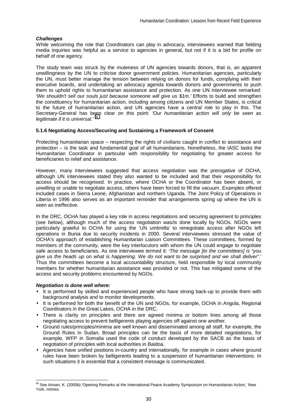## *Challenges*

While welcoming the role that Coordinators can play in advocacy, interviewees warned that fielding media inquiries was helpful as a service to agencies in general, but not if it is a bid for profile on behalf of one agency.

The study team was struck by the muteness of UN agencies towards donors, that is, an apparent unwillingness by the UN to criticise donor government policies. Humanitarian agencies, particularly the UN, must better manage the tension between relying on donors for funds, complying with their executive boards, and undertaking an advocacy agenda towards donors and governments to push them to uphold rights to humanitarian assistance and protection. As one UN interviewee remarked: *'We shouldn't sell our souls just because someone will give us \$1m.'* Efforts to build and strengthen the constituency for humanitarian action, including among citizens and UN Member States, is critical to the future of humanitarian action, and UN agencies have a central role to play in this. The Secretary-General has been clear on this point: *'Our humanitarian action will only be seen as legitimate if it is universal.'* 86

## **5.1.6 Negotiating Access/Securing and Sustaining a Framework of Consent**

Protecting humanitarian space – respecting the rights of civilians caught in conflict to assistance and protection – is the task and fundamental goal of all humanitarians. Nonetheless, the IASC tasks the Humanitarian Coordinator in particular with responsibility for negotiating for greater access for beneficiaries to relief and assistance.

However, many interviewees suggested that access negotiation was the prerogative of OCHA, although UN interviewees stated they also wanted to be included and that their responsibility for access should be recognised. In practice, where OCHA or the Coordinator has been absent, or unwilling or unable to negotiate access, others have been forced to fill the vacuum. Examples offered included cases in Sierra Leone, Afghanistan and northern Uganda. The Joint Policy of Operations in Liberia in 1996 also serves as an important reminder that arrangements spring up where the UN is seen as ineffective.

In the DRC, OCHA has played a key role in access negotiations and securing agreement to principles (see below), although much of the access negotiation was/is done locally by NGOs. NGOs were particularly grateful to OCHA for using the 'UN umbrella' to renegotiate access after NGOs left operations in Bunia due to security incidents in 2000. Several interviewees stressed the value of OCHA's approach of establishing Humanitarian Liaison Committees. These committees, formed by members of the community, were the key interlocutors with whom the UN could engage to negotiate safe access to beneficiaries. As one interviewee termed it: *'The message [to the committees] is "you give us the heads up on what is happening. We do not want to be surprised and we shall deliver".'* Thus the committees become a local accountability structure, held responsible by local community members for whether humanitarian assistance was provided or not. This has mitigated some of the access and security problems encountered by NGOs.

#### *Negotiation is done well where:*

- It is performed by skilled and experienced people who have strong back-up to provide them with background analysis and to monitor developments.
- It is performed for both the benefit of the UN and NGOs, for example, OCHA in Angola, Regional Coordinators in the Great Lakes, OCHA in the DRC.
- There is clarity on principles and there are agreed minima or bottom lines among all those negotiating access to prevent belligerents playing agencies off against one another.
- Ground rules/principles/minima are well known and disseminated among all staff, for example, the Ground Rules in Sudan. Broad principles can be the basis of more detailed negotiations, for example, WFP in Somalia used the code of conduct developed by the SACB as the basis of negotiation of principles with local authorities in Baidoa.
- Agencies have unified positions in-country and internationally, for example in cases where ground rules have been broken by belligerents leading to a suspension of humanitarian interventions. In such situations it is essential that a consistent message is communicated.

l <sup>86</sup> See Annan, K. (2000b) 'Opening Remarks at the International Peace Academy Symposium on Humanitarian Action,' New York. mimeo.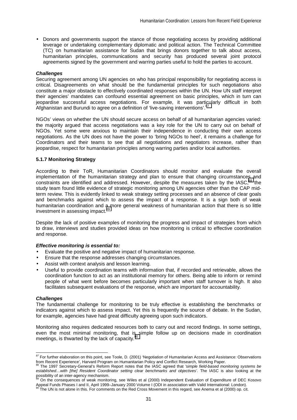• Donors and governments support the stance of those negotiating access by providing additional leverage or undertaking complementary diplomatic and political action. The Technical Committee (TC) on humanitarian assistance for Sudan that brings donors together to talk about access, humanitarian principles, communications and security has produced several joint protocol agreements signed by the government and warring parties useful to hold the parties to account.

### *Challenges*

Securing agreement among UN agencies on who has principal responsibility for negotiating access is critical. Disagreements on what should be the fundamental principles for such negotiations also constitute a major obstacle to effectively coordinated responses within the UN. How UN staff interpret their agencies' mandates can confound essential agreement on basic principles, which in turn can jeopardise successful access negotiations. For example, it was particularly difficult in both Afghanistan and Burundi to agree on a definition of 'live-saving interventions'.<sup>87</sup>

NGOs' views on whether the UN should secure access on behalf of all humanitarian agencies varied: the majority argued that access negotiations was a key role for the UN to carry out on behalf of NGOs. Yet some were anxious to maintain their independence in conducting their own access negotiations. As the UN does not have the power to 'bring NGOs to heel', it remains a challenge for Coordinators and their teams to see that all negotiations and negotiators increase, rather than jeopardise, respect for humanitarian principles among warring parties and/or local authorities.

## **5.1.7 Monitoring Strategy**

According to their ToR, Humanitarian Coordinators should monitor and evaluate the overall implementation of the humanitarian strategy and plan to ensure that changing circumstances and constraints are identified and addressed. However, despite the measures taken by the IASC,<sup>88</sup> the study team found little evidence of strategic monitoring among UN agencies other than the CAP midterm review. This is evidently linked to weak strategy setting processes and an absence of clear goals and benchmarks against which to assess the impact of a response. It is a sign both of weak humanitarian coordination and a more general weakness of humanitarian action that there is so little investment in assessing impact.<sup>89</sup>

Despite the lack of positive examples of monitoring the progress and impact of strategies from which to draw, interviews and studies provided ideas on how monitoring is critical to effective coordination and response.

#### *Effective monitoring is essential to:*

- Evaluate the positive and negative impact of humanitarian response.
- Ensure that the response addresses changing circumstances.
- Assist with context analysis and lesson learning.
- Useful to provide coordination teams with information that, if recorded and retrievable, allows the coordination function to act as an institutional memory for others. Being able to inform or remind people of what went before becomes particularly important when staff turnover is high. It also facilitates subsequent evaluations of the response, which are important for accountability.

#### *Challenges*

 $\overline{a}$ 

The fundamental challenge for monitoring to be truly effective is establishing the benchmarks or indicators against which to assess impact. Yet this is frequently the source of debate. In the Sudan, for example, agencies have had great difficulty agreeing upon such indicators.

Monitoring also requires dedicated resources both to carry out and record findings. In some settings, even the most minimal monitoring, that is simple follow up on decisions made in coordination meetings, is thwarted by the lack of capacity. $90$ 

*<sup>87</sup>* For further elaboration on this point, see Toole, D. (2001) 'Negotiation of Humanitarian Access and Assistance: Observations from Recent Experience', Harvard Program on Humanitarian Policy and Conflict Research, Working Paper.<br><sup>88</sup> The 1997 Secretary-General's Reform Report notes that the IASC agreed that *'simple field-based monitoring systems* 

*established…with [the] Resident Coordinator setting clear benchmarks and objectives'*. The IASC is also looking at the possibility of an inter-agency mechanism.<br><sup>89</sup> On the consequences of weak monitoring, see Wiles et al (2000) Independent Evaluation of Expenditure of DEC Kosovo

Appeal Funds Phases I and II, April 1999–January 2000 Volume I (ODI in association with Valid International: London).<br><sup>90</sup> The UN is not alone in this. For comments on the Red Cross Movement in this regard, see Anema et al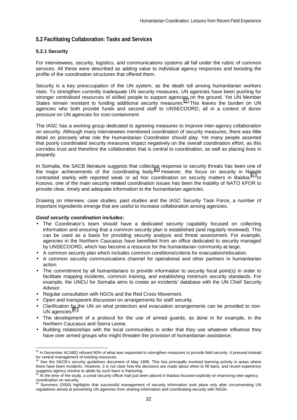# **5.2 Facilitating Collaboration: Tasks and Services**

## **5.2.1 Security**

For interviewees, security, logistics, and communications systems all fall under the rubric of common services. All these were described as adding value to individual agency responses and boosting the profile of the coordination structures that offered them.

Security is a key preoccupation of the UN system, as the death toll among humanitarian workers rises. To strengthen currently inadequate UN security measures, UN agencies have been pushing for stronger centralised resources of skilled people to support agencies on the ground. Yet UN Member States remain resistant to funding additional security measures.<sup>91</sup> This leaves the burden on UN agencies who both provide funds and second staff to UNSECOORD, all in a context of donor pressure on UN agencies for cost-containment.

The IASC has a working group dedicated to agreeing measures to improve inter-agency collaboration on security. Although many interviewees mentioned coordination of security measures, there was little detail on precisely what role the Humanitarian Coordinator should play. Yet many people asserted that poorly coordinated security measures impact negatively on the overall coordination effort, as this corrodes trust and therefore the collaboration that is central to coordination, as well as placing lives in jeopardy.

In Somalia, the SACB literature suggests that collective response to security threats has been one of the major achievements of the coordinating body. $92$  However, the focus on security in Nairobi contrasted starkly with reported weak or ad hoc coordination on security matters in Baidoa.<sup>93</sup> In Kosovo, one of the main security related coordination issues has been the inability of NATO KFOR to provide clear, timely and adequate information to the humanitarian agencies.

Drawing on interview, case studies, past studies and the IASC Security Task Force, a number of important ingredients emerge that are useful to increase collaboration among agencies.

#### *Good security coordination includes:*

- The Coordinator's team should have a dedicated security capability focused on collecting information and ensuring that a common security plan is established (and regularly reviewed). This can be used as a basis for providing security analysis and threat assessment. For example, agencies in the Northern Caucasus have benefited from an office dedicated to security managed by UNSECOORD, which has become a resource for the humanitarian community at large.
- A common security plan which includes common conditions/criteria for evacuation/relocation.
- A common security communications channel for operational and other partners in humanitarian action.
- The commitment by all humanitarians to provide information to security focal point(s) in order to facilitate mapping incidents, common training, and establishing minimum security standards. For example, the UNCU for Somalia aims to create an incidents' database with the UN Chief Security Advisor.
- Regular consultation with NGOs and the Red Cross Movement.
- Open and transparent discussion on arrangements for staff security.
- Clarification by the UN on what protection and evacuation arrangements can be provided to non-UN agencies.
- The development of a protocol for the use of armed guards, as done in for example, in the Northern Caucasus and Sierra Leone.
- Building relationships with the local communities in order that they use whatever influence they have over armed groups who might threaten the provision of humanitarian assistance.

<sup>&</sup>lt;sup>91</sup> In December ACABQ refused 90% of what was requested to strengthen measures to provide field security. It pressed instead for central management of existing resources.

See the SACB's security guidelines document of May 1999. This has principally involved banning activity in areas where there have been incidents. However, it is not clear how the decisions are made about when to lift bans, and recent experience suggests agency resolve to abide by such bans is fracturing.

 $^{13}$  At the time of the study, a zonal security officer had just been placed in Baidoa focused explicitly on improving inter-agency coordination on security.

Sommers (2000) highlights that successful management of security information took place only after circumventing UN regulations aimed at preventing UN agencies from sharing information and coordinating security with NGOs.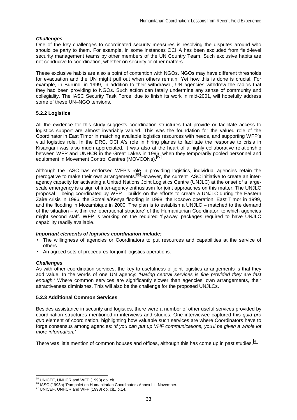## *Challenges*

One of the key challenges to coordinated security measures is resolving the disputes around who should be party to them. For example, in some instances OCHA has been excluded from field-level security management teams by other members of the UN Country Team. Such exclusive habits are not conducive to coordination, whether on security or other matters.

These exclusive habits are also a point of contention with NGOs. NGOs may have different thresholds for evacuation and the UN might pull out when others remain. Yet how this is done is crucial. For example, in Burundi in 1999, in addition to their withdrawal, UN agencies withdrew the radios that they had been providing to NGOs. Such action can fatally undermine any sense of community and collegiality. The IASC Security Task Force, due to finish its work in mid-2001, will hopefully address some of these UN–NGO tensions.

## **5.2.2 Logistics**

All the evidence for this study suggests coordination structures that provide or facilitate access to logistics support are almost invariably valued. This was the foundation for the valued role of the Coordinator in East Timor in matching available logistics resources with needs, and supporting WFP's vital logistics role. In the DRC, OCHA's role in hiring planes to facilitate the response to crisis in Kisangani was also much appreciated. It was also at the heart of a highly collaborative relationship between WFP and UNHCR in the Great Lakes in 1996, when they temporarily pooled personnel and equipment in Movement Control Centres (MOVCONs).<sup>95</sup>

Although the IASC has endorsed WFP's role in providing logistics, individual agencies retain the prerogative to make their own arrangements.96 However, the current IASC initiative to create an interagency capacity for activating a United Nations Joint Logistics Centre (UNJLC) at the onset of a largescale emergency is a sign of inter-agency enthusiasm for joint approaches on this matter. The UNJLC proposal – being coordinated by WFP – builds on the efforts to create a UNJLC during the Eastern Zaire crisis in 1996, the Somalia/Kenya flooding in 1998, the Kosovo operation, East Timor in 1999, and the flooding in Mozambique in 2000. The plan is to establish a UNJLC – matched to the demand of the situation – within the 'operational structure' of the Humanitarian Coordinator, to which agencies might second staff. WFP is working on the required 'flyaway' packages required to have UNJLC capability readily available.

#### *Important elements of logistics coordination include:*

- The willingness of agencies or Coordinators to put resources and capabilities at the service of others.
- An agreed sets of procedures for joint logistics operations.

#### *Challenges*

As with other coordination services, the key to usefulness of joint logistics arrangements is that they add value. In the words of one UN agency: *'Having central services is fine provided they are fast enough.'* Where common services are significantly slower than agencies' own arrangements, their attractiveness diminishes. This will also be the challenge for the proposed UNJLCs.

## **5.2.3 Additional Common Services**

Besides assistance in security and logistics, there were a number of other useful services provided by coordination structures mentioned in interviews and studies. One interviewee captured this *quid pro quo* element of coordination, highlighting how valuable such services are where Coordinators have to forge consensus among agencies: *'If you can put up VHF communications, you'll be given a whole lot more information.'* 

There was little mention of common houses and offices, although this has come up in past studies.<sup>97</sup>

<sup>95</sup> UNICEF, UNHCR and WFP (1998) op. cit.

<sup>96</sup> UNICEF, UNHCR and WFP (1998) op. cit., p.14.<br><sup>96</sup> IASC (1998b) 'Pamphlet on Humanitarian Coordinators Annex III', November.<br><sup>97</sup> UNICEF, UNHCR and WFP (1998) op. cit., p.14.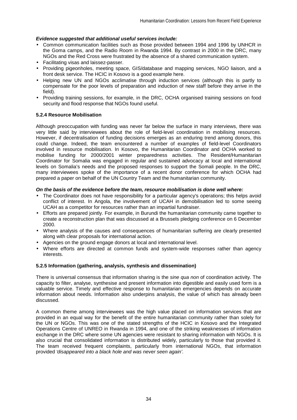## *Evidence suggested that additional useful services include:*

- Common communication facilities such as those provided between 1994 and 1996 by UNHCR in the Goma camps, and the Radio Room in Rwanda 1994. By contrast in 2000 in the DRC, many NGOs and the Red Cross were frustrated by the absence of a shared communication system.
- Facilitating visas and laissez-passer.
- Providing pigeonholes, meeting space, GIS/database and mapping services, NGO liaison, and a front desk service. The HCIC in Kosovo is a good example here.
- Helping new UN and NGOs acclimatise through induction services (although this is partly to compensate for the poor levels of preparation and induction of new staff before they arrive in the field).
- Providing training sessions, for example, in the DRC, OCHA organised training sessions on food security and flood response that NGOs found useful.

# **5.2.4 Resource Mobilisation**

Although preoccupation with funding was never far below the surface in many interviews, there was very little said by interviewees about the role of field-level coordination in mobilising resources. However, if decentralisation of funding decisions emerges as an enduring trend among donors, this could change. Indeed, the team encountered a number of examples of field-level Coordinators involved in resource mobilisation. In Kosovo, the Humanitarian Coordinator and OCHA worked to mobilise funding for 2000/2001 winter preparedness activities. The Resident/Humanitarian Coordinator for Somalia was engaged in regular and sustained advocacy at local and international levels on Somalia's needs and the proposed responses to support the Somali people. In the DRC, many interviewees spoke of the importance of a recent donor conference for which OCHA had prepared a paper on behalf of the UN Country Team and the humanitarian community.

## *On the basis of the evidence before the team, resource mobilisation is done well where:*

- The Coordinator does not have responsibility for a particular agency's operations; this helps avoid conflict of interest. In Angola, the involvement of UCAH in demobilisation led to some seeing UCAH as a competitor for resources rather than an impartial fundraiser.
- Efforts are prepared jointly. For example, in Burundi the humanitarian community came together to create a reconstruction plan that was discussed at a Brussels pledging conference on 6 December 2000.
- Where analysis of the causes and consequences of humanitarian suffering are clearly presented along with clear proposals for international action.
- Agencies on the ground engage donors at local and international level.
- Where efforts are directed at common funds and system-wide responses rather than agency interests.

## **5.2.5 Information (gathering, analysis, synthesis and dissemination)**

There is universal consensus that information sharing is the *sine qua non* of coordination activity. The capacity to filter, analyse, synthesise and present information into digestible and easily used form is a valuable service. Timely and effective response to humanitarian emergencies depends on accurate information about needs. Information also underpins analysis, the value of which has already been discussed.

A common theme among interviewees was the high value placed on information services that are provided in an equal way for the benefit of the entire humanitarian community rather than solely for the UN or NGOs. This was one of the stated strengths of the HCIC in Kosovo and the Integrated Operations Centre of UNREO in Rwanda in 1994, and one of the striking weaknesses of information exchange in the DRC where some UN agencies were resistant to sharing information with NGOs. It is also crucial that consolidated information is distributed widely, particularly to those that provided it. The team received frequent complaints, particularly from international NGOs, that information provided *'disappeared into a black hole and was never seen again'*.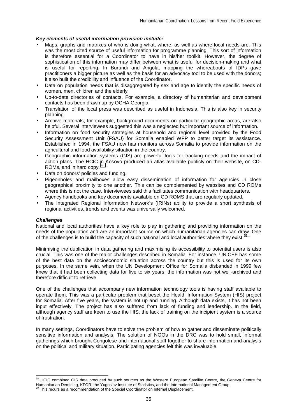# *Key elements of useful information provision include:*

- Maps, graphs and matrixes of who is doing what, where, as well as where local needs are. This was the most cited source of useful information for programme planning. This sort of information is therefore essential for a Coordinator to have in his/her toolkit. However, the degree of sophistication of this information may differ between what is useful for decision-making and what is useful for reporting. In Burundi and Angola, mapping the whereabouts of IDPs gave practitioners a bigger picture as well as the basis for an advocacy tool to be used with the donors; it also built the credibility and influence of the Coordinator.
- Data on population needs that is disaggregated by sex and age to identify the specific needs of women, men, children and the elderly.
- Up-to-date directories of contacts. For example, a directory of humanitarian and development contacts has been drawn up by OCHA Georgia.
- Translation of the local press was described as useful in Indonesia. This is also key in security planning.
- Archive materials, for example, background documents on particular geographic areas, are also helpful. Several interviewees suggested this was a neglected but important source of information.
- Information on food security strategies at household and regional level provided by the Food Security Assessment Unit (FSAU) for Somalia enabled WFP to better target its assistance. Established in 1994, the FSAU now has monitors across Somalia to provide information on the agricultural and food availability situation in the country.
- Geographic information systems (GIS) are powerful tools for tracking needs and the impact of action plans. The HCIC in Kosovo produced an atlas available publicly on their website, on CD-ROMs, and in hard copy.<sup>9</sup>
- Data on donors' policies and funding.
- Pigeonholes and mailboxes allow easy dissemination of information for agencies in close geographical proximity to one another. This can be complemented by websites and CD ROMs where this is not the case. Interviewees said this facilitates communication with headquarters.
- Agency handbooks and key documents available on CD ROMS that are regularly updated.
- The Integrated Regional Information Network's (IRINs) ability to provide a short synthesis of regional activities, trends and events was universally welcomed.

#### *Challenges*

 $\overline{a}$ 

National and local authorities have a key role to play in gathering and providing information on the needs of the population and are an important source on which humanitarian agencies can draw. One of the challenges is to build the capacity of such national and local authorities where they exist.<sup>99</sup>

Minimising the duplication in data gathering and maximising its accessibility to potential users is also crucial. This was one of the major challenges described in Somalia. For instance, UNICEF has some of the best data on the socioeconomic situation across the country but this is used for its own purposes. In the same vein, when the UN Development Office for Somalia disbanded in 1999 few knew that it had been collecting data for five to six years; the information was not well-archived and therefore difficult to retrieve.

One of the challenges that accompany new information technology tools is having staff available to operate them. This was a particular problem that beset the Health Information System (HIS) project for Somalia. After five years, the system is not up and running. Although data exists, it has not been input effectively. The project has also suffered from lack of funding and leadership. In the field, although agency staff are keen to use the HIS, the lack of training on the incipient system is a source of frustration.

In many settings, Coordinators have to solve the problem of how to gather and disseminate politically sensitive information and analysis. The solution of NGOs in the DRC was to hold small, informal gatherings which brought Congolese and international staff together to share information and analysis on the political and military situation. Participating agencies felt this was invaluable.

<sup>98</sup> HCIC combined GIS data produced by such sources as the Western European Satellite Centre, the Geneva Centre for Humanitarian Demining, KFOR, the Yugoslav Institute of Statistics, and the International Management Group.

This recurs as a recommendation of the Special Coordinator on Internal Displacement.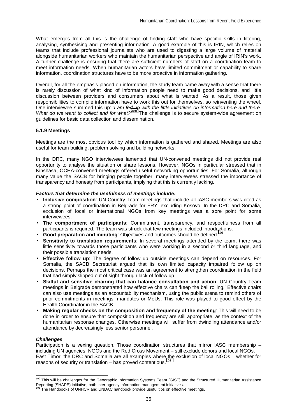What emerges from all this is the challenge of finding staff who have specific skills in filtering, analysing, synthesising and presenting information. A good example of this is IRIN, which relies on teams that include professional journalists who are used to digesting a large volume of material alongside humanitarian workers who maintain the humanitarian perspective and angle of IRIN's work. A further challenge is ensuring that there are sufficient numbers of staff on a coordination team to meet information needs. When humanitarian actors have limited commitment or capability to share information, coordination structures have to be more proactive in information gathering.

Overall, for all the emphasis placed on information, the study team came away with a sense that there is rarely discussion of what kind of information people need to make good decisions, and little discussion between providers and consumers about what is wanted. As a result, those given responsibilities to compile information have to work this out for themselves, so reinventing the wheel. One interviewee summed this up: *'I am fed up with the little initiatives on information here and there. What do we want to collect and for what?'*100 The challenge is to secure system-wide agreement on guidelines for basic data collection and dissemination.

## **5.1.9 Meetings**

Meetings are the most obvious tool by which information is gathered and shared. Meetings are also useful for team building, problem solving and building networks.

In the DRC, many NGO interviewees lamented that UN-convened meetings did not provide real opportunity to analyse the situation or share lessons. However, NGOs in particular stressed that in Kinshasa, OCHA-convened meetings offered useful networking opportunities. For Somalia, although many value the SACB for bringing people together, many interviewees stressed the importance of transparency and honesty from participants, implying that this is currently lacking.

## *Factors that determine the usefulness of meetings include:*

- **Inclusive composition**: UN Country Team meetings that include all IASC members was cited as a strong point of coordination in Belgrade for FRY, excluding Kosovo. In the DRC and Somalia, exclusion of local or international NGOs from key meetings was a sore point for some interviewees.
- **The comportment of participants**: Commitment, transparency, and respectfulness from all participants is required. The team was struck that few meetings included introductions.
- Good preparation and minuting: Objectives and outcomes should be defined.<sup>101</sup>
- **Sensitivity to translation requirements**: In several meetings attended by the team, there was little sensitivity towards those participants who were working in a second or third language, and their possible translation needs.
- **Effective follow up**: The degree of follow up outside meetings can depend on resources. For Somalia, the SACB Secretariat argued that its own limited capacity impaired follow up on decisions. Perhaps the most critical case was an agreement to strengthen coordination in the field that had simply slipped out of sight through lack of follow up.
- **Skilful and sensitive chairing that can balance consultation and action**: UN Country Team meetings in Belgrade demonstrated how effective chairs can 'keep the ball rolling.' Effective chairs can also use meetings as an accountability mechanism, using the public arena to remind others of prior commitments in meetings, mandates or MoUs. This role was played to good effect by the Health Coordinator in the SACB.
- **Making regular checks on the composition and frequency of the meeting**: This will need to be done in order to ensure that composition and frequency are still appropriate, as the context of the humanitarian response changes. Otherwise meetings will suffer from dwindling attendance and/or attendance by decreasingly less senior personnel.

### *Challenges*

 $\overline{a}$ 

Participation is a vexing question. Those coordination structures that mirror IASC membership – including UN agencies, NGOs and the Red Cross Movement – still exclude donors and local NGOs. East Timor, the DRC and Somalia are all examples where the exclusion of local NGOs – whether for reasons of security or translation – has proved contentious. $102$ 

<sup>&</sup>lt;sup>100</sup> This will be challenges for the Geographic Information Systems Team (GIST) and the Structured Humanitarian Assistance Reporting (SHAPE) initiative, both inter-agency information management initiatives.

 $101$  The Handbooks of UNHCR and UNDAC handbook provide useful tips on effective meetings.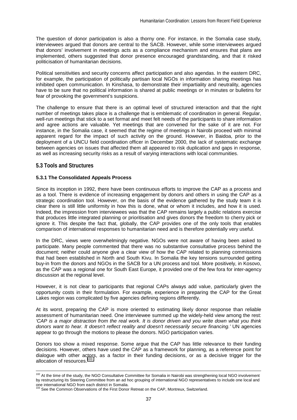The question of donor participation is also a thorny one. For instance, in the Somalia case study, interviewees argued that donors are central to the SACB. However, while some interviewees argued that donors' involvement in meetings acts as a compliance mechanism and ensures that plans are implemented, others suggested that donor presence encouraged grandstanding, and that it risked politicisation of humanitarian decisions.

Political sensitivities and security concerns affect participation and also agendas. In the eastern DRC, for example, the participation of politically partisan local NGOs in information sharing meetings has inhibited open communication. In Kinshasa, to demonstrate their impartiality and neutrality, agencies have to be sure that no political information is shared at public meetings or in minutes or bulletins for fear of provoking the government's suspicions.

The challenge to ensure that there is an optimal level of structured interaction and that the right number of meetings takes place is a challenge that is emblematic of coordination in general. Regular, well-run meetings that stick to a set format and meet felt needs of the participants to share information and agree actions are valuable. Yet meetings that are convened for the sake of it are not. For instance, in the Somalia case, it seemed that the regime of meetings in Nairobi proceed with minimal apparent regard for the impact of such activity on the ground. However, in Baidoa, prior to the deployment of a UNCU field coordination officer in December 2000, the lack of systematic exchange between agencies on issues that affected them all appeared to risk duplication and gaps in response, as well as increasing security risks as a result of varying interactions with local communities.

## **5.3 Tools and Structures**

## **5.3.1 The Consolidated Appeals Process**

Since its inception in 1992, there have been continuous efforts to improve the CAP as a process and as a tool. There is evidence of increasing engagement by donors and others in using the CAP as a strategic coordination tool. However, on the basis of the evidence gathered by the study team it is clear there is still little uniformity in how this is done, what or whom it includes, and how it is used. Indeed, the impression from interviewees was that the CAP remains largely a public relations exercise that produces little integrated planning or prioritisation and gives donors the freedom to cherry pick or ignore it. This despite the fact that, globally, the CAP provides one of the only tools that enables comparison of international responses to humanitarian need and is therefore potentially very useful.

In the DRC, views were overwhelmingly negative. NGOs were not aware of having been asked to participate. Many people commented that there was no substantive consultative process behind the document; neither could anyone give a clear view of how the CAP related to planning commissions that had been established in North and South Kivu. In Somalia the key tensions surrounded getting buy-in from the donors and NGOs in the SACB for a UN process and tool. More positively, in Kosovo, as the CAP was a regional one for South East Europe, it provided one of the few fora for inter-agency discussion at the regional level.

However, it is not clear to participants that regional CAPs always add value, particularly given the opportunity costs in their formulation. For example, experience in preparing the CAP for the Great Lakes region was complicated by five agencies defining regions differently.

At its worst, preparing the CAP is more oriented to estimating likely donor response than reliable assessment of humanitarian need. One interviewee summed up the widely-held view among the rest: *'CAP is a major distraction from the real work. It is donor driven and you write down what you think donors want to hear. It doesn't reflect reality and doesn't necessarily secure financing.'* UN agencies appear to go through the motions to please the donors. NGO participation varies.

Donors too show a mixed response. Some argue that the CAP has little relevance to their funding decisions. However, others have used the CAP as a framework for planning, as a reference point for dialogue with other actors, as a factor in their funding decisions, or as a decisive trigger for the allocation of resources.<sup>103</sup>

<sup>&</sup>lt;sup>102</sup> At the time of the study, the NGO Consultative Committee for Somalia in Nairobi was strengthening local NGO involvement by restructuring its Steering Committee from an ad hoc grouping of international NGO representatives to include one local and one international NGO from each district in Somalia.<br><sup>103</sup> See the Common Observations of the First Donor Retreat on the CAP, Montreux, Switzerland.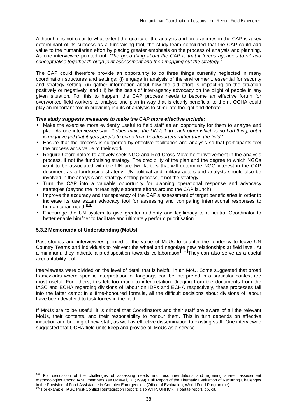Although it is not clear to what extent the quality of the analysis and programmes in the CAP is a key determinant of its success as a fundraising tool, the study team concluded that the CAP could add value to the humanitarian effort by placing greater emphasis on the process of analysis and planning. As one interviewee pointed out: *'The good thing about the CAP is that it forces agencies to sit and conceptualise together through joint assessment and then mapping out the strategy.'* 

The CAP could therefore provide an opportunity to do three things currently neglected in many coordination structures and settings: (i) engage in analysis of the environment, essential for security and strategy setting, (ii) gather information about how the aid effort is impacting on the situation positively or negatively, and (iii) be the basis of inter-agency advocacy on the plight of people in any given situation. For this to happen, the CAP process needs to become an effective forum for overworked field workers to analyse and plan in way that is clearly beneficial to them. OCHA could play an important role in providing inputs of analysis to stimulate thought and debate.

#### *This study suggests measures to make the CAP more effective include:*

- Make the exercise more evidently useful to field staff as an opportunity for them to analyse and plan. As one interviewee said *'It does make the UN talk to each other which is no bad thing, but it is negative [in] that it gets people to come from headquarters rather than the field.'*
- Ensure that the process is supported by effective facilitation and analysis so that participants feel the process adds value to their work.
- Require Coordinators to actively seek NGO and Red Cross Movement involvement in the analysis process, if not the fundraising strategy. The credibility of the plan and the degree to which NGOs want to be associated with the UN are two factors that will determine NGO interest in the CAP document as a fundraising strategy. UN political and military actors and analysts should also be involved in the analysis and strategy-setting process, if not the strategy.
- Turn the CAP into a valuable opportunity for planning operational response and advocacy strategies (beyond the increasingly elaborate efforts around the CAP launch).
- Improve the accuracy and transparency of the CAP's assessment of target beneficiaries in order to increase its use as an advocacy tool for assessing and comparing international responses to humanitarian need.<sup>104</sup>
- Encourage the UN system to give greater authority and legitimacy to a neutral Coordinator to better enable him/her to facilitate and ultimately perform prioritisation.

#### **5.3.2 Memoranda of Understanding (MoUs)**

l

Past studies and interviewees pointed to the value of MoUs to counter the tendency to leave UN Country Teams and individuals to reinvent the wheel and negotiate new relationships at field level. At a minimum, they indicate a predisposition towards collaboration.<sup>105</sup> They can also serve as a useful accountability tool.

Interviewees were divided on the level of detail that is helpful in an MoU. Some suggested that broad frameworks where specific interpretation of language can be interpreted in a particular context are most useful. For others, this left too much to interpretation. Judging from the documents from the IASC and ECHA regarding divisions of labour on IDPs and ECHA respectively, these processes fall into the latter camp: in a time-honoured formula, all the difficult decisions about divisions of labour have been devolved to task forces in the field.

If MoUs are to be useful, it is critical that Coordinators and their staff are aware of all the relevant MoUs, their contents, and their responsibility to honour them. This in turn depends on effective induction and briefing of new staff, as well as effective dissemination to existing staff. One interviewee suggested that OCHA field units keep and provide all MoUs as a service.

<sup>&</sup>lt;sup>104</sup> For discussion of the challenges of assessing needs and recommendations and agreeing shared assessment methodologies among IASC members see Ockwell, R. (1999) 'Full Report of the Thematic Evaluation of Recurring Challenges in the Provision of Food Assistance in Complex Emergencies' (Office of Evaluation, World Food Programme). 105 For example, IASC Post-Conflict Reintegration Report; also WFP, UNHCR Tripartite report, op. cit.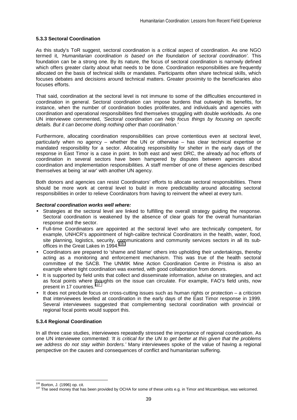## **5.3.3 Sectoral Coordination**

As this study's ToR suggest, sectoral coordination is a critical aspect of coordination. As one NGO termed it, *'Humanitarian coordination is based on the foundation of sectoral coordination'*. This foundation can be a strong one. By its nature, the focus of sectoral coordination is narrowly defined which offers greater clarity about what needs to be done. Coordination responsibilities are frequently allocated on the basis of technical skills or mandates. Participants often share technical skills, which focuses debates and decisions around technical matters. Greater proximity to the beneficiaries also focuses efforts.

That said, coordination at the sectoral level is not immune to some of the difficulties encountered in coordination in general. Sectoral coordination can impose burdens that outweigh its benefits, for instance, when the number of coordination bodies proliferates, and individuals and agencies with coordination and operational responsibilities find themselves struggling with double workloads. As one UN interviewee commented, *'Sectoral coordination can help focus things by focusing on specific details. But it can become doing nothing other than coordination.'* 

Furthermore, allocating coordination responsibilities can prove contentious even at sectoral level, particularly when no agency – whether the UN or otherwise – has clear technical expertise or mandated responsibility for a sector. Allocating responsibility for shelter in the early days of the response in East Timor is a case in point. In both east and west DRC, the already ad hoc efforts of coordination in several sectors have been hampered by disputes between agencies about coordination and implementation responsibilities. A staff member of one of these agencies described themselves at being '*at war*' with another UN agency.

Both donors and agencies can resist Coordinators' efforts to allocate sectoral responsibilities. There should be more work at central level to build in more predictability around allocating sectoral responsibilities in order to relieve Coordinators from having to reinvent the wheel at every turn.

#### *Sectoral coordination works well where:*

- Strategies at the sectoral level are linked to fulfilling the overall strategy guiding the response. Sectoral coordination is weakened by the absence of clear goals for the overall humanitarian response and the sector.
- Full-time Coordinators are appointed at the sectoral level who are technically competent, for example, UNHCR's appointment of high-calibre technical Coordinators in the health, water, food, site planning, logistics, security, communications and community services sectors in all its suboffices in the Great Lakes in 1994.<sup>106</sup>
- Coordinators are prepared to 'shame and blame' others into upholding their undertakings, thereby acting as a monitoring and enforcement mechanism. This was true of the health sectoral committee of the SACB. The UNMIK Mine Action Coordination Centre in Pristina is also an example where tight coordination was exerted, with good collaboration from donors.
- It is supported by field units that collect and disseminate information, advise on strategies, and act as focal points where thoughts on the issue can circulate. For example, FAO's field units, now present in 17 countries.<sup>107</sup>
- It does not preclude focus on cross-cutting issues such as human rights or protection a criticism that interviewees levelled at coordination in the early days of the East Timor response in 1999. Several interviewees suggested that complementing sectoral coordination with provincial or regional focal points would support this.

## **5.3.4 Regional Coordination**

In all three case studies, interviewees repeatedly stressed the importance of regional coordination. As one UN interviewee commented: *'It is critical for the UN to get better at this given that the problems we address do not stay within borders.'* Many interviewees spoke of the value of having a regional perspective on the causes and consequences of conflict and humanitarian suffering.

<sup>&</sup>lt;sup>106</sup> Borton, J. (1996) op. cit.

<sup>&</sup>lt;sup>107</sup> The seed money that has been provided by OCHA for some of these units e.g. in Timor and Mozambique, was welcomed.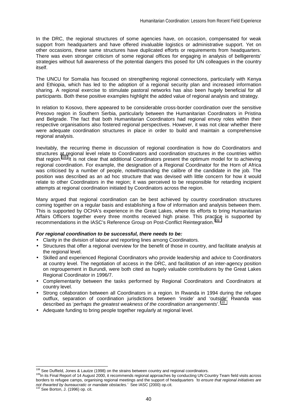In the DRC, the regional structures of some agencies have, on occasion, compensated for weak support from headquarters and have offered invaluable logistics or administrative support. Yet on other occasions, these same structures have duplicated efforts or requirements from headquarters. There was even stronger criticism of some regional offices for engaging in analysis of belligerents' strategies without full awareness of the potential dangers this posed for UN colleagues in the country itself.

The UNCU for Somalia has focused on strengthening regional connections, particularly with Kenya and Ethiopia, which has led to the adoption of a regional security plan and increased information sharing. A regional exercise to stimulate pastoral networks has also been hugely beneficial for all participants. Both these positive examples highlight the added value of regional analysis and strategy.

In relation to Kosovo, there appeared to be considerable cross-border coordination over the sensitive Presovo region in Southern Serbia, particularly between the Humanitarian Coordinators in Pristina and Belgrade. The fact that both Humanitarian Coordinators had regional envoy roles within their respective organisations also fostered regional perspectives. However, it was not clear whether there were adequate coordination structures in place in order to build and maintain a comprehensive regional analysis.

Inevitably, the recurring theme in discussion of regional coordination is how do Coordinators and structures at regional level relate to Coordinators and coordination structures in the countries within that region.<sup>108</sup> It is not clear that additional Coordinators present the optimum model for to achieving regional coordination. For example, the designation of a Regional Coordinator for the Horn of Africa was criticised by a number of people, notwithstanding the calibre of the candidate in the job. The position was described as an ad hoc structure that was devised with little concern for how it would relate to other Coordinators in the region; it was perceived to be responsible for retarding incipient attempts at regional coordination initiated by Coordinators across the region.

Many argued that regional coordination can be best achieved by country coordination structures coming together on a regular basis and establishing a flow of information and analysis between them. This is supported by OCHA's experience in the Great Lakes, where its efforts to bring Humanitarian Affairs Officers together every three months received high praise. This practice is supported by recommendations in the IASC's Reference Group on Post-Conflict Reintegration.<sup>1</sup>

#### *For regional coordination to be successful, there needs to be:*

- Clarity in the division of labour and reporting lines among Coordinators.
- Structures that offer a regional overview for the benefit of those in country, and facilitate analysis at the regional level.
- Skilled and experienced Regional Coordinators who provide leadership and advice to Coordinators at country level. The negotiation of access in the DRC, and facilitation of an inter-agency position on regroupement in Burundi, were both cited as hugely valuable contributions by the Great Lakes Regional Coordinator in 1996/7.
- Complementarity between the tasks performed by Regional Coordinators and Coordinators at country level.
- Strong collaboration between all Coordinators in a region. In Rwanda in 1994 during the refugee outflux, separation of coordination jurisdictions between 'inside' and 'outside' Rwanda was described as '*perhaps the greatest weakness of the coordination arrangements*'.110
- Adequate funding to bring people together regularly at regional level.

<sup>&</sup>lt;sup>108</sup> See Duffield, Jones & Lautze (1998) on the strains between country and regional coordinators.

<sup>108</sup> See Duffield, Jones & Lautze (1998) on the strains between country and regional coordinators. 109In its Final Report of 14 August 2000, it recommends regional approaches by conducting UN Country Team field visits across borders to refugee camps, organising regional meetings and the support of headquarters *'to ensure that regional initiatives are not thwarted by bureaucratic or mandate obstacles.'* See IASC (2000) op.cit.<br><sup>110</sup> See Borton, J. (1996) op. cit.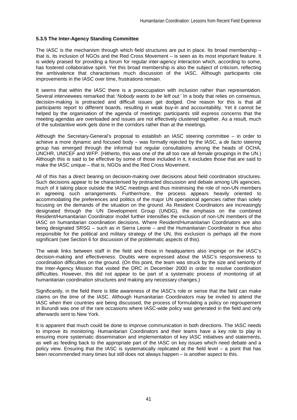## **5.3.5 The Inter-Agency Standing Committee**

The IASC is the mechanism through which field structures are put in place. Its broad membership – that is, its inclusion of NGOs and the Red Cross Movement – is seen as its most important feature. It is widely praised for providing a forum for regular inter-agency interaction which, according to some, has fostered collaborative spirit. Yet this broad membership is also the subject of criticism, reflecting the ambivalence that characterises much discussion of the IASC. Although participants cite improvements in the IASC over time, frustrations remain.

It seems that within the IASC there is a preoccupation with inclusion rather than representation. Several interviewees remarked that '*Nobody wants to be left out*.' In a body that relies on consensus, decision-making is protracted and difficult issues get dodged. One reason for this is that all participants report to different boards, resulting in weak buy-in and accountability. Yet it cannot be helped by the organisation of the agenda of meetings: participants still express concerns that the meeting agendas are overloaded and issues are not effectively clustered together. As a result, much of the substantive work gets done in the corridors rather than at the meetings.

Although the Secretary-General's proposal to establish an IASC steering committee – in order to achieve a more dynamic and focused body – was formally rejected by the IASC, a *de facto* steering group has emerged through the informal but regular consultations among the heads of OCHA, UNCHR, UNICEF and WFP. (Hitherto, this was one of the all too rare all female groupings in the UN.) Although this is said to be effective by some of those included in it, it excludes those that are said to make the IASC unique – that is, NGOs and the Red Cross Movement.

All of this has a direct bearing on decision-making over decisions about field coordination structures. Such decisions appear to be characterised by protracted discussion and debate among UN agencies, much of it taking place outside the IASC meetings and thus minimising the role of non-UN members in agreeing such arrangements. Furthermore, the process appears heavily oriented to accommodating the preferences and politics of the major UN operational agencies rather than solely focusing on the demands of the situation on the ground. As Resident Coordinators are increasingly designated through the UN Development Group (UNDG), the emphasis on the combined Resident/Humanitarian Coordinator model further intensifies the exclusion of non-UN members of the IASC on humanitarian coordination decisions. Where Resident/Humanitarian Coordinators are also being designated SRSG – such as in Sierra Leone – and the Humanitarian Coordinator is thus also responsible for the political and military strategy of the UN, this exclusion is perhaps all the more significant (see Section 6 for discussion of the problematic aspects of this).

The weak links between staff in the field and those in headquarters also impinge on the IASC's decision-making and effectiveness. Doubts were expressed about the IASC's responsiveness to coordination difficulties on the ground. (On this point, the team was struck by the size and seniority of the Inter-Agency Mission that visited the DRC in December 2000 in order to resolve coordination difficulties. However, this did not appear to be part of a systematic process of monitoring of all humanitarian coordination structures and making any necessary changes.)

Significantly, in the field there is little awareness of the IASC's role or sense that the field can make claims on the time of the IASC. Although Humanitarian Coordinators may be invited to attend the IASC when their countries are being discussed, the process of formulating a policy on regroupement in Burundi was one of the rare occasions where IASC-wide policy was generated in the field and only afterwards sent to New York.

It is apparent that much could be done to improve communication in both directions. The IASC needs to improve its monitoring. Humanitarian Coordinators and their teams have a key role to play in ensuring more systematic dissemination and implementation of key IASC initiatives and statements, as well as feeding back to the appropriate part of the IASC on key issues which need debate and a policy view. Ensuring that the IASC is systematically replicated at the field level – a point that has been recommended many times but still does not always happen – is another aspect to this.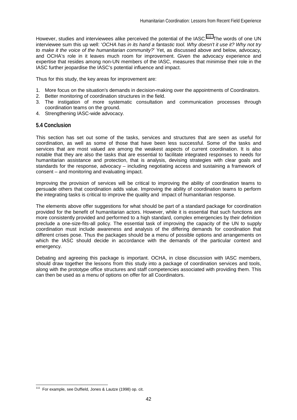However, studies and interviewees alike perceived the potential of the IASC.<sup>111</sup> The words of one UN interviewee sum this up well: '*OCHA has in its hand a fantastic tool. Why doesn't it use it? Why not try to make it the voice of the humanitarian community?*' Yet, as discussed above and below, advocacy, and OCHA's role in it leaves much room for improvement. Given the advocacy experience and expertise that resides among non-UN members of the IASC, measures that minimise their role in the IASC further jeopardise the IASC's potential influence and impact.

Thus for this study, the key areas for improvement are:

- 1. More focus on the situation's demands in decision-making over the appointments of Coordinators.
- 2. Better monitoring of coordination structures in the field.
- 3. The instigation of more systematic consultation and communication processes through coordination teams on the ground.
- 4. Strengthening IASC-wide advocacy.

## **5.4 Conclusion**

This section has set out some of the tasks, services and structures that are seen as useful for coordination, as well as some of those that have been less successful. Some of the tasks and services that are most valued are among the weakest aspects of current coordination. It is also notable that they are also the tasks that are essential to facilitate integrated responses to needs for humanitarian assistance and protection, that is analysis, devising strategies with clear goals and standards for the response, advocacy – including negotiating access and sustaining a framework of consent – and monitoring and evaluating impact.

Improving the provision of services will be critical to improving the ability of coordination teams to persuade others that coordination adds value. Improving the ability of coordination teams to perform the integrating tasks is critical to improve the quality and impact of humanitarian response.

The elements above offer suggestions for what should be part of a standard package for coordination provided for the benefit of humanitarian actors. However, while it is essential that such functions are more consistently provided and performed to a high standard, complex emergencies by their definition preclude a one-size-fits-all policy. The essential task of improving the capacity of the UN to supply coordination must include awareness and analysis of the differing demands for coordination that different crises pose. Thus the packages should be a menu of possible options and arrangements on which the IASC should decide in accordance with the demands of the particular context and emergency.

Debating and agreeing this package is important. OCHA, in close discussion with IASC members, should draw together the lessons from this study into a package of coordination services and tools, along with the prototype office structures and staff competencies associated with providing them. This can then be used as a menu of options on offer for all Coordinators.

<sup>&</sup>lt;sup>111</sup> For example, see Duffield, Jones & Lautze (1998) op. cit.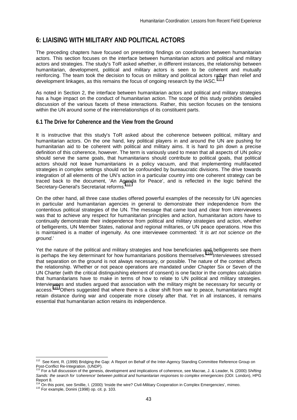# **6: LIAISING WITH MILITARY AND POLITICAL ACTORS**

The preceding chapters have focused on presenting findings on coordination between humanitarian actors. This section focuses on the interface between humanitarian actors and political and military actors and strategies. The study's ToR asked whether, in different instances, the relationship between humanitarian, development, political and military actors is seen to be coherent and mutually reinforcing. The team took the decision to focus on military and political actors rather than relief and development linkages, as this remains the focus of ongoing research by the IASC.<sup>112</sup>

As noted in Section 2, the interface between humanitarian actors and political and military strategies has a huge impact on the conduct of humanitarian action. The scope of this study prohibits detailed discussion of the various facets of these interactions. Rather, this section focuses on the tensions within the UN around some of the interrelationships of its constituent parts.

# **6.1 The Drive for Coherence and the View from the Ground**

It is instructive that this study's ToR asked about the coherence between political, military and humanitarian actors. On the one hand, key political players in and around the UN are pushing for humanitarian aid to be coherent with political and military aims. It is hard to pin down a precise definition of this coherence, however. The term is variously used to mean that all aspects of UN policy should serve the same goals, that humanitarians should contribute to political goals, that political actors should not leave humanitarians in a policy vacuum, and that implementing multifaceted strategies in complex settings should not be confounded by bureaucratic divisions. The drive towards integration of all elements of the UN's action in a particular country into one coherent strategy can be traced back to the document, 'An Agenda for Peace', and is reflected in the logic behind the Secretary-General's Secretariat reforms.<sup>1</sup>

On the other hand, all three case studies offered powerful examples of the necessity for UN agencies in particular and humanitarian agencies in general to demonstrate their independence from the contentious political strategies of the UN. The message that came loud and clear from interviewees was that to achieve any respect for humanitarian principles and action, humanitarian actors have to continually demonstrate their independence from political and military strategies and action, whether of belligerents, UN Member States, national and regional militaries, or UN peace operations. How this is maintained is a matter of ingenuity. As one interviewee commented: '*It is art not science on the ground*.'

Yet the nature of the political and military strategies and how beneficiaries and belligerents see them is perhaps the key determinant for how humanitarians positions themselves.<sup>114</sup> Interviewees stressed that separation on the ground is not always necessary, or possible. The nature of the context affects the relationship. Whether or not peace operations are mandated under Chapter Six or Seven of the UN Charter (with the critical distinguishing element of consent) is one factor in the complex calculation that humanitarians have to make in terms of how to relate to UN political and military strategies. Interviewees and studies argued that association with the military might be necessary for security or access.<sup>115</sup> Others suggested that where there is a clear shift from war to peace, humanitarians might retain distance during war and cooperate more closely after that. Yet in all instances, it remains essential that humanitarian action retains its independence.

<sup>&</sup>lt;sup>112</sup> See Kent, R. (1999) Bridging the Gap: A Report on Behalf of the Inter-Agency Standing Committee Reference Group on Post-Conflict Re-Integration. (UNDP). 113 For a full discussion of the genesis, development and implications of coherence, see Macrae, J. & Leader, N. (2000) *Shifting* 

*Sands: the search for 'coherence' between political and humanitarian responses to complex emergencies* (ODI: London), HPG Report 8.

<sup>114</sup> On this point, see Smillie, I. (2000) 'Inside the wire? Civil-Military Cooperation in Complex Emergencies', mimeo.<br><sup>115</sup> For example, Donini (1998) op. cit. p. 103.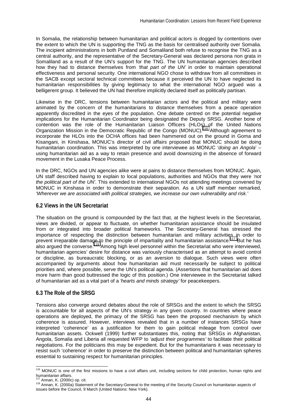In Somalia, the relationship between humanitarian and political actors is dogged by contentions over the extent to which the UN is supporting the TNG as the basis for centralised authority over Somalia. The incipient administrations in both Puntland and Somaliland both refuse to recognise the TNG as a central authority, and the representative of the Secretary-General was declared persona non grata in Somaliland as a result of the UN's support for the TNG. The UN humanitarian agencies described how they had to distance themselves from *'that part of the UN'* in order to maintain operational effectiveness and personal security. One international NGO chose to withdraw from all committees in the SACB except sectoral technical committees because it perceived the UN to have neglected its humanitarian responsibilities by giving legitimacy to what the international NGO argued was a belligerent group. It believed the UN had therefore implicitly declared itself as politically partisan.

Likewise in the DRC, tensions between humanitarian actors and the political and military were animated by the concern of the humanitarians to distance themselves from a peace operation apparently discredited in the eyes of the population. One debate centred on the potential negative implications for the Humanitarian Coordinator being designated the Deputy SRSG. Another bone of contention was the role of the Humanitarian Liaison Officers (HLOs) of the United Nations Organization Mission in the Democratic Republic of the Congo (MONUC).116 Although agreement to incorporate the HLOs into the OCHA offices had been hammered out on the ground in Goma and Kisangani, in Kinshasa, MONUC's director of civil affairs proposed that MONUC should be doing humanitarian coordination. This was interpreted by one interviewee as MONUC '*doing an Angola*' – using humanitarian aid as a way to retain presence and avoid downsizing in the absence of forward movement in the Lusaka Peace Process.

In the DRC, NGOs and UN agencies alike were at pains to distance themselves from MONUC. Again, UN staff described having to explain to local populations, authorities and NGOs that they were *'not the political part of the UN'*. This extended to international NGOs not attending meetings convened by MONUC in Kinshasa in order to demonstrate their separation. As a UN staff member remarked, *'Wherever we are associated with political strategies, we increase our own vulnerability and risk.'* 

# **6.2 Views in the UN Secretariat**

The situation on the ground is compounded by the fact that, at the highest levels in the Secretariat, views are divided, or appear to fluctuate, on whether humanitarian assistance should be insulated from or integrated into broader political frameworks. The Secretary-General has stressed the importance of respecting the distinction between humanitarian and military activities in order to prevent irreparable damage to the principle of impartiality and humanitarian assistance.<sup>117</sup> But he has also argued the converse.118 Among high level personnel within the Secretariat who were interviewed, humanitarian agencies' desire for distance was variously characterised as an attempt to avoid control or discipline, as bureaucratic blocking, or as an aversion to dialogue. Such views were often accompanied by arguments about how humanitarian aid must necessarily be subject to political priorities and, where possible, serve the UN's political agenda. (Assertions that humanitarian aid does more harm than good buttressed the logic of this position.) One interviewee in the Secretariat talked of humanitarian aid as a vital part of a *'hearts and minds strategy'* for peacekeepers.

## **6.3 The Role of the SRSG**

Tensions also converge around debates about the role of SRSGs and the extent to which the SRSG is accountable for all aspects of the UN's strategy in any given country. In countries where peace operations are deployed, the primacy of the SRSG has been the proposed mechanism by which coherence is assured. However, interviews revealed that in a number of instances SRSGs have interpreted 'coherence' as a justification for them to gain political mileage from control over humanitarian assets. Ockwell (1999) further substantiates this, noting that SRSGs in Afghanistan, Angola, Somalia and Liberia all requested WFP to *'adjust their programmes'* to facilitate their political negotiations. For the politicians this may be expedient. But for the humanitarians it was necessary to resist such 'coherence' in order to preserve the distinction between political and humanitarian spheres essential to sustaining respect for humanitarian principles.

<sup>&</sup>lt;sup>116</sup> MONUC is one of the first missions to have a civil affairs unit, including sections for child protection, human rights and humanitarian affairs.<br><sup>117</sup> Annan, K. (2000c) op. cit.

<sup>118</sup> Annan, K. (2000a) Statement of the Secretary-General to the meeting of the Security Council on humanitarian aspects of issues before the Council, 9 March (United Nations: New York).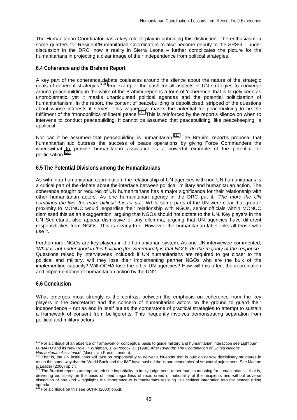The Humanitarian Coordinator has a key role to play in upholding this distinction. The enthusiasm in some quarters for Resident/Humanitarian Coordinators to also become deputy to the SRSG – under discussion in the DRC; now a reality in Sierra Leone – further complicates the picture for the humanitarians in projecting a clear image of their independence from political strategies.

# **6.4 Coherence and the Brahimi Report**

A key part of the coherence debate coalesces around the silence about the nature of the strategic goals of coherent strategies.<sup>119</sup> For example, the push for all aspects of UN strategies to converge around peacebuilding in the wake of the Brahimi report is a form of 'coherence' that is largely seen as unproblematic, yet it masks unarticulated political agendas and the potential politicisation of humanitarianism. In the report, the content of peacebuilding is depoliticised, stripped of the questions about whose interests it serves. This vagueness masks the potential for peacebuilding to be the fulfilment of the 'monopolitics of liberal peace'.<sup>120</sup> This is reinforced by the report's silence on when to intervene to conduct peacebuilding. It cannot be assumed that peacebuilding, like peacekeeping, is apolitical.

Nor can it be assumed that peacebuilding is humanitarian.<sup>121</sup> The Brahimi report's proposal that humanitarian aid buttress the success of peace operations by giving Force Commanders the wherewithal to provide humanitarian assistance is a powerful example of the potential for politicisation.<sup>122</sup>

# **6.5 The Potential Divisions among the Humanitarians**

As with intra-humanitarian coordination, the relationship of UN agencies with non-UN humanitarians is a critical part of the debate about the interface between political, military and humanitarian action. The coherence sought or required of UN humanitarians has a major significance for their relationship with other humanitarian actors. As one humanitarian agency in the DRC put it, *'The more the UN combines the two, the more difficult it is for us.'* While some parts of the UN were clear that greater proximity to MONUC would jeopardise their relationship with NGOs, senior officials within MONUC dismissed this as an exaggeration, arguing that NGOs should not dictate to the UN. Key players in the UN Secretariat also appear dismissive of any dilemma, arguing that UN agencies have different responsibilities from NGOs. This is clearly true. However, the humanitarian label links all those who use it.

Furthermore, NGOs are key players in the humanitarian system. As one UN interviewee commented, *'What is not understood in this building [the Secretariat] is that NGOs do the majority of the response.'*  Questions raised by interviewees included: if UN humanitarians are required to get closer to the political and military, will they lose their implementing partner NGOs who are the bulk of the implementing capacity? Will OCHA lose the other UN agencies? How will this affect the coordination and implementation of humanitarian action by the UN?

# **6.6 Conclusion**

 $\overline{a}$ 

What emerges most strongly is the contrast between the emphasis on coherence from the key players in the Secretariat and the concern of humanitarian actors on the ground to guard their independence – not as end in itself but as the cornerstone of practical strategies to attempt to sustain a framework of consent from belligerents. This frequently involves demonstrating separation from political and military actors.

<sup>&</sup>lt;sup>119</sup> For a critique of an absence of framework or conceptual basis to guide military and humanitarian interaction see Lightburn, D. 'NATO and its New Role' in Whitman, J. & Pocock, D. (1996) *After Rwanda: The Coordination of United Nations* 

*Humanitarian Assistance*' (Macmillan Press: London).<br>
<sup>120</sup> That is, the UN institutions will take on responsibility to deliver a blueprint that is built on narrow disciplinary structures in much the same way that the World Bank and the IMF have pushed the 'mono-economics' of structural adjustment. See Macrae & Leader (2000) op.cit.

The Brahimi report's attempt to redefine impartiality to imply judgement, rather than its meaning for humanitarians – that is, delivering aid solely on the basis of need, regardless of race, creed or nationality of the recipients and without adverse distinction of any kind – highlights the importance of humanitarians resisting its uncritical integration into the peacebuilding

agenda.<br><sup>122</sup> For a critique on this see SCHR (2000) op.cit.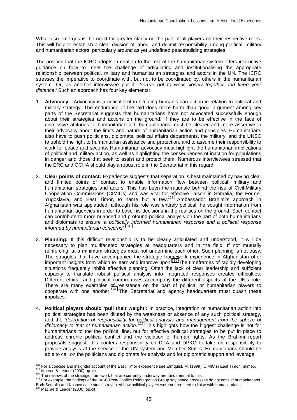What also emerges is the need for greater clarity on the part of all players on their respective roles. This will help to establish a clear division of labour and delimit responsibility among political, military and humanitarian actors, particularly around as yet undefined peacebuilding strategies.

The position that the ICRC adopts in relation to the rest of the humanitarian system offers instructive guidance on how to meet the challenge of articulating and institutionalising the appropriate relationship between political, military and humanitarian strategies and actors in the UN. The ICRC stresses the imperative to coordinate with, but not to be coordinated by, others in the humanitarian system. Or, as another interviewee put it: *'You've got to work closely together and keep your distance.'* Such an approach has four key elements:

- 1. **Advocacy:** Advocacy is a critical tool in situating humanitarian action in relation to political and military strategy. The endurance of the 'aid does more harm than good' argument among key parts of the Secretariat suggests that humanitarians have not advocated successfully enough about their strategies and actions on the ground. If they are to be effective in the face of dismissive attitudes to humanitarian aid, humanitarians must be clearer and more assertive in their advocacy about the limits and nature of humanitarian action and principles. Humanitarians also have to push politicians, diplomats, political affairs departments, the military, and the UNSC to uphold the right to humanitarian assistance and protection, and to assume their responsibility to work for peace and security. Humanitarian advocacy must highlight the humanitarian implications of political and military action, as well as highlighting the consequences of inaction for populations in danger and those that seek to assist and protect them. Numerous interviewees stressed that the ERC and OCHA should play a robust role in the Secretariat in this regard.
- 2. **Clear points of contact:** Experience suggests that separation is best maintained by having clear and limited points of contact to enable information flow between political, military and humanitarian strategies and actors. This has been the rationale behind the rise of Civil-Military Cooperation Commissions (CIMICs) and was vital for effective liaison in Somalia, the Former Yugoslavia, and East Timor, to name but a few.<sup>123</sup> Ambassador Brahimi's approach in Afghanistan was applauded: although his role was entirely political, he sought information from humanitarian agencies in order to base his decisions in the realities on the ground. Such contact can contribute to more nuanced and profound political analysis on the part of both humanitarians and diplomats to ensure *'a politically informed humanitarian response and a political response informed by humanitarian concerns'.*<sup>12</sup>
- 3. **Planning:** If this difficult relationship is to be clearly articulated and understood, it will be necessary to plan multifaceted strategies at headquarters and in the field. If not mutually reinforcing, at a minimum strategies must not undermine each other. Such planning is not easy. The struggles that have accompanied the strategic framework experience in Afghanistan offer important insights from which to learn and improve upon.<sup>125</sup> The timeframes of rapidly developing situations frequently inhibit effective planning. Often the lack of clear leadership and sufficient capacity to translate robust political analysis into integrated responses creates difficulties. Different ethical and political compromises accompany the different aspects of the UN's role. There are many examples of resistance on the part of political or humanitarian players to cooperate with one another.<sup>126</sup> The Secretariat and agency headquarters must quash these impulses.
- 4. **Political players should 'pull their weight':** In practice, integration of humanitarian action into political strategies has been diluted by the weakness or absence of any such political strategy, and the *'delegation of responsibility for political analysis and management from the sphere of diplomacy to that of humanitarian action.'*127 This highlights how the biggest challenge is not for humanitarians to toe the political line, but for effective political strategies to be put in place to address chronic political conflict and the violation of human rights. As the Brahimi report proposals suggest, this confers responsibility on DPA and DPKO to take on responsibility to provide analysis at the service of the UN system and Member States. Humanitarians should be able to call on the politicians and diplomats for analysis and for diplomatic support and leverage.

<sup>&</sup>lt;sup>123</sup> For a concise and insightful account of the East Timor experience see Elmquist, M. (1999) 'CIMIC in East Timor', mimeo.

<sup>126</sup> Hotels & Leader (2000) op. cit.<br>
125 The reviews of the strategic framework that are currently underway are fundamental to this.<br>
<sup>126</sup> For example, the findings of the IASC Post-Conflict Reintegration Group say peace Both Somalia and Kosovo case studies revealed how political players were not required to liaise with humanitarians.

<sup>&</sup>lt;sup>127</sup> Macrae & Leader (2000) op.cit.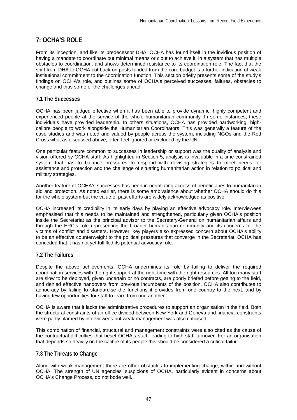# **7: OCHA'S ROLE**

From its inception, and like its predecessor DHA, OCHA has found itself in the invidious position of having a mandate to coordinate but minimal means or clout to achieve it, in a system that has multiple obstacles to coordination, and shows determined resistance to its coordination role. The fact that the shift from DHA to OCHA cut back on posts funded from the core budget is a further indication of weak institutional commitment to the coordination function. This section briefly presents some of the study's findings on OCHA's role, and outlines some of OCHA's perceived successes, failures, obstacles to change and thus some of the challenges ahead.

# **7.1 The Successes**

OCHA has been judged effective when it has been able to provide dynamic, highly competent and experienced people at the service of the whole humanitarian community. In some instances, these individuals have provided leadership. In others situations, OCHA has provided hardworking, highcalibre people to work alongside the Humanitarian Coordinators. This was generally a feature of the case studies and was noted and valued by people across the system, including NGOs and the Red Cross who, as discussed above, often feel ignored or excluded by the UN.

One particular feature common to successes in leadership or support was the quality of analysis and vision offered by OCHA staff. As highlighted in Section 5, analysis is invaluable in a time-constrained system that has to balance pressures to respond with devising strategies to meet needs for assistance and protection and the challenge of situating humanitarian action in relation to political and military strategies.

Another feature of OCHA's successes has been in negotiating access of beneficiaries to humanitarian aid and protection. As noted earlier, there is some ambivalence about whether OCHA should do this for the whole system but the value of past efforts are widely acknowledged as positive.

OCHA increased its credibility in its early days by playing an effective advocacy role. Interviewees emphasised that this needs to be maintained and strengthened, particularly given OCHA's position inside the Secretariat as the principal advisor to the Secretary-General on humanitarian affairs and through the ERC's role representing the broader humanitarian community and its concerns for the victims of conflict and disasters. However, key players also expressed concern about OCHA's ability to be an effective counterweight to the political pressures that converge in the Secretariat. OCHA has conceded that it has not yet fulfilled its potential advocacy role.

# **7.2 The Failures**

Despite the above achievements, OCHA undermines its role by failing to deliver the required coordination services with the right support at the right time with the right resources. All too many staff are slow to be deployed, given uncertain or no contracts, are poorly briefed before getting to the field, and denied effective handovers from previous incumbents of the position. OCHA also contributes to adhocracy by failing to standardise the functions it provides from one country to the next, and by having few opportunities for staff to learn from one another.

OCHA is aware that it lacks the administrative procedures to support an organisation in the field. Both the structural constraints of an office divided between New York and Geneva and financial constraints were partly blamed by interviewees but weak management was also criticised.

This combination of financial, structural and management constraints were also cited as the cause of the contractual difficulties that beset OCHA's staff, leading to high staff turnover. For an organisation that depends so heavily on the calibre of its people this should be considered a critical failure.

# **7.3 The Threats to Change**

Along with weak management there are other obstacles to implementing change, within and without OCHA. The strength of UN agencies' suspicions of OCHA, particularly evident in concerns about OCHA's Change Process, do not bode well.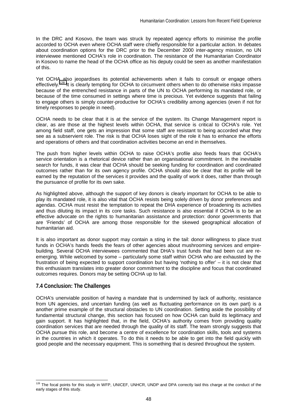In the DRC and Kosovo, the team was struck by repeated agency efforts to minimise the profile accorded to OCHA even where OCHA staff were chiefly responsible for a particular action. In debates about coordination options for the DRC prior to the December 2000 inter-agency mission, no UN interviewee mentioned OCHA's role in coordination. The resistance of the Humanitarian Coordinator in Kosovo to name the head of the OCHA office as his deputy could be seen as another manifestation of this.

Yet OCHA also jeopardises its potential achievements when it fails to consult or engage others effectively.<sup>128</sup> It is clearly tempting for OCHA to circumvent others when to do otherwise risks impasse because of the entrenched resistance in parts of the UN to OCHA performing its mandated role, or because of the time consumed in settings where time is precious. Yet evidence suggests that failing to engage others is simply counter-productive for OCHA's credibility among agencies (even if not for timely responses to people in need).

OCHA needs to be clear that it is at the service of the system. Its Change Management report is clear, as are those at the highest levels within OCHA, that service is critical to OCHA's role. Yet among field staff, one gets an impression that some staff are resistant to being accorded what they see as a subservient role. The risk is that OCHA loses sight of the role it has to enhance the efforts and operations of others and that coordination activities become an end in themselves.

The push from higher levels within OCHA to raise OCHA's profile also feeds fears that OCHA's service orientation is a rhetorical device rather than an organisational commitment. In the inevitable search for funds, it was clear that OCHA should be seeking funding for coordination and coordinated outcomes rather than for its own agency profile. OCHA should also be clear that its profile will be earned by the reputation of the services it provides and the quality of work it does, rather than through the pursuance of profile for its own sake.

As highlighted above, although the support of key donors is clearly important for OCHA to be able to play its mandated role, it is also vital that OCHA resists being solely driven by donor preferences and agendas. OCHA must resist the temptation to repeat the DHA experience of broadening its activities and thus diluting its impact in its core tasks. Such resistance is also essential if OCHA is to be an effective advocate on the rights to humanitarian assistance and protection: donor governments that are 'Friends' of OCHA are among those responsible for the skewed geographical allocation of humanitarian aid.

It is also important as donor support may contain a sting in the tail: donor willingness to place trust funds in OCHA's hands feeds the fears of other agencies about mushrooming services and empirebuilding. Several OCHA interviewees commented that DHA's trust funds that had been cut are reemerging. While welcomed by some – particularly some staff within OCHA who are exhausted by the frustration of being expected to support coordination but having 'nothing to offer' – it is not clear that this enthusiasm translates into greater donor commitment to the discipline and focus that coordinated outcomes requires. Donors may be setting OCHA up to fail.

# **7.4 Conclusion: The Challenges**

l

OCHA's unenviable position of having a mandate that is undermined by lack of authority, resistance from UN agencies, and uncertain funding (as well as fluctuating performance on its own part) is a another prime example of the structural obstacles to UN coordination. Setting aside the possibility of fundamental structural change, this section has focused on how OCHA can build its legitimacy and gain support. It has highlighted that, in the field, OCHA's authority comes from providing quality coordination services that are needed through the quality of its staff. The team strongly suggests that OCHA pursue this role, and become a centre of excellence for coordination skills, tools and systems in the countries in which it operates. To do this it needs to be able to get into the field quickly with good people and the necessary equipment. This is something that is desired throughout the system.

<sup>&</sup>lt;sup>128</sup> The focal points for this study in WFP, UNICEF, UNHCR, UNDP and DPA correctly laid this charge at the conduct of the early stages of this study.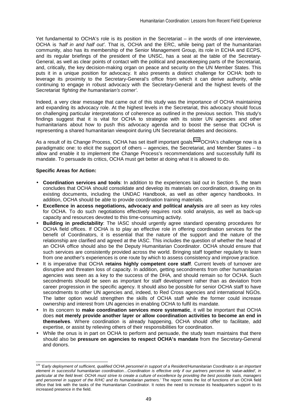Yet fundamental to OCHA's role is its position in the Secretariat – in the words of one interviewee, OCHA is *'half in and half out'*. That is, OCHA and the ERC, while being part of the humanitarian community, also has its membership of the Senior Management Group, its role in ECHA and ECPS, and its regular briefings of the president of the UNSC, has a seat at the table of the Secretary-General, as well as clear points of contact with the political and peacekeeping parts of the Secretariat, and, critically, the key decision-making organ on peace and security on the UN Member States. This puts it in a unique position for advocacy. It also presents a distinct challenge for OCHA: both to leverage its proximity to the Secretary-General's office from which it can derive authority, while continuing to engage in robust advocacy with the Secretary-General and the highest levels of the Secretariat *'fighting the humanitarian's corner'*.

Indeed, a very clear message that came out of this study was the importance of OCHA maintaining and expanding its advocacy role. At the highest levels in the Secretariat, this advocacy should focus on challenging particular interpretations of coherence as outlined in the previous section. This study's findings suggest that it is vital for OCHA to strategise with its sister UN agencies and other humanitarians about how to push this advocacy agenda and to boost the sense that OCHA is representing a shared humanitarian viewpoint during UN Secretariat debates and decisions.

As a result of its Change Process, OCHA has set itself important goals.<sup>129</sup> OCHA's challenge now is a paradigmatic one: to elicit the support of others – agencies, the Secretariat, and Member States – to allow and enable it to implement the Change Process's recommendations and successfully fulfil its mandate. To persuade its critics, OCHA must get better at doing what it is allowed to do.

## **Specific Areas for Action:**

- **Coordination services and tools**: In addition to the experiences laid out in Section 5, the team concludes that OCHA should consolidate and develop its materials on coordination, drawing on its existing documents, including the UNDAC Handbook, as well as other agency handbooks. In addition, OCHA should be able to provide coordination training materials.
- **Excellence in access negotiations, advocacy and political analysis** are all seen as key roles for OCHA. To do such negotiations effectively requires rock solid analysis, as well as back-up capacity and resources devoted to this time-consuming activity.
- **Building in predictability**: The IASC should urgently agree standard operating procedures for OCHA field offices. If OCHA is to play an effective role in offering coordination services for the benefit of Coordinators, it is essential that the nature of the support and the nature of the relationship are clarified and agreed at the IASC. This includes the question of whether the head of an OCHA office should also be the Deputy Humanitarian Coordinator. OCHA should ensure that such services are consistently provided across the world. Bringing staff together regularly to learn from one another's experiences is one route by which to assess consistency and improve practice.
- It is imperative that OCHA **retains highly competent core staff**. Current levels of turnover are disruptive and threaten loss of capacity. In addition, getting secondments from other humanitarian agencies was seen as a key to the success of the DHA, and should remain so for OCHA. Such secondments should be seen as important for staff development rather than as deviation from career progression in the specific agency. It should also be possible for senior OCHA staff to have secondments to other UN agencies and, indeed, to Red Cross agencies and international NGOs. The latter option would strengthen the skills of OCHA staff while the former could increase ownership and interest from UN agencies in enabling OCHA to fulfil its mandate.
- In its concern to **make coordination services more systematic**, it will be important that OCHA does **not merely provide another layer or allow coordination activities to become an end in themselves**. Where coordination is already happening, OCHA should offer to facilitate, add expertise, or assist by relieving others of their responsibilities for coordination.
- While the onus is in part on OCHA to perform and persuade, the study team maintains that there should also be **pressure on agencies to respect OCHA's mandate** from the Secretary-General and donors.

l <sup>129</sup> *'Early deployment of sufficient, qualified OCHA personnel in support of a Resident/Humanitarian Coordinator is an important element in successful humanitarian coordination…Coordination is effective only if our partners perceive its 'value-added', in particular at the field level. OCHA must strive to create a culture of excellence by providing the best possible tools, managers and personnel in support of the R/HC and its humanitarian partners.'* The report notes the list of functions of an OCHA field office that link with the tasks of the Humanitarian Coordinator. It notes the need to increase its headquarters support to its increased presence in the field.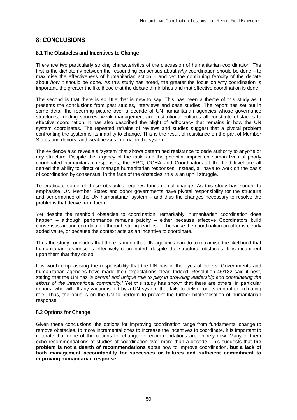# **8: CONCLUSIONS**

# **8.1 The Obstacles and Incentives to Change**

There are two particularly striking characteristics of the discussion of humanitarian coordination. The first is the dichotomy between the resounding consensus about *why* coordination should be done – to maximise the effectiveness of humanitarian action – and yet the continuing ferocity of the debate about *how* it should be done. As this study has noted, the greater the focus on why coordination is important, the greater the likelihood that the debate diminishes and that effective coordination is done.

The second is that there is so little that is new to say. This has been a theme of this study as it presents the conclusions from past studies, interviews and case studies. The report has set out in some detail the recurring picture over a decade of UN humanitarian agencies whose governance structures, funding sources, weak management and institutional cultures all constitute obstacles to effective coordination. It has also described the blight of adhocracy that remains in how the UN system coordinates. The repeated refrains of reviews and studies suggest that a pivotal problem confronting the system is its inability to change. This is the result of resistance on the part of Member States and donors, and weaknesses internal to the system.

The evidence also reveals a 'system' that shows determined resistance to cede authority to anyone or any structure. Despite the urgency of the task, and the potential impact on human lives of poorly coordinated humanitarian responses, the ERC, OCHA and Coordinators at the field level are all denied the ability to direct or manage humanitarian responses. Instead, all have to work on the basis of coordination by consensus. In the face of the obstacles, this is an uphill struggle.

To eradicate some of these obstacles requires fundamental change. As this study has sought to emphasise, UN Member States and donor governments have pivotal responsibility for the structure and performance of the UN humanitarian system – and thus the changes necessary to resolve the problems that derive from them.

Yet despite the manifold obstacles to coordination, remarkably, humanitarian coordination does happen – although performance remains patchy – either because effective Coordinators build consensus around coordination through strong leadership, because the coordination on offer is clearly added value, or because the context acts as an incentive to coordinate.

Thus the study concludes that there is much that UN agencies can do to maximise the likelihood that humanitarian response is effectively coordinated, despite the structural obstacles. It is incumbent upon them that they do so.

It is worth emphasising the responsibility that the UN has in the eyes of others. Governments and humanitarian agencies have made their expectations clear. Indeed, Resolution 46/182 said it best, stating that the UN has *'a central and unique role to play in providing leadership and coordinating the efforts of the international community.'* Yet this study has shown that there are others, in particular donors, who will fill any vacuums left by a UN system that fails to deliver on its central coordinating role. Thus, the onus is on the UN to perform to prevent the further bilateralisation of humanitarian response.

# **8.2 Options for Change**

Given these conclusions, the options for improving coordination range from fundamental change to remove obstacles, to more incremental ones to increase the incentives to coordinate. It is important to reiterate that none of the options for change or recommendations are entirely new. Many of them echo recommendations of studies of coordination over more than a decade. This suggests that the **problem is not a dearth of recommendations** about how to improve coordination, **but a lack of both management accountability for successes or failures and sufficient commitment to improving humanitarian response.**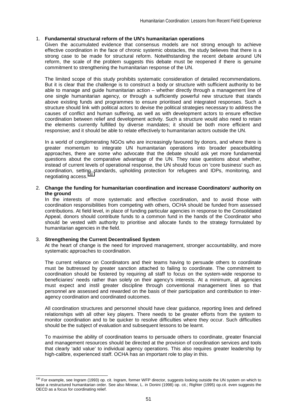## 1. **Fundamental structural reform of the UN's humanitarian operations**

Given the accumulated evidence that consensus models are not strong enough to achieve effective coordination in the face of chronic systemic obstacles, the study believes that there is a strong case to be made for structural reform. Notwithstanding the recent debate around UN reform, the scale of the problem suggests this debate must be reopened if there is genuine commitment to strengthening the humanitarian response of the UN.

The limited scope of this study prohibits systematic consideration of detailed recommendations. But it is clear that the challenge is to construct a body or structure with sufficient authority to be able to manage and guide humanitarian action – whether directly through a management line of one single humanitarian agency, or through a sufficiently powerful new structure that stands above existing funds and programmes to ensure prioritised and integrated responses. Such a structure should link with political actors to devise the political strategies necessary to address the causes of conflict and human suffering, as well as with development actors to ensure effective coordination between relief and development activity. Such a structure would also need to retain the elements currently fulfilled by diverse mandates; it should be both more efficient and responsive; and it should be able to relate effectively to humanitarian actors outside the UN.

In a world of conglomerating NGOs who are increasingly favoured by donors, and where there is greater momentum to integrate UN humanitarian operations into broader peacebuilding approaches, there are some who advocate that the debate should ask yet more fundamental questions about the comparative advantage of the UN. They raise questions about whether, instead of current levels of operational response, the UN should focus on 'core business' such as coordination, setting standards, upholding protection for refugees and IDPs, monitoring, and negotiating access.<sup>130</sup>

## 2. **Change the funding for humanitarian coordination and increase Coordinators' authority on the ground**

In the interests of more systematic and effective coordination, and to avoid those with coordination responsibilities from competing with others, OCHA should be funded from assessed contributions. At field level, in place of funding particular agencies in response to the Consolidated Appeal, donors should contribute funds to a common fund in the hands of the Coordinator who should be vested with authority to prioritise and allocate funds to the strategy formulated by humanitarian agencies in the field.

#### 3. **Strengthening the Current Decentralised System**

 $\overline{a}$ 

At the heart of change is the need for improved management, stronger accountability, and more systematic approaches to coordination.

The current reliance on Coordinators and their teams having to persuade others to coordinate must be buttressed by greater sanction attached to failing to coordinate. The commitment to coordination should be fostered by requiring all staff to focus on the system-wide response to beneficiaries' needs rather than solely on their agency's interests. At a minimum, all agencies must expect and instil greater discipline through conventional management lines so that personnel are assessed and rewarded on the basis of their participation and contribution to interagency coordination and coordinated outcomes.

All coordination structures and personnel should have clear guidance, reporting lines and defined relationships with all other key players. There needs to be greater efforts from the system to monitor coordination and to be quicker to resolve difficulties where they occur. Such difficulties should be the subject of evaluation and subsequent lessons to be learnt.

To maximise the ability of coordination teams to persuade others to coordinate, greater financial and management resources should be directed at the provision of coordination services and tools that clearly 'add value' to individual agency operations. This also requires greater leadership by high-calibre, experienced staff. OCHA has an important role to play in this.

<sup>&</sup>lt;sup>130</sup> For example, see Ingram (1993) op. cit. Ingram, former WFP director, suggests looking outside the UN system on which to base a restructured humanitarian order. See also Minear, L. in Donini (1998) op. cit.; Righter (1995) op.cit. even suggests the OECD as a focus for coordinating relief.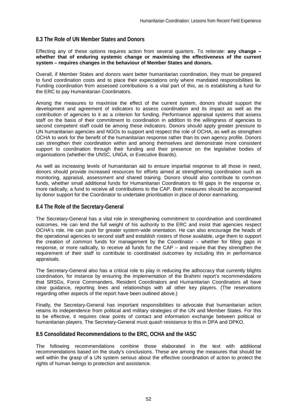# **8.3 The Role of UN Member States and Donors**

Effecting any of these options requires action from several quarters. To reiterate: **any change – whether that of enduring systemic change or maximising the effectiveness of the current system – requires changes in the behaviour of Member States and donors.**

Overall, if Member States and donors want better humanitarian coordination, they must be prepared to fund coordination costs and to place their expectations only where mandated responsibilities lie. Funding coordination from assessed contributions is a vital part of this, as is establishing a fund for the ERC to pay Humanitarian Coordinators.

Among the measures to maximise the effect of the current system, donors should support the development and agreement of indicators to assess coordination and its impact as well as the contribution of agencies to it as a criterion for funding. Performance appraisal systems that assess staff on the basis of their commitment to coordination in addition to the willingness of agencies to second competent staff could be among these indicators. Donors should apply greater pressure to UN humanitarian agencies and NGOs to support and respect the role of OCHA, as well as strengthen OCHA to work for the benefit of the humanitarian response rather than its own agency profile. Donors can strengthen their coordination within and among themselves and demonstrate more consistent support to coordination through their funding and their presence on the legislative bodies of organisations (whether the UNSC, UNGA, or Executive Boards).

As well as increasing levels of humanitarian aid to ensure impartial response to all those in need, donors should provide increased resources for efforts aimed at strengthening coordination such as monitoring, appraisal, assessment and shared training. Donors should also contribute to common funds, whether small additional funds for Humanitarian Coordinators to fill gaps in the response or, more radically, a fund to receive all contributions to the CAP. Both measures should be accompanied by donor support for the Coordinator to undertake prioritisation in place of donor earmarking.

## **8.4 The Role of the Secretary-General**

The Secretary-General has a vital role in strengthening commitment to coordination and coordinated outcomes. He can lend the full weight of his authority to the ERC and insist that agencies respect OCHA's role. He can push for greater system-wide orientation. He can also encourage the heads of the operational agencies to second staff and establish rosters of those available, urge them to support the creation of common funds for management by the Coordinator – whether for filling gaps in response, or more radically, to receive all funds for the CAP – and require that they strengthen the requirement of their staff to contribute to coordinated outcomes by including this in performance appraisals.

The Secretary-General also has a critical role to play in reducing the adhocracy that currently blights coordination, for instance by ensuring the implementation of the Brahimi report's recommendations that SRSGs, Force Commanders, Resident Coordinators and Humanitarian Coordinators all have clear guidance, reporting lines and relationships with all other key players. (The reservations regarding other aspects of the report have been outlined above.)

Finally, the Secretary-General has important responsibilities to advocate that humanitarian action retains its independence from political and military strategies of the UN and Member States. For this to be effective, it requires clear points of contact and information exchange between political or humanitarian players. The Secretary-General must quash resistance to this in DPA and DPKO.

## **8.5 Consolidated Recommendations to the ERC, OCHA and the IASC**

The following recommendations combine those elaborated in the text with additional recommendations based on the study's conclusions. These are among the measures that should be well within the grasp of a UN system serious about the effective coordination of action to protect the rights of human beings to protection and assistance.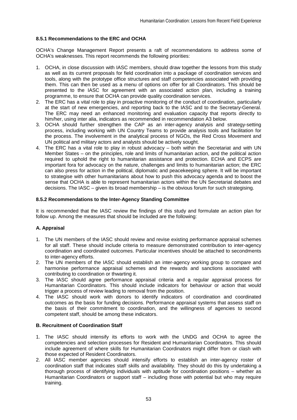### **8.5.1 Recommendations to the ERC and OCHA**

OCHA's Change Management Report presents a raft of recommendations to address some of OCHA's weaknesses. This report recommends the following priorities:

- 1. OCHA, in close discussion with IASC members, should draw together the lessons from this study as well as its current proposals for field coordination into a package of coordination services and tools, along with the prototype office structures and staff competencies associated with providing them. This can then be used as a menu of options on offer for all Coordinators. This should be presented to the IASC for agreement with an associated action plan, including a training programme, to ensure that OCHA can provide quality coordination services.
- 2. The ERC has a vital role to play in proactive monitoring of the conduct of coordination, particularly at the start of new emergencies, and reporting back to the IASC and to the Secretary-General. The ERC may need an enhanced monitoring and evaluation capacity that reports directly to him/her, using inter alia, indicators as recommended in recommendation A3 below.
- 3. OCHA should further strengthen the CAP as an inter-agency analysis and strategy-setting process, including working with UN Country Teams to provide analysis tools and facilitation for the process. The involvement in the analytical process of NGOs, the Red Cross Movement and UN political and military actors and analysts should be actively sought.
- 4. The ERC has a vital role to play in robust advocacy both within the Secretariat and with UN Member States – on the principles, role and limits of humanitarian action, and the political action required to uphold the right to humanitarian assistance and protection. ECHA and ECPS are important fora for advocacy on the nature, challenges and limits to humanitarian action; the ERC can also press for action in the political, diplomatic and peacekeeping sphere. It will be important to strategise with other humanitarians about how to push this advocacy agenda and to boost the sense that OCHA is able to represent humanitarian actors within the UN Secretariat debates and decisions. The IASC – given its broad membership – is the obvious forum for such strategising.

#### **8.5.2 Recommendations to the Inter-Agency Standing Committee**

It is recommended that the IASC review the findings of this study and formulate an action plan for follow up. Among the measures that should be included are the following:

## **A. Appraisal**

- 1. The UN members of the IASC should review and revise existing performance appraisal schemes for all staff. These should include criteria to measure demonstrated contribution to inter-agency coordination and coordinated outcomes. Particular incentives should be attached to secondments to inter-agency efforts.
- 2. The UN members of the IASC should establish an inter-agency working group to compare and harmonise performance appraisal schemes and the rewards and sanctions associated with contributing to coordination or thwarting it.
- 3. The IASC should agree performance appraisal criteria and a regular appraisal process for Humanitarian Coordinators. This should include indicators for behaviour or action that would trigger a process of review leading to removal from the position.
- 4. The IASC should work with donors to identify indicators of coordination and coordinated outcomes as the basis for funding decisions. Performance appraisal systems that assess staff on the basis of their commitment to coordination, and the willingness of agencies to second competent staff, should be among these indicators.

## **B. Recruitment of Coordination Staff**

- 1. The IASC should intensify its efforts to work with the UNDG and OCHA to agree the competencies and selection processes for Resident and Humanitarian Coordinators. This should include agreement of where skills for Humanitarian Coordinators might differ from or clash with those expected of Resident Coordinators.
- 2. All IASC member agencies should intensify efforts to establish an inter-agency roster of coordination staff that indicates staff skills and availability. They should do this by undertaking a thorough process of identifying individuals with aptitude for coordination positions – whether as Humanitarian Coordinators or support staff – including those with potential but who may require training.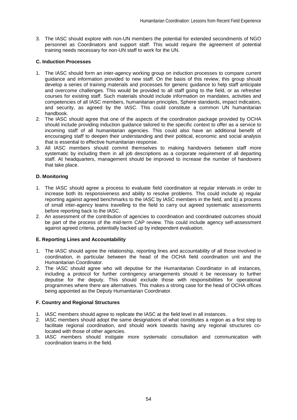3. The IASC should explore with non-UN members the potential for extended secondments of NGO personnel as Coordinators and support staff. This would require the agreement of potential training needs necessary for non-UN staff to work for the UN.

### **C. Induction Processes**

- 1. The IASC should form an inter-agency working group on induction processes to compare current guidance and information provided to new staff. On the basis of this review, this group should develop a series of training materials and processes for generic guidance to help staff anticipate and overcome challenges. This would be provided to all staff going to the field, or as refresher courses for existing staff. Such materials should include information on mandates, activities and competencies of all IASC members, humanitarian principles, Sphere standards, impact indicators, and security, as agreed by the IASC. This could constitute a common UN humanitarian handbook.
- 2. The IASC should agree that one of the aspects of the coordination package provided by OCHA should include providing induction guidance tailored to the specific context to offer as a service to incoming staff of all humanitarian agencies. This could also have an additional benefit of encouraging staff to deepen their understanding and their political, economic and social analysis that is essential to effective humanitarian response.
- 3. All IASC members should commit themselves to making handovers between staff more systematic by including them in all job descriptions as a corporate requirement of all departing staff. At headquarters, management should be improved to increase the number of handovers that take place.

## **D. Monitoring**

- 1. The IASC should agree a process to evaluate field coordination at regular intervals in order to increase both its responsiveness and ability to resolve problems. This could include a) regular reporting against agreed benchmarks to the IASC by IASC members in the field, and b) a process of small inter-agency teams travelling to the field to carry out agreed systematic assessments before reporting back to the IASC.
- 2. An assessment of the contribution of agencies to coordination and coordinated outcomes should be part of the process of the mid-term CAP review. This could include agency self-assessment against agreed criteria, potentially backed up by independent evaluation.

## **E. Reporting Lines and Accountability**

- 1. The IASC should agree the relationship, reporting lines and accountability of all those involved in coordination, in particular between the head of the OCHA field coordination unit and the Humanitarian Coordinator.
- 2. The IASC should agree who will deputise for the Humanitarian Coordinator in all instances, including a protocol for further contingency arrangements should it be necessary to further deputise for the deputy. This should exclude those with responsibilities for operational programmes where there are alternatives. This makes a strong case for the head of OCHA offices being appointed as the Deputy Humanitarian Coordinator.

## **F. Country and Regional Structures**

- 1. IASC members should agree to replicate the IASC at the field level in all instances.
- 2. IASC members should adopt the same designations of what constitutes a region as a first step to facilitate regional coordination, and should work towards having any regional structures colocated with those of other agencies.
- 3. IASC members should instigate more systematic consultation and communication with coordination teams in the field.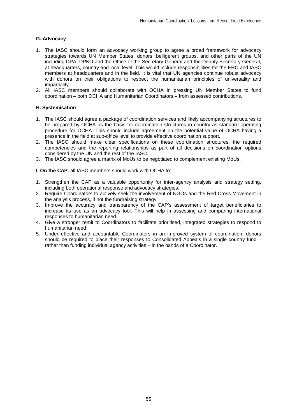### **G. Advocacy**

- 1. The IASC should form an advocacy working group to agree a broad framework for advocacy strategies towards UN Member States, donors, belligerent groups, and other parts of the UN including DPA, DPKO and the Office of the Secretary-General and the Deputy Secretary-General, at headquarters, country and local level. This would include responsibilities for the ERC and IASC members at headquarters and in the field. It is vital that UN agencies continue robust advocacy with donors on their obligations to respect the humanitarian principles of universality and impartiality.
- 2. All IASC members should collaborate with OCHA in pressing UN Member States to fund coordination – both OCHA and Humanitarian Coordinators – from assessed contributions.

### **H. Systemisation**

- 1. The IASC should agree a package of coordination services and likely accompanying structures to be prepared by OCHA as the basis for coordination structures in country as standard operating procedure for OCHA. This should include agreement on the potential value of OCHA having a presence in the field at sub-office level to provide effective coordination support.
- 2. The IASC should make clear specifications on these coordination structures, the required competencies and the reporting relationships as part of all decisions on coordination options considered by the UN and the rest of the IASC.
- 3. The IASC should agree a matrix of MoUs to be negotiated to complement existing MoUs.

**I. On the CAP**, all IASC members should work with OCHA to:

- 1. Strengthen the CAP as a valuable opportunity for inter-agency analysis and strategy setting, including both operational response and advocacy strategies.
- 2. Require Coordinators to actively seek the involvement of NGOs and the Red Cross Movement in the analysis process, if not the fundraising strategy.
- 3. Improve the accuracy and transparency of the CAP's assessment of target beneficiaries to increase its use as an advocacy tool. This will help in assessing and comparing international responses to humanitarian need.
- 4. Give a stronger remit to Coordinators to facilitate prioritised, integrated strategies to respond to humanitarian need.
- 5. Under effective and accountable Coordinators in an improved system of coordination, donors should be required to place their responses to Consolidated Appeals in a single country fund – rather than funding individual agency activities – in the hands of a Coordinator.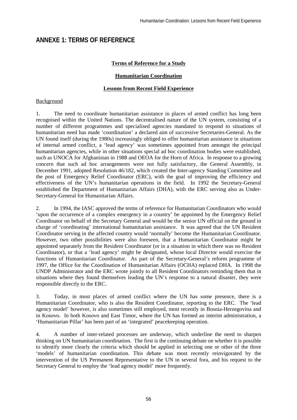# **ANNEXE 1: TERMS OF REFERENCE**

### **Terms of Reference for a Study**

#### **Humanitarian Coordination**

#### **Lessons from Recent Field Experience**

#### **Background**

1. The need to coordinate humanitarian assistance in places of armed conflict has long been recognised within the United Nations. The decentralised nature of the UN system, consisting of a number of different programmes and specialised agencies mandated to respond to situations of humanitarian need has made 'coordination' a declared aim of successive Secretaries-General. As the UN found itself (during the 1980s) increasingly obliged to offer humanitarian assistance in situations of internal armed conflict, a 'lead agency' was sometimes appointed from amongst the principal humanitarian agencies, while in other situations special ad hoc coordination bodies were established, such as UNOCA for Afghanistan in 1988 and OEOA for the Horn of Africa. In response to a growing concern that such ad hoc arrangements were not fully satisfactory, the General Assembly, in December 1991, adopted Resolution 46/182, which created the Inter-agency Standing Committee and the post of Emergency Relief Coordinator (ERC), with the goal of improving the efficiency and effectiveness of the UN's humanitarian operations in the field. In 1992 the Secretary-General established the Department of Humanitarian Affairs (DHA), with the ERC serving also as Under-Secretary-General for Humanitarian Affairs.

2. In 1994, the IASC approved the terms of reference for Humanitarian Coordinators who would 'upon the occurrence of a complex emergency in a country' be appointed by the Emergency Relief Coordinator on behalf of the Secretary General and would be the senior UN official on the ground in charge of 'coordinating' international humanitarian assistance. It was agreed that the UN Resident Coordinator serving in the affected country would 'normally' become the Humanitarian Coordinator. However, two other possibilities were also foreseen, that a Humanitarian Coordinator might be appointed separately from the Resident Coordinator (or in a situation in which there was no Resident Coordinator), or that a 'lead agency' might be designated, whose local Director would exercise the functions of Humanitarian Coordinator. As part of the Secretary-General's reform programme of 1997, the Office for the Coordination of Humanitarian Affairs (OCHA) replaced DHA. In 1998 the UNDP Administrator and the ERC wrote jointly to all Resident Coordinators reminding them that in situations where they found themselves leading the UN's response to a natural disaster, they were responsible directly to the ERC.

3. Today, in most places of armed conflict where the UN has some presence, there is a Humanitarian Coordinator, who is also the Resident Coordinator, reporting to the ERC. The 'lead agency model' however, is also sometimes still employed, most recently in Bosnia-Herzegovina and in Kosovo. In both Kosovo and East Timor, where the UN has formed an interim administration, a 'Humanitarian Pillar' has been part of an 'integrated' peacekeeping operation.

4. A number of inter-related processes are underway, which underline the need to sharpen thinking on UN humanitarian coordination. The first is the continuing debate on whether it is possible to identify more clearly the criteria which should be applied in selecting one or other of the three 'models' of humanitarian coordination. This debate was most recently reinvigorated by the intervention of the US Permanent Representative to the UN in several fora, and his request to the Secretary General to employ the 'lead agency model' more frequently.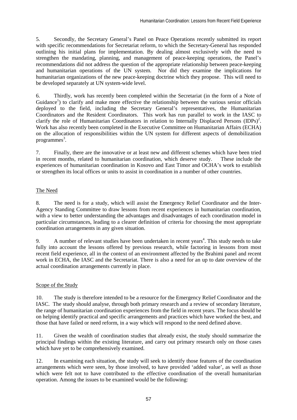5. Secondly, the Secretary General's Panel on Peace Operations recently submitted its report with specific recommendations for Secretariat reform, to which the Secretary-General has responded outlining his initial plans for implementation. By dealing almost exclusively with the need to strengthen the mandating, planning, and management of peace-keeping operations, the Panel's recommendations did not address the question of the appropriate relationship between peace-keeping and humanitarian operations of the UN system. Nor did they examine the implications for humanitarian organizations of the new peace-keeping doctrine which they propose. This will need to be developed separately at UN system-wide level.

6. Thirdly, work has recently been completed within the Secretariat (in the form of a Note of Guidance<sup>1</sup>) to clarify and make more effective the relationship between the various senior officials deployed to the field, including the Secretary General's representatives, the Humanitarian Coordinators and the Resident Coordinators. This work has run parallel to work in the IASC to clarify the role of Humanitarian Coordinators in relation to Internally Displaced Persons  $(IDPs)^{2}$ . Work has also recently been completed in the Executive Committee on Humanitarian Affairs (ECHA) on the allocation of responsibilities within the UN system for different aspects of demobilization programmes<sup>3</sup>.

7. Finally, there are the innovative or at least new and different schemes which have been tried in recent months, related to humanitarian coordination, which deserve study. These include the experiences of humanitarian coordination in Kosovo and East Timor and OCHA's work to establish or strengthen its local offices or units to assist in coordination in a number of other countries.

## The Need

8. The need is for a study, which will assist the Emergency Relief Coordinator and the Inter-Agency Standing Committee to draw lessons from recent experiences in humanitarian coordination, with a view to better understanding the advantages and disadvantages of each coordination model in particular circumstances, leading to a clearer definition of criteria for choosing the most appropriate coordination arrangements in any given situation.

9. A number of relevant studies have been undertaken in recent years<sup>4</sup>. This study needs to take fully into account the lessons offered by previous research, while factoring in lessons from most recent field experience, all in the context of an environment affected by the Brahimi panel and recent work in ECHA, the IASC and the Secretariat. There is also a need for an up to date overview of the actual coordination arrangements currently in place.

## Scope of the Study

10. The study is therefore intended to be a resource for the Emergency Relief Coordinator and the IASC. The study should analyse, through both primary research and a review of secondary literature, the range of humanitarian coordination experiences from the field in recent years. The focus should be on helping identify practical and specific arrangements and practices which have worked the best, and those that have failed or need reform, in a way which will respond to the need defined above.

11. Given the wealth of coordination studies that already exist, the study should summarize the principal findings within the existing literature, and carry out primary research only on those cases which have yet to be comprehensively examined.

12. In examining each situation, the study will seek to identify those features of the coordination arrangements which were seen, by those involved, to have provided 'added value', as well as those which were felt not to have contributed to the effective coordination of the overall humanitarian operation. Among the issues to be examined would be the following: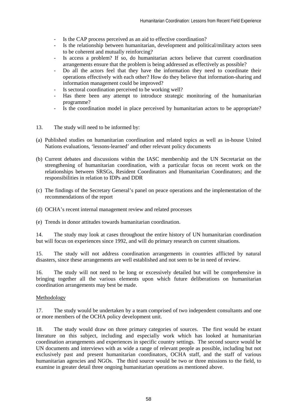- Is the CAP process perceived as an aid to effective coordination?
- Is the relationship between humanitarian, development and political/military actors seen to be coherent and mutually reinforcing?
- Is access a problem? If so, do humanitarian actors believe that current coordination arrangements ensure that the problem is being addressed as effectively as possible?
- Do all the actors feel that they have the information they need to coordinate their operations effectively with each other? How do they believe that information-sharing and information management could be improved?
- Is sectoral coordination perceived to be working well?
- Has there been any attempt to introduce strategic monitoring of the humanitarian programme?
- Is the coordination model in place perceived by humanitarian actors to be appropriate?
- 13. The study will need to be informed by:
- (a) Published studies on humanitarian coordination and related topics as well as in-house United Nations evaluations, 'lessons-learned' and other relevant policy documents
- (b) Current debates and discussions within the IASC membership and the UN Secretariat on the strengthening of humanitarian coordination, with a particular focus on recent work on the relationships between SRSGs, Resident Coordinators and Humanitarian Coordinators; and the responsibilities in relation to IDPs and DDR
- (c) The findings of the Secretary General's panel on peace operations and the implementation of the recommendations of the report
- (d) OCHA's recent internal management review and related processes
- (e) Trends in donor attitudes towards humanitarian coordination.

14. The study may look at cases throughout the entire history of UN humanitarian coordination but will focus on experiences since 1992, and will do primary research on current situations.

15. The study will not address coordination arrangements in countries afflicted by natural disasters, since these arrangements are well established and not seen to be in need of review.

16. The study will not need to be long or excessively detailed but will be comprehensive in bringing together all the various elements upon which future deliberations on humanitarian coordination arrangements may best be made.

#### Methodology

17. The study would be undertaken by a team comprised of two independent consultants and one or more members of the OCHA policy development unit.

18. The study would draw on three primary categories of sources. The first would be extant literature on this subject, including and especially work which has looked at humanitarian coordination arrangements and experiences in specific country settings. The second source would be UN documents and interviews with as wide a range of relevant people as possible, including but not exclusively past and present humanitarian coordinators, OCHA staff, and the staff of various humanitarian agencies and NGOs. The third source would be two or three missions to the field, to examine in greater detail three ongoing humanitarian operations as mentioned above.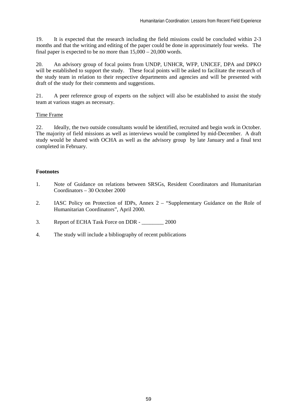19. It is expected that the research including the field missions could be concluded within 2-3 months and that the writing and editing of the paper could be done in approximately four weeks. The final paper is expected to be no more than  $15,000 - 20,000$  words.

20. An advisory group of focal points from UNDP, UNHCR, WFP, UNICEF, DPA and DPKO will be established to support the study. These focal points will be asked to facilitate the research of the study team in relation to their respective departments and agencies and will be presented with draft of the study for their comments and suggestions.

21. A peer reference group of experts on the subject will also be established to assist the study team at various stages as necessary.

### Time Frame

22. Ideally, the two outside consultants would be identified, recruited and begin work in October. The majority of field missions as well as interviews would be completed by mid-December. A draft study would be shared with OCHA as well as the advisory group by late January and a final text completed in February.

### **Footnotes**

- 1. Note of Guidance on relations between SRSGs, Resident Coordinators and Humanitarian Coordinators – 30 October 2000
- 2. IASC Policy on Protection of IDPs, Annex 2 "Supplementary Guidance on the Role of Humanitarian Coordinators", April 2000.
- 3. Report of ECHA Task Force on DDR 2000
- 4. The study will include a bibliography of recent publications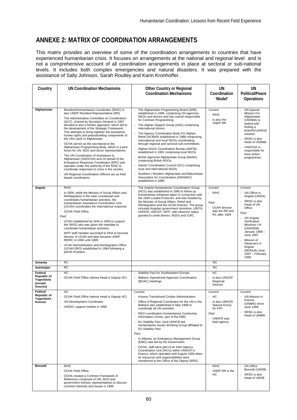# **ANNEXE 2: MATRIX OF COORDINATION ARRANGEMENTS**

This matrix provides an overview of some of the coordination arrangements in countries that have experienced humanitarian crisis. It focuses on arrangements at the national and regional level and is not a comprehensive account of all coordination arrangements in place at sectoral or sub-national levels. It includes both complex emergencies and natural disasters. It was prepared with the assistance of Sally Johnson, Sarah Routley and Karin Kronhoffer.

| Country                                                            | <b>UN Coordination Mechanisms</b>                                                                                                                                                                                                                                                                                                                                                                                                                                                                                                                                                                                                                                                                                                                                                                                                                                                    | <b>Other Country or Regional</b><br><b>Coordination Mechanisms</b>                                                                                                                                                                                                                                                                                                                                                                                                                                                                                                                                                                                                                                                                                                                                                                 | UN<br>Coordination<br>'Model'                                                                                   | UN<br><b>Political/Peace</b><br><b>Operations</b>                                                                                                                                                                                                                       |
|--------------------------------------------------------------------|--------------------------------------------------------------------------------------------------------------------------------------------------------------------------------------------------------------------------------------------------------------------------------------------------------------------------------------------------------------------------------------------------------------------------------------------------------------------------------------------------------------------------------------------------------------------------------------------------------------------------------------------------------------------------------------------------------------------------------------------------------------------------------------------------------------------------------------------------------------------------------------|------------------------------------------------------------------------------------------------------------------------------------------------------------------------------------------------------------------------------------------------------------------------------------------------------------------------------------------------------------------------------------------------------------------------------------------------------------------------------------------------------------------------------------------------------------------------------------------------------------------------------------------------------------------------------------------------------------------------------------------------------------------------------------------------------------------------------------|-----------------------------------------------------------------------------------------------------------------|-------------------------------------------------------------------------------------------------------------------------------------------------------------------------------------------------------------------------------------------------------------------------|
| Afghanistan                                                        | Resident/Humanitarian Coordinator (R/HC) is<br>also UNDP Resident Representative (RR).<br>The Administrative Committee on Coordination<br>(ACC), chaired by Secretary-General in 1997<br>decided to test a holistic approach, which led to<br>the development of the Strategic Framework.<br>This attempts to bring together the assistance,<br>human rights and peacebuilding components of<br>the UN's work in Afghanistan.<br>OCHA serves as the secretariat to the<br>Afghanistan Programming Body, which is a joint<br>forum for UN, NGO and donor representatives.<br>The UN Coordination of Assistance to<br>Afghanistan (UNOCHA) acts on behalf of the<br>Emergency Response Coordinator (ERC) and<br>operates under the authority of the R/HC to<br>coordinate responses to crisis in the country.<br>UN Regional Coordination Officers act as field<br>based coordinators. | The Afghanistan Programming Board (APB)<br>established in 1998, comprising UN agencies,<br>NGOs and donors and has overall responsible<br>for Common Programming.<br>The Afghan Support Group (ASG) comprising<br>international donors.<br>The Agency Coordination Body For Afghan<br>$\overline{\phantom{a}}$<br>Relief (ACBAR) established in 1988 comprising<br>international and local NGOs coordinating<br>through regional and sectoral sub-committees.<br>Afghan NGOs Coordination Bureau (ANCB)<br>established in 1991 comprising local NGOs<br>British Agencies Afghanistan Group (BAAG)<br>comprising British NGOs.<br>Islamic Coordination Council (ICC) comprising<br>local and international NGOs.<br>Southern / Western Afghanistan and Baluchistan<br>Association for Coordination (SWABAC)<br>established in 1988. | Current:<br>R/HC<br>is also the<br><b>UNDP RR</b>                                                               | <b>UN Special</b><br><b>Mission For</b><br>Afghanistan<br>(UNSMA) is<br>tasked with<br>finding a<br>peaceful political<br>solution.<br>SRSG is also<br>Head of UNSMA<br><b>UNOCHA</b> is<br>responsible for<br>mine action<br>programmes.                               |
| Angola                                                             | R/HC<br>$\overline{a}$<br>In 2000, while the Ministry of Social Affairs and<br>Reintegration is the main counterpart and<br>coordinates humanitarian activities, the<br>Humanitarian Assistance Coordination Unit<br>(UCAH) coordinates the international response.<br>- OCHA Field Office<br>Past:<br>UCAH established by DHA in 1993 to support<br>the SRSG who was given the mandate to<br>coordinate humanitarian activities.<br>WFP staff member seconded to DHA to become<br>director of UCAH and later became UNDP<br>RR/RC in 1994 until 1995.<br>UCAH Demobilisation and Reintegration Office<br>$\overline{\phantom{a}}$<br>(UCAH-DRO) established in 1994 following a<br>period of peace.                                                                                                                                                                                 | The Angola Humanitarian Coordination Group<br>÷,<br>(HCG) was established in 1995 to follow up<br>humanitarian initiatives taken in connection with<br>the 1994 Lusaka Protocols, and was headed by<br>the Minister of Social Affairs, Relief and<br>Reintegration and the UCAH Director. The group<br>included Angolan government ministries, UNITA,<br>UNHCR, UNICEF, WFP, with observer status<br>granted to some donors, NGOs and ICRC.                                                                                                                                                                                                                                                                                                                                                                                        | Current:<br>R/HC<br>Past:<br><b>UCAH</b> director<br>was the RR and<br>RC after 1994                            | Current:<br>UN Office in<br>Angola (UNOA)<br>SRSG is also<br>Head of UN<br>Office<br>Past:<br>UN Angola<br>Verification<br>Missions I-III<br>(UNAVEM)<br>January 1989 -<br>June 1997<br>Mission of<br>Observers in<br>Angola<br>(MONUA) June<br>1997 - February<br>1999 |
| Armenia                                                            | RC<br>$\overline{\phantom{a}}$                                                                                                                                                                                                                                                                                                                                                                                                                                                                                                                                                                                                                                                                                                                                                                                                                                                       |                                                                                                                                                                                                                                                                                                                                                                                                                                                                                                                                                                                                                                                                                                                                                                                                                                    | RC<br>$\overline{\phantom{a}}$                                                                                  |                                                                                                                                                                                                                                                                         |
| Azerbaijan                                                         | <b>RC</b><br>$\sim$                                                                                                                                                                                                                                                                                                                                                                                                                                                                                                                                                                                                                                                                                                                                                                                                                                                                  |                                                                                                                                                                                                                                                                                                                                                                                                                                                                                                                                                                                                                                                                                                                                                                                                                                    | <b>RC</b><br>$\overline{\phantom{a}}$                                                                           |                                                                                                                                                                                                                                                                         |
| Federal<br>Republic of<br>Yugoslavia<br>(except<br>Kosovo)         | H <sub>C</sub><br>$\sim$<br>- OCHA Field Office (whose Head is Deputy HC)                                                                                                                                                                                                                                                                                                                                                                                                                                                                                                                                                                                                                                                                                                                                                                                                            | Stability Pact for Southeastern Europe<br>Balkans Operational Agencies Coordination<br>$\overline{a}$<br>(BOAC) meetings                                                                                                                                                                                                                                                                                                                                                                                                                                                                                                                                                                                                                                                                                                           | H <sub>C</sub><br>is also UNICEF<br>Regional<br>Director                                                        |                                                                                                                                                                                                                                                                         |
| Federal<br>Republic of<br>Yugoslavia -<br>Kosovo<br><b>Burundi</b> | HC<br>÷.<br>OCHA Field Office (whose Head is Deputy HC)<br>UN Development Coordinator<br>- UNDAC support module in 1999<br>R/HC                                                                                                                                                                                                                                                                                                                                                                                                                                                                                                                                                                                                                                                                                                                                                      | Current:<br>Kosovo Transitional Civilian Administration<br>Office of Regional Coordinator for the UN in the<br>$\overline{a}$<br>Balkans was established in May 1999 to<br>coordinate all UN activities.<br>NGO coordination Humanitarian Community<br>Information Centre, part of the EMG<br>EU Stability Pact (and UNHCR-led<br>Humanitarian Issues Working Group affiliated to<br><b>EU Stability Pact</b><br>Past:<br>In Albania, an Emergency Management Group<br>(EMG) was led by the Government.<br>OCHA staff were part of an Inter-Agency<br>Coordination Unit (IACU) within UNHCR in<br>Kosovo, which operated until August 1999 when<br>its resources and responsibilities were<br>transferred to the Office of the Deputy SRSG.                                                                                        | Current:<br>HC<br>Is also UNHCR<br>Special Envoy<br>for FRY<br>Past:<br><b>UNHCR</b> was<br>lead agency<br>R/HC | Current:<br>UN Mission in<br>Kosovo<br>(UNMIK) since<br>June 1999<br>SRSG is also<br><b>Head of UNMIK</b><br><b>UN Office</b>                                                                                                                                           |
|                                                                    | <b>OCHA Field Office</b><br>OCHA created a Common Framework of<br>÷,<br>Reference composed of UN, NGO and<br>government ministry representatives to discuss<br>common interests and issues in 1999.                                                                                                                                                                                                                                                                                                                                                                                                                                                                                                                                                                                                                                                                                  |                                                                                                                                                                                                                                                                                                                                                                                                                                                                                                                                                                                                                                                                                                                                                                                                                                    | UNDP RR is the<br>НC                                                                                            | Burundi (UNOB)<br>SRSG is also<br>Head of UNOB                                                                                                                                                                                                                          |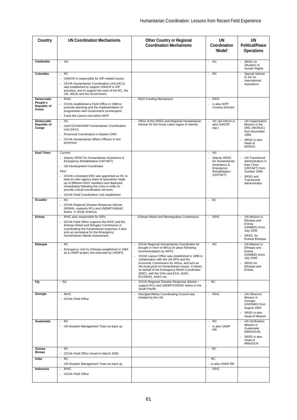| Country                                               | <b>UN Coordination Mechanisms</b>                                                                                                                                                                                                                                                                                                                                                                                                         | <b>Other Country or Regional</b><br><b>Coordination Mechanisms</b>                                                                                                                                                                                                                                                                                                                                                                 | <b>UN</b><br>Coordination<br>'Model'                                                                       | <b>UN</b><br><b>Political/Peace</b><br><b>Operations</b>                                                                                |
|-------------------------------------------------------|-------------------------------------------------------------------------------------------------------------------------------------------------------------------------------------------------------------------------------------------------------------------------------------------------------------------------------------------------------------------------------------------------------------------------------------------|------------------------------------------------------------------------------------------------------------------------------------------------------------------------------------------------------------------------------------------------------------------------------------------------------------------------------------------------------------------------------------------------------------------------------------|------------------------------------------------------------------------------------------------------------|-----------------------------------------------------------------------------------------------------------------------------------------|
| Cambodia                                              | RC<br>$\sim$                                                                                                                                                                                                                                                                                                                                                                                                                              |                                                                                                                                                                                                                                                                                                                                                                                                                                    | <b>RC</b><br>$\overline{\phantom{a}}$                                                                      | SRSG on<br>Situation of<br>Human Rights                                                                                                 |
| Colombia                                              | RC<br>÷.<br>UNHCR is responsible for IDP-related issues<br>OCHA Humanitarian Coordination Unit (HCU)<br>was established to support UNHCR in IDP<br>activities, and to support the work of the RC, the<br>UN, NGOs and the Government.                                                                                                                                                                                                     |                                                                                                                                                                                                                                                                                                                                                                                                                                    | <b>RC</b><br>÷.                                                                                            | Special Adviser<br>to SG on<br>International<br>Assistance                                                                              |
| <b>Democratic</b><br>People's<br>Republic of<br>Korea | R/HC<br>$\sim$<br>OCHA established a Field Office in 1998 to<br>$\sim$<br>promote planning and the implementation of<br>programmes with Government counterparts<br>Food Aid Liaison Unit within WFP                                                                                                                                                                                                                                       | - NGO Funding Mechanism                                                                                                                                                                                                                                                                                                                                                                                                            | R/HC<br>is also WFP<br><b>Country Director</b>                                                             |                                                                                                                                         |
| Democratic<br>Republic of<br>Congo                    | HC<br>$\overline{\phantom{a}}$<br>Joint OCHA/UNDP Humanitarian Coordination<br>Unit (HCU)<br>Provincial Coordinators in Eastern DRC<br>OCHA Humanitarian Affairs Officers in five<br>provinces                                                                                                                                                                                                                                            | Office of the SRSG and Regional Humanitarian<br>Adviser for the Great Lakes region in Nairobi                                                                                                                                                                                                                                                                                                                                      | HC (ad interim is<br>$\overline{\phantom{a}}$<br>also UNICEF<br>rep.)                                      | UN Organization<br>Mission in the<br>DRC (MONUC)<br>from November<br>1999<br>SRSG is also<br>Head of<br><b>MONUC</b>                    |
| <b>East Timor</b>                                     | Current:<br>Deputy SRSG for Humanitarian Assistance &<br>$\overline{a}$<br>Emergency Rehabilitation (UNTAET)<br>- UN Development Coordinator<br>Past:<br>OCHA's Assistant ERC was appointed as HC to<br>lead an inter-agency team of specialists made<br>up of different IASC members and deployed<br>immediately following the crisis in order to<br>provide critical coordination services.<br>OCHA Field Coordination Unit established |                                                                                                                                                                                                                                                                                                                                                                                                                                    | HC<br>$\sim$<br>Deputy SRSG<br>for Humanitarian<br>Assistance &<br>Emergency<br>Rehabilitation<br>(UNTAET) | <b>UN Transitional</b><br>Administration in<br>East Timor<br>(UNTAET) from<br>October 1999<br>SRSG and<br>Transitional<br>Administrator |
| Ecuador                                               | RC<br>$\overline{\phantom{a}}$<br>OCHA Regional Disaster Response Adviser<br>(RDRA) -supports RCs and UNDMT/UNDAC<br>teams in South America.                                                                                                                                                                                                                                                                                              |                                                                                                                                                                                                                                                                                                                                                                                                                                    | <b>RC</b><br>$\overline{\phantom{a}}$                                                                      |                                                                                                                                         |
| Eritrea                                               | R/HC also responsible for IDPs<br>$\overline{\phantom{a}}$<br>OCHA Field Office supports the R/HC and the<br>÷,<br>Eritrean Relief and Refugee Commission in<br>coordinating the humanitarian response; it also<br>acts as secretariat for the Emergency<br>Humanitarian Needs Assessment.                                                                                                                                                | - Eritrean Relief and Reintegration Commission                                                                                                                                                                                                                                                                                                                                                                                     | R/HC<br>÷,                                                                                                 | UN Mission in<br>Ethiopia and<br>Eritrea<br>(UNMEE) since<br><b>July 2000</b><br>SRSG for<br>Eritrea/ Ethiopia                          |
| Ethiopia                                              | <b>RC</b><br>÷.<br>Emergency Unit for Ethiopia established in 1984<br>as a UNDP project, but executed by UNOPS.                                                                                                                                                                                                                                                                                                                           | OCHA Regional Humanitarian Coordinator for<br>drought in Horn of Africa (in place following<br>recommendation by WFP).<br>OCHA Liaison Office was established in 1998 in<br>collaboration with the UN DPA and the<br>Economic Commission for Africa, and acts as<br>the focal point on humanitarian issues. It liaises<br>on behalf of the Emergency Relief Coordinator<br>(ERC), with the OAU and ECA, IGAD,<br>ECOWAS, SADC etc. | <b>RC</b><br>÷.                                                                                            | UN Mission in<br>Ethiopia and<br>Eritrea<br>(UNMEE) since<br><b>July 2000</b><br>SRSG for<br>Ethiopia and<br>Eritrea                    |
| Fiji                                                  | $- RC$                                                                                                                                                                                                                                                                                                                                                                                                                                    | OCHA Regional Disaster Response Adviser -<br>support RCs and UNDMT/UNDAC teams in the<br>South Pacific                                                                                                                                                                                                                                                                                                                             | $- RC$                                                                                                     |                                                                                                                                         |
| Georgia                                               | R/HC<br>$\omega$<br><b>OCHA Field Office</b>                                                                                                                                                                                                                                                                                                                                                                                              | Georgian/Abkaz Coordinating Council was<br>initiated by the UN.                                                                                                                                                                                                                                                                                                                                                                    | R/HC<br>÷,                                                                                                 | <b>UN Observer</b><br>Mission in<br>Georgia<br>(UNOMIG) from<br>August 1993<br>SRSG is also<br><b>Head of Mission</b>                   |
| Guatemala                                             | <b>RC</b><br>$\sim$<br>- UN Disaster Management Team as back up                                                                                                                                                                                                                                                                                                                                                                           |                                                                                                                                                                                                                                                                                                                                                                                                                                    | - RC<br>is also UNDP<br><b>RR</b>                                                                          | <b>UN Verification</b><br>Mission in<br>Guatemala<br>(MINUGUA)<br>SRSG is also<br>Head of<br><b>MINUGUA</b>                             |
| Guinea<br><b>Bissau</b>                               | <b>RC</b><br>$\sim$<br>- OCHA Field Office closed in March 2000.                                                                                                                                                                                                                                                                                                                                                                          |                                                                                                                                                                                                                                                                                                                                                                                                                                    | - RC                                                                                                       |                                                                                                                                         |
| India                                                 | <b>RC</b><br>$\overline{\phantom{a}}$<br>- UN Disaster Management Team as back up                                                                                                                                                                                                                                                                                                                                                         |                                                                                                                                                                                                                                                                                                                                                                                                                                    | $- RC$<br>- is also UNDP RR                                                                                |                                                                                                                                         |
| Indonesia                                             | R/HC<br>$\sim$<br><b>OCHA Field Office</b>                                                                                                                                                                                                                                                                                                                                                                                                |                                                                                                                                                                                                                                                                                                                                                                                                                                    | $-R/HC$                                                                                                    |                                                                                                                                         |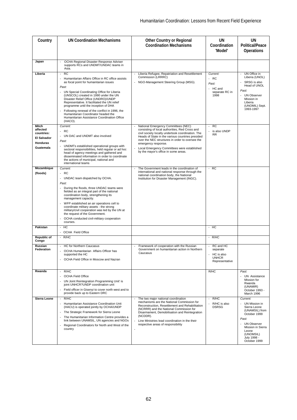| Country                                                                        | <b>UN Coordination Mechanisms</b>                                                                                                                                                                                                                                                                                                                                                                                                                                                         | <b>Other Country or Regional</b><br><b>Coordination Mechanisms</b>                                                                                                                                                                                                                                                                                              | UN<br>Coordination<br>'Model'                                                           | UN<br><b>Political/Peace</b><br><b>Operations</b>                                                                                                                               |
|--------------------------------------------------------------------------------|-------------------------------------------------------------------------------------------------------------------------------------------------------------------------------------------------------------------------------------------------------------------------------------------------------------------------------------------------------------------------------------------------------------------------------------------------------------------------------------------|-----------------------------------------------------------------------------------------------------------------------------------------------------------------------------------------------------------------------------------------------------------------------------------------------------------------------------------------------------------------|-----------------------------------------------------------------------------------------|---------------------------------------------------------------------------------------------------------------------------------------------------------------------------------|
| Japan                                                                          | OCHA Regional Disaster Response Adviser<br>supports RCs and UNDMT/UNDAC teams in<br>Asia.                                                                                                                                                                                                                                                                                                                                                                                                 |                                                                                                                                                                                                                                                                                                                                                                 |                                                                                         |                                                                                                                                                                                 |
| Liberia                                                                        | <b>RC</b><br>Humanitarian Affairs Office in RC office assists<br>as focal point for humanitarian issues<br>Past:<br>UN Special Coordinating Office for Liberia<br>(UNSCOL) created in 1990 under the UN<br>Disaster Relief Office (UNDRO)/UNDP<br>Representative. It facilitated the UN relief<br>programme until the inception of DHA<br>Following renewal of the conflict in 1996, the<br>Humanitarian Coordinator headed the<br>Humanitarian Assistance Coordination Office<br>(HACO). | Liberia Refugee, Repatriation and Resettlement<br>Commission (LRRRC)<br>NGO-Management Steering Group (MSG).                                                                                                                                                                                                                                                    | Current:<br>- RC<br>Past:<br>HC and<br>separate RC in<br>1998                           | UN Office in<br>Liberia (UNOL)<br>SRSG is also<br>Head of UNOL<br>Past:<br><b>UN Observer</b><br>Mission in<br>Liberia<br>(UNOMIL) Sept.<br>1993-1997                           |
| Mitch<br>affected<br>countries:<br><b>El Salvador</b><br>Honduras<br>Guatemala | Current:<br><b>RC</b><br>- UN DAC and UNDMT also involved<br>Past:<br>UNDMTs established operational groups with<br>sectoral responsibilities, held regular or ad hoc<br>head of agency meetings and gathered and<br>disseminated information in order to coordinate<br>the actions of municipal, national and<br>international teams                                                                                                                                                     | National Emergency Committees (NEC)<br>consisting of local authorities, Red Cross and<br>civil society locally undertook coordination. The<br>Heads of State in the various countries presided<br>over the NEC structures in order to oversee the<br>emergency response.<br>Local Emergency Committees were established<br>by the mayor's office in some areas. | RC<br>$\overline{a}$<br>is also UNDP<br><b>RR</b>                                       |                                                                                                                                                                                 |
| Mozambique<br>(floods)                                                         | Current:<br>$- RC$<br>- UNDAC team dispatched by OCHA.<br>Past:<br>During the floods, three UNDAC teams were<br>fielded as an integral part of the national<br>coordination body, strengthening its<br>management capacity.<br>WFP established an air operations cell to<br>coordinate military assets - the strong<br>military/civil cooperation was led by the UN at<br>the request of the Government.<br>OCHA conducted civil-military cooperation<br>courses.                         | The Government leads in the coordination of<br>$\overline{\phantom{a}}$<br>international and national response through the<br>national coordination body, the National<br>Institution for Disaster Management (INGC).                                                                                                                                           | $- RC$                                                                                  |                                                                                                                                                                                 |
| Pakistan                                                                       | HC<br>$\blacksquare$<br><b>OCHA Field Office</b>                                                                                                                                                                                                                                                                                                                                                                                                                                          |                                                                                                                                                                                                                                                                                                                                                                 | - HC                                                                                    |                                                                                                                                                                                 |
| Republic of<br>Congo                                                           | $-R/HC$                                                                                                                                                                                                                                                                                                                                                                                                                                                                                   |                                                                                                                                                                                                                                                                                                                                                                 | $-R/HC$                                                                                 |                                                                                                                                                                                 |
| Russian<br><b>Federation</b>                                                   | <b>HC for Northern Caucasus</b><br>OCHA Humanitarian Affairs Officer has<br>supported the HC<br>OCHA Field Office in Moscow and Nazran                                                                                                                                                                                                                                                                                                                                                    | Framework of cooperation with the Russian<br>Government on humanitarian action in Northern<br>Caucasus                                                                                                                                                                                                                                                          | RC and HC<br>$\overline{a}$<br>separate<br>HC is also<br><b>UNHCR</b><br>Representative |                                                                                                                                                                                 |
| Rwanda                                                                         | R/HC<br>OCHA Field Office<br>UN Joint Reintegration Programming Unit' is<br>joint UNHCR?UNDP coordination unit<br>Field officer in Gisenyi to cover north west and to<br>provide back up to Eastern DRC                                                                                                                                                                                                                                                                                   |                                                                                                                                                                                                                                                                                                                                                                 | R/HC                                                                                    | Past:<br><b>UN Assistance</b><br>Mission for<br>Rwanda<br>(UNAMIR)<br>October 1993 -<br>March 1996                                                                              |
| Sierra Leone                                                                   | R/HC<br>$\sim$<br>Humanitarian Assistance Coordination Unit<br>(HACU) is operated jointly by OCHA/UNDP<br>The Strategic Framework for Sierra Leone<br>The Humanitarian Information Centre provides a<br>link between UNAMSIL, UN agencies and NGOs<br>Regional Coordinators for North and West of the<br>country                                                                                                                                                                          | The two major national coordination<br>mechanisms are the National Commission for<br>Reconstruction, Resettlement and Rehabilitation<br>(NCRRR) and the National Commission for<br>Disarmament, Demobilisation and Reintegration<br>(NCDDR).<br>Line Ministries lead coordination in the their<br>respective areas of responsibility                            | R/HC<br>R/HC is also<br><b>DSRSG</b>                                                    | Current:<br>UN Mission in<br>Sierra Leone<br>(UNAMSIL) from<br>October 1999<br>Past:<br>- UN Observer<br>Mission in Sierra<br>Leone<br>(UNOMSIL)<br>July 1998 -<br>October 1999 |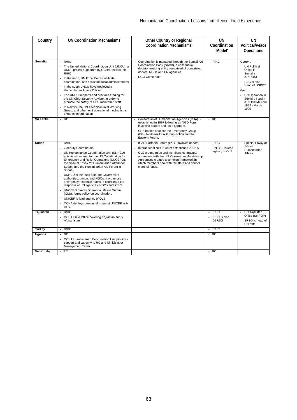| Country    | <b>UN Coordination Mechanisms</b>                                                                                                                                                                                                                                                                                                                                                                                                                                                                                                                                                                                                                                          | <b>Other Country or Regional</b><br><b>Coordination Mechanisms</b>                                                                                                                                                                                                                                      | UN<br>Coordination<br>'Model'              | UN<br><b>Political/Peace</b><br><b>Operations</b>                                                                                                                                         |
|------------|----------------------------------------------------------------------------------------------------------------------------------------------------------------------------------------------------------------------------------------------------------------------------------------------------------------------------------------------------------------------------------------------------------------------------------------------------------------------------------------------------------------------------------------------------------------------------------------------------------------------------------------------------------------------------|---------------------------------------------------------------------------------------------------------------------------------------------------------------------------------------------------------------------------------------------------------------------------------------------------------|--------------------------------------------|-------------------------------------------------------------------------------------------------------------------------------------------------------------------------------------------|
| Somalia    | R/HC<br>The United Nations Coordination Unit (UNCU), a<br>UNDP project supported by OCHA, assists the<br>R/HC<br>In the north, UN Focal Points facilitate<br>coordination and assist the local administrations<br>In the south UNCU have deployed a<br>÷,<br>Humanitarian Affairs Officer<br>The UNCU supports and provides funding for<br>the UN Chief Security Advisor, in order to<br>promote the safety of all humanitarian staff<br>In Nairobi, the UN Technical Joint Working<br>Group, and other joint operational mechanisms,<br>enhance coordination                                                                                                              | Coordination is managed through the Somali Aid<br>Coordination Body (SACB), a consensual<br>decision-making entity comprised of comprising<br>donors, NGOs and UN agencies<br><b>NGO Consortium</b><br>÷.                                                                                               | R/HC                                       | Current:<br>- UN Political<br>Office in<br>Somalia<br>(UNPOS)<br>RSG is also<br>Head of UNPOS<br>Past:<br>- UN Operation in<br>Somalia I and II<br>(UNOSOM) April<br>1992 - March<br>1995 |
| Sri Lanka  | <b>RC</b><br>$\mathbf{r}$                                                                                                                                                                                                                                                                                                                                                                                                                                                                                                                                                                                                                                                  | Consortium of Humanitarian Agencies (CHA) -<br>÷.<br>established in 1997 following an NGO Forum<br>involving donors and local partners.<br>CHA bodies sponsor the Emergency Group<br>(EG), Northern Task Group (NTG) and the<br>Eastern Forum.                                                          | $- RC$                                     |                                                                                                                                                                                           |
| Sudan      | R/HC<br>$\sim$<br>2 deputy Coordinators<br>UN Humanitarian Coordination Unit (UNHCU)<br>$\sim$<br>acts as secretariat for the UN Coordination for<br>Emergency and Relief Operations (UNCERO),<br>the Special Envoy for Humanitarian Affairs for<br>Sudan, and the Humanitarian Aid Forum in<br>Sudan.<br>UNHCU is the focal point for Government<br>authorities, donors and NGOs. It organises<br>emergency response teams to coordinate the<br>response of UN agencies, NGOs and ICRC.<br>UNCERO directs Operation Lifeline Sudan<br>÷,<br>(OLS), forms policy on coordination.<br>UNICEF is lead agency of OLS.<br>OCHA deploys personnel to assist UNICEF with<br>OLS. | IGAD Partners Forum (IPF) - involves donors.<br>International NGO Forum established in 1995.<br>OLS ground rules and members' contractual<br>agreement with the UN 'Consortium Membership<br>Agreement' creates a common framework in<br>which members deal with the state and donors<br>channel funds. | R/HC<br>UNICEF is lead<br>agency of OLS.   | Special Envoy of<br>SG for<br>Humanitarian<br>Affairs                                                                                                                                     |
| Tajikistan | R/HC<br>$\overline{a}$<br>OCHA Field Office covering Tajikistan and N.<br>÷,<br>Afghanistan                                                                                                                                                                                                                                                                                                                                                                                                                                                                                                                                                                                |                                                                                                                                                                                                                                                                                                         | R/HC<br>÷,<br>R/HC is also<br><b>DSRSG</b> | <b>UN Tajikistan</b><br>Office (UNROP)<br>SRSG is head of<br><b>UNROP</b>                                                                                                                 |
| Turkey     | R/HC<br>$\sim$                                                                                                                                                                                                                                                                                                                                                                                                                                                                                                                                                                                                                                                             |                                                                                                                                                                                                                                                                                                         | R/HC<br>$\sim$                             |                                                                                                                                                                                           |
| Uganda     | RC<br>$\overline{a}$<br>OCHA Humanitarian Coordination Unit provides<br>support and capacity to RC and UN Disaster<br>Management Team.                                                                                                                                                                                                                                                                                                                                                                                                                                                                                                                                     |                                                                                                                                                                                                                                                                                                         | $- RC$                                     |                                                                                                                                                                                           |
| Venezuela  | $- RC$                                                                                                                                                                                                                                                                                                                                                                                                                                                                                                                                                                                                                                                                     |                                                                                                                                                                                                                                                                                                         | $-RC$                                      |                                                                                                                                                                                           |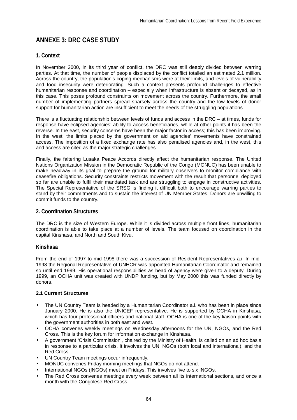# **ANNEXE 3: DRC CASE STUDY**

## **1. Context**

In November 2000, in its third year of conflict, the DRC was still deeply divided between warring parties. At that time, the number of people displaced by the conflict totalled an estimated 2.1 million. Across the country, the population's coping mechanisms were at their limits, and levels of vulnerability and food insecurity were deteriorating. Such a context presents profound challenges to effective humanitarian response and coordination – especially when infrastructure is absent or decayed, as in this case. This poses profound constraints on movement across the country. Furthermore, the small number of implementing partners spread sparsely across the country and the low levels of donor support for humanitarian action are insufficient to meet the needs of the struggling populations.

There is a fluctuating relationship between levels of funds and access in the DRC – at times, funds for response have eclipsed agencies' ability to access beneficiaries, while at other points it has been the reverse. In the east, security concerns have been the major factor in access; this has been improving. In the west, the limits placed by the government on aid agencies' movements have constrained access. The imposition of a fixed exchange rate has also penalised agencies and, in the west, this and access are cited as the major strategic challenges.

Finally, the faltering Lusaka Peace Accords directly affect the humanitarian response. The United Nations Organization Mission in the Democratic Republic of the Congo (MONUC) has been unable to make headway in its goal to prepare the ground for military observers to monitor compliance with ceasefire obligations. Security constraints restricts movement with the result that personnel deployed so far are unable to fulfil their mandated task and are struggling to engage in constructive activities. The Special Representative of the SRSG is finding it difficult both to encourage warring parties to stand by their commitments and to sustain the interest of UN Member States. Donors are unwilling to commit funds to the country.

#### **2. Coordination Structures**

The DRC is the size of Western Europe. While it is divided across multiple front lines, humanitarian coordination is able to take place at a number of levels. The team focused on coordination in the capital Kinshasa, and North and South Kivu.

#### **Kinshasa**

From the end of 1997 to mid-1998 there was a succession of Resident Representatives a.i. In mid-1998 the Regional Representative of UNHCR was appointed Humanitarian Coordinator and remained so until end 1999. His operational responsibilities as head of agency were given to a deputy. During 1999, an OCHA unit was created with UNDP funding, but by May 2000 this was funded directly by donors.

#### **2.1 Current Structures**

- The UN Country Team is headed by a Humanitarian Coordinator a.i. who has been in place since January 2000. He is also the UNICEF representative. He is supported by OCHA in Kinshasa, which has four professional officers and national staff. OCHA is one of the key liaison points with the government authorities in both east and west.
- OCHA convenes weekly meetings on Wednesday afternoons for the UN, NGOs, and the Red Cross. This is the key forum for information exchange in Kinshasa.
- A government 'Crisis Commission', chaired by the Ministry of Health, is called on an ad hoc basis in response to a particular crisis. It involves the UN, NGOs (both local and international), and the Red Cross.
- UN Country Team meetings occur infrequently.
- MONUC convenes Friday morning meetings that NGOs do not attend.
- International NGOs (INGOs) meet on Fridays. This involves five to six INGOs.
- The Red Cross convenes meetings every week between all its international sections, and once a month with the Congolese Red Cross.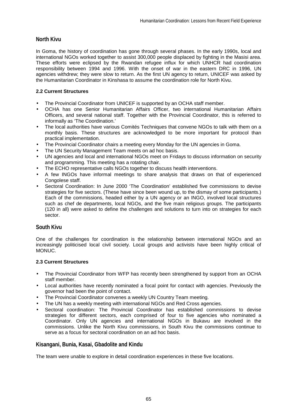## **North Kivu**

In Goma, the history of coordination has gone through several phases. In the early 1990s, local and international NGOs worked together to assist 300,000 people displaced by fighting in the Masisi area. These efforts were eclipsed by the Rwandan refugee influx for which UNHCR had coordination responsibility between 1994 and 1996. With the onset of war in the eastern DRC in 1996, UN agencies withdrew; they were slow to return. As the first UN agency to return, UNICEF was asked by the Humanitarian Coordinator in Kinshasa to assume the coordination role for North Kivu.

## **2.2 Current Structures**

- The Provincial Coordinator from UNICEF is supported by an OCHA staff member.
- OCHA has one Senior Humanitarian Affairs Officer, two international Humanitarian Affairs Officers, and several national staff. Together with the Provincial Coordinator, this is referred to informally as 'The Coordination.'
- The local authorities have various Comités Techniques that convene NGOs to talk with them on a monthly basis. These structures are acknowledged to be more important for protocol than practical implementation.
- The Provincial Coordinator chairs a meeting every Monday for the UN agencies in Goma.
- The UN Security Management Team meets on ad hoc basis.
- UN agencies and local and international NGOs meet on Fridays to discuss information on security and programming. This meeting has a rotating chair.
- The ECHO representative calls NGOs together to discuss health interventions.
- A few INGOs have informal meetings to share analysis that draws on that of experienced Congolese staff.
- Sectoral Coordination: In June 2000 'The Coordination' established five commissions to devise strategies for five sectors. (These have since been wound up, to the dismay of some participants.) Each of the commissions, headed either by a UN agency or an INGO, involved local structures such as chef de departments, local NGOs, and the five main religious groups. The participants (120 in all) were asked to define the challenges and solutions to turn into on strategies for each sector.

## **South Kivu**

One of the challenges for coordination is the relationship between international NGOs and an increasingly politicised local civil society. Local groups and activists have been highly critical of MONUC.

#### **2.3 Current Structures**

- The Provincial Coordinator from WFP has recently been strengthened by support from an OCHA staff member.
- Local authorities have recently nominated a focal point for contact with agencies. Previously the governor had been the point of contact.
- The Provincial Coordinator convenes a weekly UN Country Team meeting.
- The UN has a weekly meeting with international NGOs and Red Cross agencies.
- Sectoral coordination: The Provincial Coordinator has established commissions to devise strategies for different sectors, each comprised of four to five agencies who nominated a Coordinator. Only UN agencies and international NGOs in Bukavu are involved in the commissions. Unlike the North Kivu commissions, in South Kivu the commissions continue to serve as a focus for sectoral coordination on an ad hoc basis.

# **Kisangani, Bunia, Kasai, Gbadolite and Kindu**

The team were unable to explore in detail coordination experiences in these five locations.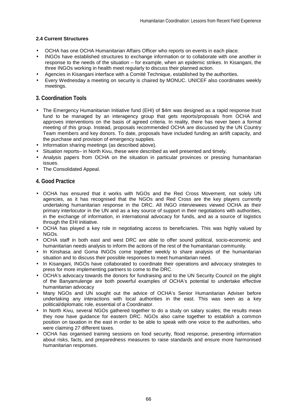## **2.4 Current Structures**

- OCHA has one OCHA Humanitarian Affairs Officer who reports on events in each place.
- INGOs have established structures to exchange information or to collaborate with one another in response to the needs of the situation – for example, when an epidemic strikes. In Kisangani, the three INGOs working in health meet regularly to discuss their planned action.
- Agencies in Kisangani interface with a Comité Technique, established by the authorities.
- Every Wednesday a meeting on security is chaired by MONUC. UNICEF also coordinates weekly meetings.

## **3. Coordination Tools**

- The Emergency Humanitarian Initiative fund (EHI) of \$4m was designed as a rapid response trust fund to be managed by an interagency group that gets reports/proposals from OCHA and approves interventions on the basis of agreed criteria. In reality, there has never been a formal meeting of this group. Instead, proposals recommended OCHA are discussed by the UN Country Team members and key donors. To date, proposals have included funding an airlift capacity, and the purchase and provision of emergency supplies.
- Information sharing meetings (as described above).
- Situation reports– in North Kivu, these were described as well presented and timely.
- Analysis papers from OCHA on the situation in particular provinces or pressing humanitarian issues.
- The Consolidated Appeal.

#### **4. Good Practice**

- OCHA has ensured that it works with NGOs and the Red Cross Movement, not solely UN agencies, as it has recognised that the NGOs and Red Cross are the key players currently undertaking humanitarian response in the DRC. All INGO interviewees viewed OCHA as their primary interlocutor in the UN and as a key source of support in their negotiations with authorities, in the exchange of information, in international advocacy for funds, and as a source of logistics through the EHI initiative.
- OCHA has played a key role in negotiating access to beneficiaries. This was highly valued by NGOs.
- OCHA staff in both east and west DRC are able to offer sound political, socio-economic and humanitarian needs analysis to inform the actions of the rest of the humanitarian community.
- In Kinshasa and Goma INGOs come together weekly to share analysis of the humanitarian situation and to discuss their possible responses to meet humanitarian need.
- In Kisangani, INGOs have collaborated to coordinate their operations and advocacy strategies to press for more implementing partners to come to the DRC.
- OCHA's advocacy towards the donors for fundraising and to the UN Security Council on the plight of the Banyamulenge are both powerful examples of OCHA's potential to undertake effective humanitarian advocacy
- Many NGOs and UN sought out the advice of OCHA's Senior Humanitarian Adviser before undertaking any interactions with local authorities in the east. This was seen as a key political/diplomatic role, essential of a Coordinator.
- In North Kivu, several NGOs gathered together to do a study on salary scales; the results mean they now have guidance for eastern DRC. NGOs also came together to establish a common position on taxation in the east in order to be able to speak with one voice to the authorities, who were claiming 27 different taxes.
- OCHA has organised training sessions on food security, flood response, presenting information about risks, facts, and preparedness measures to raise standards and ensure more harmonised humanitarian responses.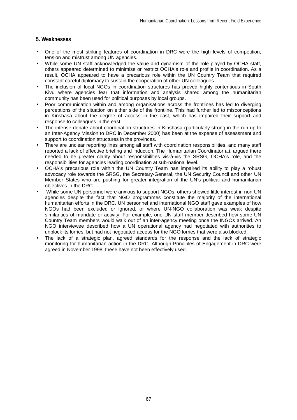## **5. Weaknesses**

- One of the most striking features of coordination in DRC were the high levels of competition, tension and mistrust among UN agencies.
- While some UN staff acknowledged the value and dynamism of the role played by OCHA staff, others appeared determined to minimise or restrict OCHA's role and profile in coordination. As a result, OCHA appeared to have a precarious role within the UN Country Team that required constant careful diplomacy to sustain the cooperation of other UN colleagues.
- The inclusion of local NGOs in coordination structures has proved highly contentious in South Kivu where agencies fear that information and analysis shared among the humanitarian community has been used for political purposes by local groups.
- Poor communication within and among organisations across the frontlines has led to diverging perceptions of the situation on either side of the frontline. This had further led to misconceptions in Kinshasa about the degree of access in the east, which has impaired their support and response to colleagues in the east.
- The intense debate about coordination structures in Kinshasa (particularly strong in the run-up to an Inter-Agency Mission to DRC in December 2000) has been at the expense of assessment and support to coordination structures in the provinces.
- There are unclear reporting lines among all staff with coordination responsibilities, and many staff reported a lack of effective briefing and induction. The Humanitarian Coordinator a.i. argued there needed to be greater clarity about responsibilities vis-à-vis the SRSG, OCHA's role, and the responsibilities for agencies leading coordination at sub-national level.
- OCHA's precarious role within the UN Country Team has impaired its ability to play a robust advocacy role towards the SRSG, the Secretary-General, the UN Security Council and other UN Member States who are pushing for greater integration of the UN's political and humanitarian objectives in the DRC.
- While some UN personnel were anxious to support NGOs, others showed little interest in non-UN agencies despite the fact that NGO programmes constitute the majority of the international humanitarian efforts in the DRC. UN personnel and international NGO staff gave examples of how NGOs had been excluded or ignored, or where UN-NGO collaboration was weak despite similarities of mandate or activity. For example, one UN staff member described how some UN Country Team members would walk out of an inter-agency meeting once the INGOs arrived. An NGO interviewee described how a UN operational agency had negotiated with authorities to unblock its lorries, but had not negotiated access for the NGO lorries that were also blocked.
- The lack of a strategic plan, agreed standards for the response and the lack of strategic monitoring for humanitarian action in the DRC. Although Principles of Engagement in DRC were agreed in November 1998, these have not been effectively used.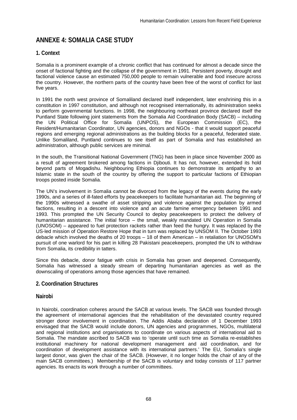# **ANNEXE 4: SOMALIA CASE STUDY**

# **1. Context**

Somalia is a prominent example of a chronic conflict that has continued for almost a decade since the onset of factional fighting and the collapse of the government in 1991. Persistent poverty, drought and factional violence cause an estimated 750,000 people to remain vulnerable and food insecure across the country. However, the northern parts of the country have been free of the worst of conflict for last five years.

In 1991 the north west province of Somaliland declared itself independent, later enshrining this in a constitution in 1997 constitution, and although not recognised internationally, its administration seeks to perform governmental functions. In 1998, the neighbouring northeast province declared itself the Puntland State following joint statements from the Somalia Aid Coordination Body (SACB) – including the UN Political Office for Somalia (UNPOS), the European Commission (EC), the Resident/Humanitarian Coordinator, UN agencies, donors and NGOs - that it would support peaceful regions and emerging regional administrations as the building blocks for a peaceful, federated state. Unlike Somaliland, Puntland continues to see itself as part of Somalia and has established an administration, although public services are minimal.

In the south, the Transitional National Government (TNG) has been in place since November 2000 as a result of agreement brokered among factions in Djibouti. It has not, however, extended its hold beyond parts of Mogadishu. Neighbouring Ethiopia continues to demonstrate its antipathy to an Islamic state in the south of the country by offering the support to particular factions of Ethiopian troops posted inside Somalia.

The UN's involvement in Somalia cannot be divorced from the legacy of the events during the early 1990s, and a series of ill-fated efforts by peacekeepers to facilitate humanitarian aid. The beginning of the 1990s witnessed a swathe of asset stripping and violence against the population by armed factions, resulting in a descent into violence and an acute famine emergency between 1991 and 1993. This prompted the UN Security Council to deploy peacekeepers to protect the delivery of humanitarian assistance. The initial force – the small, weakly mandated UN Operation in Somalia (UNOSOM) – appeared to fuel protection rackets rather than feed the hungry. It was replaced by the US-led mission of Operation Restore Hope that in turn was replaced by UNSOM II. The October 1993 debacle which involved the deaths of 20 troops – 18 of them American – in retaliation for UNOSOM's pursuit of one warlord for his part in killing 28 Pakistani peacekeepers, prompted the UN to withdraw from Somalia, its credibility in tatters.

Since this debacle, donor fatigue with crisis in Somalia has grown and deepened. Consequently, Somalia has witnessed a steady stream of departing humanitarian agencies as well as the downscaling of operations among those agencies that have remained.

## **2. Coordination Structures**

## **Nairobi**

In Nairobi, coordination coheres around the SACB at various levels. The SACB was founded through the agreement of international agencies that the rehabilitation of the devastated country required stronger donor involvement in coordination. The Addis Ababa declaration of 1 December 1993 envisaged that the SACB would include donors, UN agencies and programmes, NGOs, multilateral and regional institutions and organisations to coordinate on various aspects of international aid to Somalia. The mandate ascribed to SACB was to 'operate until such time as Somalia re-establishes institutional machinery for national development management and aid coordination, and for coordination of development assistance with its international partners.' The EU, Somalia's single largest donor, was given the chair of the SACB. (However, it no longer holds the chair of any of the main SACB committees.) Membership of the SACB is voluntary and today consists of 117 partner agencies. Its enacts its work through a number of committees.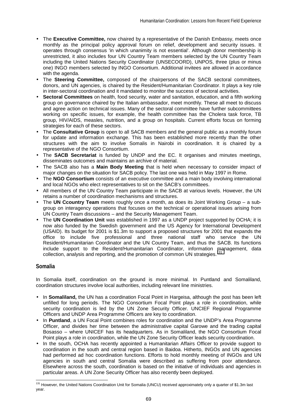- The **Executive Committee,** now chaired by a representative of the Danish Embassy, meets once monthly as the principal policy approval forum on relief, development and security issues. It operates through consensus 'in which unanimity is not essential'. Although donor membership is unrestricted, it also includes four UN Country Team members selected by the UN Country Team including the United Nations Security Coordinator (UNSECOORD), UNPOS, three (plus or minus one) INGO members selected by INGO Consortium. Additional invitees are allowed in accordance with the agenda.
- The **Steering Committee,** composed of the chairpersons of the SACB sectoral committees, donors, and UN agencies, is chaired by the Resident/Humanitarian Coordinator. It plays a key role in inter-sectoral coordination and it mandated to monitor the success of sectoral activities.
- **Sectoral Committees** on health, food security, water and sanitation, education, and a fifth working group on governance chaired by the Italian ambassador, meet monthly. These all meet to discuss and agree action on technical issues. Many of the sectoral committee have further subcommittees working on specific issues, for example, the health committee has the Cholera task force, TB group, HIV/AIDS, measles, nutrition, and a group on hospitals. Current efforts focus on forming strategies for each of these sectors.
- The **Consultative Group** is open to all SACB members and the general public as a monthly forum for update and information exchange. This has been established more recently than the other structures with the aim to involve Somalis in Nairobi in coordination. It is chaired by a representative of the NGO Consortium.
- The **SACB Secretariat** is funded by UNDP and the EC. It organises and minutes meetings, disseminates outcomes and maintains an archive of material.
- The SACB also has a **Main Body Meeting** that is held when necessary to consider impact of major changes on the situation for SACB policy. The last one was held in May 1997 in Rome.
- The **NGO Consortium** consists of an executive committee and a main body involving international and local NGOs who elect representatives to sit on the SACB's committees.
- All members of the UN Country Team participate in the SACB at various levels. However, the UN retains a number of coordination mechanisms and structures.
- The **UN Ccountry Team** meets roughly once a month, as does its Joint Working Group a subgroup on interagency operations that focuses on the technical or operational issues arising from UN Country Team discussions – and the Security Management Team.
- The **UN Coordination Unit** was established in 1997 as a UNDP project supported by OCHA; it is now also funded by the Swedish government and the US Agency for International Development (USAID). Its budget for 2001 is \$1.3m to support a proposed structures for 2001 that expands the office to include five professional and three national staff who service the UN Resident/Humanitarian Coordinator and the UN Country Team, and thus the SACB. Its functions include support to the Resident/Humanitarian Coordinator, information management, data collection, analysis and reporting, and the promotion of common UN strategies.<sup>131</sup>

## **Somalia**

l

In Somalia itself, coordination on the ground is more minimal. In Puntland and Somaliland, coordination structures involve local authorities, including relevant line ministries.

- In **Somaliland,** the UN has a coordination Focal Point in Hargeisa, although the post has been left unfilled for long periods. The NGO Consortium Focal Point plays a role in coordination, while security coordination is led by the UN Zone Security Officer. UNCIEF Regional Programme Officers and UNDP Area Programme Officers are key to coordination.
- In **Puntland**, a UN Focal Point combines roles for coordination and the UNDP's Area Programme Officer, and divides her time between the administrative capital Garowe and the trading capital Bosasso – where UNICEF has its headquarters. As in Somaliland, the NGO Consortium Focal Point plays a role in coordination, while the UN Zone Security Officer leads security coordination.
- In the south, OCHA has recently appointed a Humanitarian Affairs Officer to provide support to coordination in the south and central region based in Baidoa. Hitherto, INGOs and UN agencies had performed ad hoc coordination functions. Efforts to hold monthly meeting of INGOs and UN agencies in south and central Somalia were described as suffering from poor attendance. Elsewhere across the south, coordination is based on the initiative of individuals and agencies in particular areas. A UN Zone Security Officer has also recently been deployed.

<sup>&</sup>lt;sup>131</sup> However, the United Nations Coordination Unit for Somalia (UNCU) received approximately only a quarter of \$1.3m last year.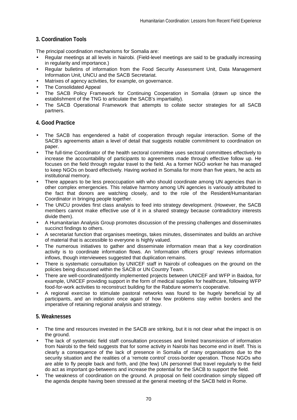## **3. Coordination Tools**

The principal coordination mechanisms for Somalia are:

- Regular meetings at all levels in Nairobi. (Field-level meetings are said to be gradually increasing in regularity and importance.)
- Regular bulletins of information from the Food Security Assessment Unit, Data Management Information Unit, UNCU and the SACB Secretariat.
- Matrixes of agency activities, for example, on governance.
- The Consolidated Appeal
- The SACB Policy Framework for Continuing Cooperation in Somalia (drawn up since the establishment of the TNG to articulate the SACB's impartiality).
- The SACB Operational Framework that attempts to collate sector strategies for all SACB partners.

### **4. Good Practice**

- The SACB has engendered a habit of cooperation through regular interaction. Some of the SACB's agreements attain a level of detail that suggests notable commitment to coordination on paper.
- The full-time Coordinator of the health sectoral committee uses sectoral committees effectively to increase the accountability of participants to agreements made through effective follow up. He focuses on the field through regular travel to the field. As a former NGO worker he has managed to keep NGOs on board effectively. Having worked in Somalia for more than five years, he acts as institutional memory.
- There appears to be less preoccupation with who should coordinate among UN agencies than in other complex emergencies. This relative harmony among UN agencies is variously attributed to the fact that donors are watching closely, and to the role of the Resident/Humanitarian Coordinator in bringing people together.
- The UNCU provides first class analysis to feed into strategy development. (However, the SACB members cannot make effective use of it in a shared strategy because contradictory interests divide them).
- A Humanitarian Analysis Group promotes discussion of the pressing challenges and disseminates succinct findings to others.
- A secretariat function that organises meetings, takes minutes, disseminates and builds an archive of material that is accessible to everyone is highly valued.
- The numerous initiatives to gather and disseminate information mean that a key coordination activity is to coordinate information flows. An 'information officers group' reviews information inflows, though interviewees suggested that duplication remains.
- There is systematic consultation by UNICEF staff in Nairobi of colleagues on the ground on the policies being discussed within the SACB or UN Country Team.
- There are well-coordinated/jointly implemented projects between UNICEF and WFP in Baidoa, for example, UNICEF providing support in the form of medical supplies for healthcare, following WFP food-for-work activities to reconstruct building for the Rabdure women's cooperative.
- A regional exercise to stimulate pastoral networks was found to be hugely beneficial by all participants, and an indication once again of how few problems stay within borders and the imperative of retaining regional analysis and strategy.

## **5. Weaknesses**

- The time and resources invested in the SACB are striking, but it is not clear what the impact is on the ground.
- The lack of systematic field staff consultation processes and limited transmission of information from Nairobi to the field suggests that for some activity in Nairobi has become end in itself. This is clearly a consequence of the lack of presence in Somalia of many organisations due to the security situation and the realities of a 'remote control' cross-border operation. Those NGOs who are able to fly people back and forth, and (the few) UN personnel that travel regularly to the field do act as important go-betweens and increase the potential for the SACB to support the field.
- The weakness of coordination on the ground. A proposal on field coordination simply slipped off the agenda despite having been stressed at the general meeting of the SACB held in Rome.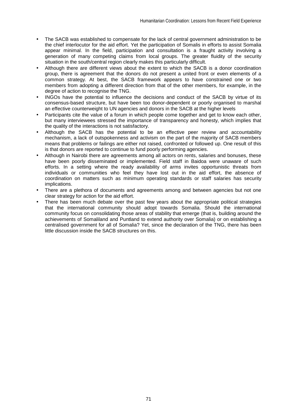- The SACB was established to compensate for the lack of central government administration to be the chief interlocutor for the aid effort. Yet the participation of Somalis in efforts to assist Somalia appear minimal. In the field, participation and consultation is a fraught activity involving a generation of many competing claims from local groups. The greater fluidity of the security situation in the south/central region clearly makes this particularly difficult.
- Although there are different views about the extent to which the SACB is a donor coordination group, there is agreement that the donors do not present a united front or even elements of a common strategy. At best, the SACB framework appears to have constrained one or two members from adopting a different direction from that of the other members, for example, in the degree of action to recognise the TNG.
- INGOs have the potential to influence the decisions and conduct of the SACB by virtue of its consensus-based structure, but have been too donor-dependent or poorly organised to marshal an effective counterweight to UN agencies and donors in the SACB at the higher levels
- Participants cite the value of a forum in which people come together and get to know each other, but many interviewees stressed the importance of transparency and honesty, which implies that the quality of the interactions is not satisfactory.
- Although the SACB has the potential to be an effective peer review and accountability mechanism, a lack of outspokenness and activism on the part of the majority of SACB members means that problems or failings are either not raised, confronted or followed up. One result of this is that donors are reported to continue to fund poorly performing agencies.
- Although in Nairobi there are agreements among all actors on rents, salaries and bonuses, these have been poorly disseminated or implemented. Field staff in Baidoa were unaware of such efforts. In a setting where the ready availability of arms invites opportunistic threats from individuals or communities who feel they have lost out in the aid effort, the absence of coordination on matters such as minimum operating standards or staff salaries has security implications.
- There are a plethora of documents and agreements among and between agencies but not one clear strategy for action for the aid effort.
- There has been much debate over the past few years about the appropriate political strategies that the international community should adopt towards Somalia. Should the international community focus on consolidating those areas of stability that emerge (that is, building around the achievements of Somaliland and Puntland to extend authority over Somalia) or on establishing a centralised government for all of Somalia? Yet, since the declaration of the TNG, there has been little discussion inside the SACB structures on this.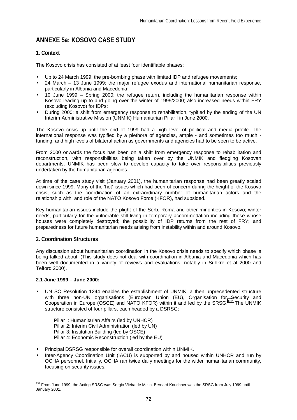# **ANNEXE 5a: KOSOVO CASE STUDY**

# **1. Context**

The Kosovo crisis has consisted of at least four identifiable phases:

- Up to 24 March 1999: the pre-bombing phase with limited IDP and refugee movements;
- 24 March 13 June 1999: the major refugee exodus and international humanitarian response, particularly in Albania and Macedonia;
- 10 June 1999 Spring 2000: the refugee return, including the humanitarian response within Kosovo leading up to and going over the winter of 1999/2000; also increased needs within FRY (excluding Kosovo) for IDPs;
- During 2000: a shift from emergency response to rehabilitation, typified by the ending of the UN Interim Administrative Mission (UNMIK) Humanitarian Pillar I in June 2000.

The Kosovo crisis up until the end of 1999 had a high level of political and media profile. The international response was typified by a plethora of agencies, ample - and sometimes too much funding, and high levels of bilateral action as governments and agencies had to be seen to be active.

From 2000 onwards the focus has been on a shift from emergency response to rehabilitation and reconstruction, with responsibilities being taken over by the UNMIK and fledgling Kosovan departments. UNMIK has been slow to develop capacity to take over responsibilities previously undertaken by the humanitarian agencies.

At time of the case study visit (January 2001), the humanitarian response had been greatly scaled down since 1999. Many of the 'hot' issues which had been of concern during the height of the Kosovo crisis, such as the coordination of an extraordinary number of humanitarian actors and the relationship with, and role of the NATO Kosovo Force (KFOR), had subsided.

Key humanitarian issues include the plight of the Serb, Roma and other minorities in Kosovo; winter needs, particularly for the vulnerable still living in temporary accommodation including those whose houses were completely destroyed; the possibility of IDP returns from the rest of FRY; and preparedness for future humanitarian needs arising from instability within and around Kosovo.

## **2. Coordination Structures**

Any discussion about humanitarian coordination in the Kosovo crisis needs to specify which phase is being talked about. (This study does not deal with coordination in Albania and Macedonia which has been well documented in a variety of reviews and evaluations, notably in Suhkre et al 2000 and Telford 2000).

#### **2.1 June 1999 – June 2000:**

UN SC Resolution 1244 enables the establishment of UNMIK, a then unprecedented structure with three non-UN organisations (European Union (EU), Organisation for Security and Cooperation in Europe (OSCE) and NATO KFOR) within it and led by the SRSG.<sup>132</sup> The UNMIK structure consisted of four pillars, each headed by a DSRSG:

Pillar I: Humanitarian Affairs (led by UNHCR) Pillar 2: Interim Civil Administration (led by UN) Pillar 3: Institution Building (led by OSCE) Pillar 4: Economic Reconstruction (led by the EU)

- Principal DSRSG responsible for overall coordination within UNMIK.
- Inter-Agency Coordination Unit (IACU) is supported by and housed within UNHCR and run by OCHA personnel. Initially, OCHA ran twice daily meetings for the wider humanitarian community, focusing on security issues.

l <sup>132</sup> From June 1999, the Acting SRSG was Sergio Vieira de Mello. Bernard Kouchner was the SRSG from July 1999 until January 2001.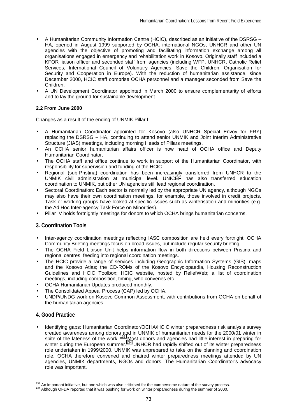- A Humanitarian Community Information Centre (HCIC), described as an initiative of the DSRSG HA, opened in August 1999 supported by OCHA, international NGOs, UNHCR and other UN agencies with the objective of promoting and facilitating information exchange among all organisations engaged in emergency and rehabilitation work in Kosovo. Originally staff included a KFOR liaison officer and seconded staff from agencies (including WFP, UNHCR, Catholic Relief Services, International Council of Voluntary Agencies, Save the Children, Organisation for Security and Cooperation in Europe). With the reduction of humanitarian assistance, since December 2000, HCIC staff comprise OCHA personnel and a manager seconded from Save the Children.
- A UN Development Coordinator appointed in March 2000 to ensure complementarity of efforts and to lay the ground for sustainable development.

## **2.2 From June 2000**

Changes as a result of the ending of UNMIK Pillar I:

- A Humanitarian Coordinator appointed for Kosovo (also UNHCR Special Envoy for FRY) replacing the DSRSG – HA, continuing to attend senior UNMIK and Joint Interim Administrative Structure (JIAS) meetings, including morning Heads of Pillars meetings.
- An OCHA senior humanitarian affairs officer is now head of OCHA office and Deputy Humanitarian Coordinator.
- The OCHA staff and office continue to work in support of the Humanitarian Coordinator, with responsibility for supervision and funding of the HCIC.
- Regional (sub-Pristina) coordination has been increasingly transferred from UNHCR to the UNMIK civil administration at municipal level. UNICEF has also transferred education coordination to UNMIK, but other UN agencies still lead regional coordination.
- Sectoral Coordination: Each sector is normally led by the appropriate UN agency, although NGOs may also have their own coordination meetings, for example, those involved in credit projects. Task or working groups have looked at specific issues such as winterisation and minorities (e.g. the Ad Hoc Inter-agency Task Force on Minorities).
- Pillar IV holds fortnightly meetings for donors to which OCHA brings humanitarian concerns.

## **3. Coordination Tools**

- Inter-agency coordination meetings reflecting IASC composition are held every fortnight. OCHA Community Briefing meetings focus on broad issues, but include regular security briefing.
- The OCHA Field Liaison Unit helps information flow in both directions between Pristina and regional centres, feeding into regional coordination meetings.
- The HCIC provide a range of services including Geographic Information Systems (GIS), maps and the Kosovo Atlas; the CD-ROMs of the Kosovo Encyclopaedia, Housing Reconstruction Guidelines and HCIC Toolbox; HCIC website, hosted by ReliefWeb; a list of coordination meetings, including composition, timing, who convenes etc.
- OCHA Humanitarian Updates produced monthly.
- The Consolidated Appeal Process (CAP) led by OCHA.
- UNDP/UNDG work on Kosovo Common Assessment, with contributions from OCHA on behalf of the humanitarian agencies.

## **4. Good Practice**

• Identifying gaps: Humanitarian Coordinator/OCHA/HCIC winter preparedness risk analysis survey created awareness among donors and in UNMIK of humanitarian needs for the 2000/01 winter in spite of the lateness of the work. <sup>133</sup> Most donors and agencies had little interest in preparing for winter during the European summer.<sup>134</sup> UNHCR had rapidly shifted out of its winter preparedness role undertaken in 1999/2000. UNMIK was unprepared to take on the planning and coordination role. OCHA therefore convened and chaired winter preparedness meetings attended by UN agencies, UNMIK departments, NGOs and donors. The Humanitarian Coordinator's advocacy role was important.

<sup>&</sup>lt;sup>133</sup> An important initiative, but one which was also criticised for the cumbersome nature of the survey process.

 $134$  Although OFDA reported that it was pushing for work on winter preparedness during the summer of 2000.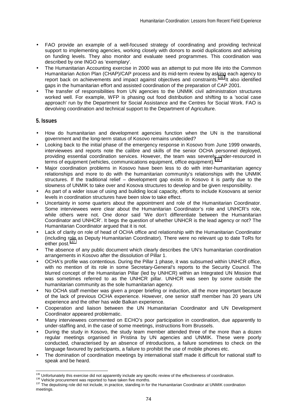- FAO provide an example of a well-focused strategy of coordinating and providing technical support to implementing agencies, working closely with donors to avoid duplications and advising on funding levels. They also monitor and evaluate seed programmes. This coordination was described by one INGO as 'exemplary'.
- The Humanitarian Accounting exercise in 2000 was an attempt to put more life into the Common Humanitarian Action Plan (CHAP)/CAP process and its mid-term review by asking each agency to report back on achievements and impact against objectives and constraints.<sup>135</sup> It also identified gaps in the humanitarian effort and assisted coordination of the preparation of CAP 2001.
- The transfer of responsibilities from UN agencies to the UNMIK civil administration structures worked well. For example, WFP is phasing out food distribution and shifting to a 'social case approach' run by the Department for Social Assistance and the Centres for Social Work. FAO is devolving coordination and technical support to the Department of Agriculture.

## **5. Issues**

- How do humanitarian and development agencies function when the UN is the transitional government and the long-term status of Kosovo remains undecided?
- Looking back to the initial phase of the emergency response in Kosovo from June 1999 onwards, interviewees and reports note the calibre and skills of the senior OCHA personnel deployed, providing essential coordination services. However, the team was severely under-resourced in terms of equipment (vehicles, communications equipment, office equipment).
- Major coordination problems in Kosovo have been less to do with inter-humanitarian agency relationships and more to do with the humanitarian community's relationships with the UNMIK structures. If the traditional relief – development gap exists in Kosovo it is partly due to the slowness of UNMIK to take over and Kosova structures to develop and be given responsibility.
- As part of a wider issue of using and building local capacity, efforts to include Kosovans at senior levels in coordination structures have been slow to take effect.
- Uncertainty in some quarters about the appointment and role of the Humanitarian Coordinator. Some interviewees were clear about the Humanitarian Coordinator's role and UNHCR's role, while others were not. One donor said 'We don't differentiate between the Humanitarian Coordinator and UNHCR'. It begs the question of whether UNHCR is the lead agency or not? The Humanitarian Coordinator argued that it is not.
- Lack of clarity on role of head of OCHA office and relationship with the Humanitarian Coordinator (including role as Deputy Humanitarian Coordinator). There were no relevant up to date ToRs for either post.<sup>137</sup>
- The absence of any public document which clearly describes the UN's humanitarian coordination arrangements in Kosovo after the dissolution of Pillar 1.
- OCHA's profile was contentious. During the Pillar 1 phase, it was subsumed within UNHCR office, with no mention of its role in some Secretary-General's reports to the Security Council. The blurred concept of the Humanitarian Pillar (led by UNHCR) within an Integrated UN Mission that was sometimes referred to as the UNHCR pillar. UNHCR was seen by some outside the humanitarian community as the sole humanitarian agency.
- No OCHA staff member was given a proper briefing or induction, all the more important because of the lack of previous OCHA experience. However, one senior staff member has 20 years UN experience and the other has wide Balkan experience.
- Cooperation and liaison between the UN Humanitarian Coordinator and UN Development Coordinator appeared problematic.
- Many interviewees commented on ECHO's poor participation in coordination, due apparently to under-staffing and, in the case of some meetings, instructions from Brussels.
- During the study in Kosovo, the study team member attended three of the more than a dozen regular meetings organised in Pristina by UN agencies and UNMIK. These were poorly conducted, characterised by an absence of introductions, a failure sometimes to check on the language favoured by participants, a failure to prohibit the use of mobile phones etc.
- The domination of coordination meetings by international staff made it difficult for national staff to speak and be heard.

<sup>&</sup>lt;sup>135</sup> Unfortunately this exercise did not apparently include any specific review of the effectiveness of coordination.

<sup>136</sup> Vehicle procurement was reported to have taken five months.<br><sup>136</sup> Vehicle procurement was reported to have taken five months.<br><sup>137</sup> The deputising role did not include, in practice, standing in for the Humanitarian Coo meetings.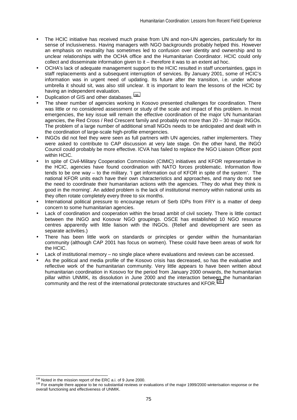- The HCIC initiative has received much praise from UN and non-UN agencies, particularly for its sense of inclusiveness. Having managers with NGO backgrounds probably helped this. However an emphasis on neutrality has sometimes led to confusion over identity and ownership and to unclear relationships with the OCHA office and the Humanitarian Coordinator. HCIC could only collect and disseminate information given to it – therefore it was to an extent ad hoc.
- OCHA's lack of adequate management support to the HCIC resulted in staff uncertainties, gaps in staff replacements and a subsequent interruption of services. By January 2001, some of HCIC's information was in urgent need of updating. Its future after the transition, i.e. under whose umbrella it should sit, was also still unclear. It is important to learn the lessons of the HCIC by having an independent evaluation.
- Duplication of GIS and other databases.<sup>138</sup>
- The sheer number of agencies working in Kosovo presented challenges for coordination. There was little or no considered assessment or study of the scale and impact of this problem. In most emergencies, the key issue will remain the effective coordination of the major UN humanitarian agencies, the Red Cross / Red Crescent family and probably not more than 20 – 30 major INGOs. The problem of a large number of additional small NGOs needs to be anticipated and dealt with in the coordination of large-scale high-profile emergencies.
- INGOs did not feel they were seen as full partners with UN agencies, rather implementers. They were asked to contribute to CAP discussion at very late stage. On the other hand, the INGO Council could probably be more effective. ICVA has failed to replace the NGO Liaison Officer post within HCIC.
- In spite of Civil-Military Cooperation Commission (CIMIC) initiatives and KFOR representative in the HCIC, agencies have found coordination with NATO forces problematic. Information flow tends to be one way – to the military. 'I get information out of KFOR in spite of the system'. The national KFOR units each have their own characteristics and approaches, and many do not see the need to coordinate their humanitarian actions with the agencies. 'They do what they think is good in the morning'. An added problem is the lack of institutional memory within national units as they often rotate completely every three to six months.
- International political pressure to encourage return of Serb IDPs from FRY is a matter of deep concern to some humanitarian agencies.
- Lack of coordination and cooperation within the broad ambit of civil society. There is little contact between the INGO and Kosovar NGO groupings. OSCE has established 10 NGO resource centres apparently with little liaison with the INGOs. (Relief and development are seen as separate activities.)
- There has been little work on standards or principles or gender within the humanitarian community (although CAP 2001 has focus on women). These could have been areas of work for the HCIC.
- Lack of institutional memory no single place where evaluations and reviews can be accessed.
- As the political and media profile of the Kosovo crisis has decreased, so has the evaluative and reflective work of the humanitarian community. Very little appears to have been written about humanitarian coordination in Kosovo for the period from January 2000 onwards, the humanitarian pillar within UNMIK, its dissolution in June 2000 and the interaction between the humanitarian community and the rest of the international protectorate structures and KFOR.<sup>139</sup>

<sup>&</sup>lt;sup>138</sup> Noted in the mission report of the ERC a.i. of 9 June 2000.

<sup>139</sup> For example there appear to be no substantial reviews or evaluations of the major 1999/2000 winterisation response or the overall functioning and effectiveness of UNMIK.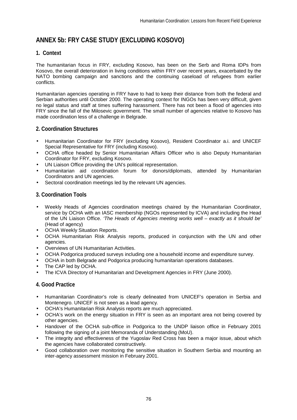# **ANNEX 5b: FRY CASE STUDY (EXCLUDING KOSOVO)**

# **1. Context**

The humanitarian focus in FRY, excluding Kosovo, has been on the Serb and Roma IDPs from Kosovo, the overall deterioration in living conditions within FRY over recent years, exacerbated by the NATO bombing campaign and sanctions and the continuing caseload of refugees from earlier conflicts.

Humanitarian agencies operating in FRY have to had to keep their distance from both the federal and Serbian authorities until October 2000. The operating context for INGOs has been very difficult, given no legal status and staff at times suffering harassment. There has not been a flood of agencies into FRY since the fall of the Milosevic government. The small number of agencies relative to Kosovo has made coordination less of a challenge in Belgrade.

## **2. Coordination Structures**

- Humanitarian Coordinator for FRY (excluding Kosovo), Resident Coordinator a.i. and UNICEF Special Representative for FRY (including Kosovo).
- OCHA office headed by Senior Humanitarian Affairs Officer who is also Deputy Humanitarian Coordinator for FRY, excluding Kosovo.
- UN Liaison Office providing the UN's political representation.
- Humanitarian aid coordination forum for donors/diplomats, attended by Humanitarian Coordinators and UN agencies.
- Sectoral coordination meetings led by the relevant UN agencies.

## **3. Coordination Tools**

- Weekly Heads of Agencies coordination meetings chaired by the Humanitarian Coordinator, service by OCHA with an IASC membership (NGOs represented by ICVA) and including the Head of the UN Liaison Office. *'The Heads of Agencies meeting works well – exactly as it should be'* (Head of agency)
- OCHA Weekly Situation Reports.
- OCHA Humanitarian Risk Analysis reports, produced in conjunction with the UN and other agencies.
- Overviews of UN Humanitarian Activities.
- OCHA Podgorica produced surveys including one a household income and expenditure survey.
- OCHA in both Belgrade and Podgorica producing humanitarian operations databases.
- The CAP led by OCHA.
- The ICVA Directory of Humanitarian and Development Agencies in FRY (June 2000).

## **4. Good Practice**

- Humanitarian Coordinator's role is clearly delineated from UNICEF's operation in Serbia and Montenegro. UNICEF is not seen as a lead agency.
- OCHA's Humanitarian Risk Analysis reports are much appreciated.
- OCHA's work on the energy situation in FRY is seen as an important area not being covered by other agencies.
- Handover of the OCHA sub-office in Podgorica to the UNDP liaison office in February 2001 following the signing of a joint Memoranda of Understanding (MoU).
- The integrity and effectiveness of the Yugoslav Red Cross has been a major issue, about which the agencies have collaborated constructively.
- Good collaboration over monitoring the sensitive situation in Southern Serbia and mounting an inter-agency assessment mission in February 2001.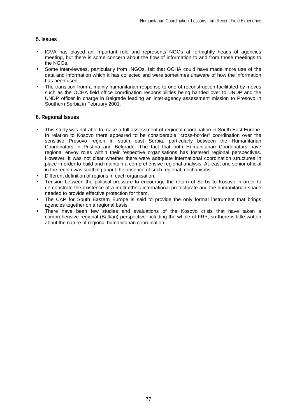## **5. Issues**

- ICVA has played an important role and represents NGOs at fortnightly heads of agencies meeting, but there is some concern about the flow of information to and from those meetings to the NGOs.
- Some interviewees, particularly from INGOs, felt that OCHA could have made more use of the data and information which it has collected and were sometimes unaware of how the information has been used.
- The transition from a mainly humanitarian response to one of reconstruction facilitated by moves such as the OCHA field office coordination responsibilities being handed over to UNDP and the UNDP officer in charge in Belgrade leading an inter-agency assessment mission to Presovo in Southern Serbia in February 2001.

## **6. Regional Issues**

- This study was not able to make a full assessment of regional coordination in South East Europe. In relation to Kosovo there appeared to be considerable "cross-border" coordination over the sensitive Presovo region in south east Serbia, particularly between the Humanitarian Coordinators in Pristina and Belgrade. The fact that both Humanitarian Coordinators have regional envoy roles within their respective organisations has fostered regional perspectives. However, it was not clear whether there were adequate international coordination structures in place in order to build and maintain a comprehensive regional analysis. At least one senior official in the region was scathing about the absence of such regional mechanisms.
- Different definition of regions in each organisation.
- Tension between the political pressure to encourage the return of Serbs to Kosovo in order to demonstrate the existence of a multi-ethnic international protectorate and the humanitarian space needed to provide effective protection for them.
- The CAP for South Eastern Europe is said to provide the only formal instrument that brings agencies together on a regional basis.
- There have been few studies and evaluations of the Kosovo crisis that have taken a comprehensive regional (Balkan) perspective including the whole of FRY, so there is little written about the nature of regional humanitarian coordination.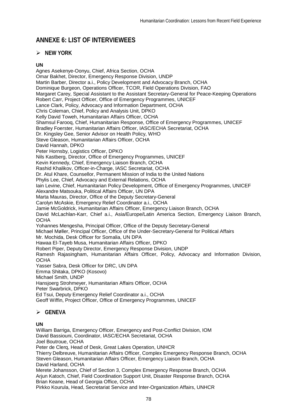# **ANNEXE 6: LIST OF INTERVIEWEES**

# -**NEW YORK**

## **UN**

Agnes Asekenye-Oonyu, Chief, Africa Section, OCHA Omar Bakhet, Director, Emergency Response Division, UNDP Martin Barber, Director a.i., Policy Development and Advocacy Branch, OCHA Dominique Burgeon, Operations Officer, TCOR, Field Operations Division, FAO Margaret Carey, Special Assistant to the Assistant Secretary-General for Peace-Keeping Operations Robert Carr, Project Officer, Office of Emergency Programmes, UNICEF Lance Clark, Policy, Advocacy and Information Department, OCHA Chris Coleman, Chief, Policy and Analysis Unit, DPKO Kelly David Toweh, Humanitarian Affairs Officer, OCHA Shamsul Farooq, Chief, Humanitarian Response, Office of Emergency Programmes, UNICEF Bradley Foerster, Humanitarian Affairs Officer, IASC/ECHA Secretariat, OCHA Dr. Kingsley Gee, Senior Advisor on Health Policy, WHO Steve Gleason, Humanitarian Affairs Officer, OCHA David Hannah, DPKO Peter Hornsby, Logistics Officer, DPKO Nils Kastberg, Director, Office of Emergency Programmes, UNICEF Kevin Kennedy, Chief, Emergency Liaison Branch, OCHA Rashid Khalikov, Officer-in-Charge, IASC Secretariat, OCHA Dr. Atul Khare, Counsellor, Permanent Mission of India to the United Nations Phylis Lee, Chief, Advocacy and External Relations, OCHA Iain Levine, Chief, Humanitarian Policy Development, Office of Emergency Programmes, UNICEF Alexandre Matsouka, Political Affairs Officer, UN DPA Marta Mauras, Director, Office of the Deputy Secretary-General Carolyn McAskie, Emergency Relief Coordinator a.i., OCHA Jamie McGoldrick, Humanitarian Affairs Officer, Emergency Liaison Branch, OCHA David McLachlan-Karr, Chief a.i., Asia/Europe/Latin America Section, Emergency Liaison Branch, **OCHA** Yohannes Mengesha, Principal Officer, Office of the Deputy Secretary-General Michael Møller, Principal Officer, Office of the Under-Secretary-General for Political Affairs Mr. Mochida, Desk Officer for Somalia, UN DPA Hawaa El-Tayeb Musa, Humanitarian Affairs Officer, DPKO Robert Piper, Deputy Director, Emergency Response Division, UNDP Ramesh Rajasingham, Humanitarian Affairs Officer, Policy, Advocacy and Information Division, **OCHA** Yasser Sabra, Desk Officer for DRC, UN DPA Emma Shitaka, DPKO (Kosovo) Michael Smith, UNDP Hansjoerg Strohmeyer, Humanitarian Affairs Officer, OCHA Peter Swarbrick, DPKO Ed Tsui, Deputy Emergency Relief Coordinator a.i., OCHA Geoff Wiffin, Project Officer, Office of Emergency Programmes, UNICEF

# -**GENEVA**

## **UN**

William Barriga, Emergency Officer, Emergency and Post-Conflict Division, IOM David Bassiouni, Coordinator, IASC/ECHA Secretariat, OCHA Joel Boutroue, OCHA Peter de Clerq, Head of Desk, Great Lakes Operation, UNHCR Thierry Delbreuve, Humanitarian Affairs Officer, Complex Emergency Response Branch, OCHA Steven Gleason, Humanitarian Affairs Officer, Emergency Liaison Branch, OCHA David Harland, OCHA Merete Johansson, Chief of Section 3, Complex Emergency Response Branch, OCHA Arjun Katoch, Chief, Field Coordination Support Unit, Disaster Response Branch, OCHA Brian Keane, Head of Georgia Office, OCHA Pirkko Kourula, Head, Secretariat Service and Inter-Organization Affairs, UNHCR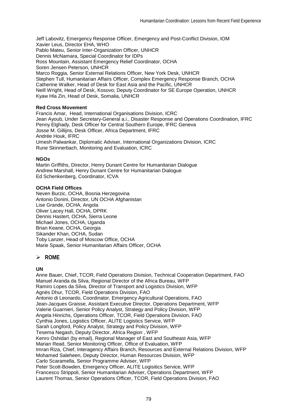Jeff Labovitz, Emergency Response Officer, Emergency and Post-Conflict Division, IOM Xavier Leus, Director EHA, WHO Pablo Mateu, Senior Inter-Organization Officer, UNHCR Dennis McNamara, Special Coordinator for IDPs Ross Mountain, Assistant Emergency Relief Coordinator, OCHA Soren Jensen Peterson, UNHCR Marco Roggia, Senior External Relations Officer, New York Desk, UNHCR Stephen Tull, Humanitarian Affairs Officer, Complex Emergency Response Branch, OCHA Catherine Walker, Head of Desk for East Asia and the Pacific, UNHCR Neill Wright, Head of Desk, Kosovo; Deputy Coordinator for SE Europe Operation, UNHCR Kyaw Hla Zin, Head of Desk, Somalia, UNHCR

#### **Red Cross Movement**

Francis Amar, Head, International Organisations Division, ICRC Jean Ayoub, Under Secretary-General a.i., Disaster Response and Operations Coordination, IFRC Penny Elghady, Desk Officer for Central Southern Europe, IFRC Geneva Josse M. Gillijns, Desk Officer, Africa Department, IFRC Andrée Houk, IFRC Umesh Palwankar, Diplomatic Adviser, International Organizations Division, ICRC Rune Skinnerbach, Monitoring and Evaluation, ICRC

#### **NGOs**

Martin Griffiths, Director, Henry Dunant Centre for Humanitarian Dialogue Andrew Marshall, Henry Dunant Centre for Humanitarian Dialogue Ed Schenkenberg, Coordinator, ICVA

#### **OCHA Field Offices**

Neven Burzic, OCHA, Bosnia Herzegovina Antonio Donini, Director, UN OCHA Afghanistan Lise Grande, OCHA, Angola Oliver Lacey Hall, OCHA, DPRK Dennis Hastert, OCHA, Sierra Leone Michael Jones, OCHA, Uganda Brian Keane, OCHA, Georgia Sikander Khan, OCHA, Sudan Toby Lanzer, Head of Moscow Office, OCHA Marie Spaak, Senior Humanitarian Affairs Officer, OCHA

# -**ROME**

#### **UN**

Anne Bauer, Chief, TCOR, Field Operations Division, Technical Cooperation Department, FAO Manuel Aranda da Silva, Regional Director of the Africa Bureau, WFP Ramiro Lopes da Silva, Director of Transport and Logistics Division, WFP Agnès Dhur, TCOR, Field Operations Division, FAO Antonio di Leonardo, Coordinator, Emergency Agricultural Operations, FAO Jean-Jacques Graisse, Assistant Executive Director, Operations Department, WFP Valerie Guarnieri, Senior Policy Analyst, Strategy and Policy Division, WFP Angela Hinrichs, Operations Officer, TCOR, Field Operations Division, FAO Cynthia Jones, Logistics Officer, ALITE Logistics Service, WFP Sarah Longford, Policy Analyst, Strategy and Policy Division, WFP Tesema Negash, Deputy Director, Africa Region , WFP Kenro Oshidari (by email), Regional Manager of East and Southeast Asia, WFP Marian Read, Senior Monitoring Officer, Office of Evaluation, WFP Imran Riza, Chief, Interagency Affairs Branch, Resources and External Relations Division, WFP Mohamed Saleheen, Deputy Director, Human Resources Division, WFP Carlo Scaramella, Senior Programme Adviser, WFP Peter Scott-Bowden, Emergency Officer, ALITE Logisitics Service, WFP Francesco Strippoli, Senior Humanitarian Adviser, Operations Department, WFP Laurent Thomas, Senior Operations Officer, TCOR, Field Operations Division, FAO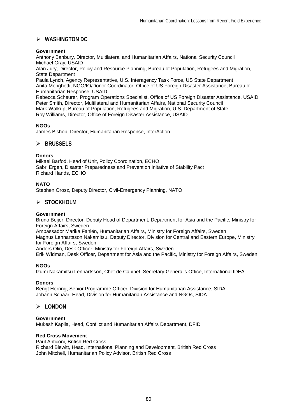# -**WASHINGTON DC**

### **Government**

Anthony Banbury, Director, Multilateral and Humanitarian Affairs, National Security Council Michael Gray, USAID

Alan Jury, Director, Policy and Resource Planning, Bureau of Population, Refugees and Migration, State Department

Paula Lynch, Agency Representative, U.S. Interagency Task Force, US State Department Anita Menghetti, NGO/IO/Donor Coordinator, Office of US Foreign Disaster Assistance, Bureau of Humanitarian Response, USAID

Rebecca Scheurer, Program Operations Specialist, Office of US Foreign Disaster Assistance, USAID Peter Smith, Director, Multilateral and Humanitarian Affairs, National Security Council Mark Walkup, Bureau of Population, Refugees and Migration, U.S. Department of State Roy Williams, Director, Office of Foreign Disaster Assistance, USAID

### **NGOs**

James Bishop, Director, Humanitarian Response, InterAction

# -**BRUSSELS**

### **Donors**

Mikael Barfod, Head of Unit, Policy Coordination, ECHO Sabri Ergen, Disaster Preparedness and Prevention Initative of Stability Pact Richard Hands, ECHO

### **NATO**

Stephen Orosz, Deputy Director, Civil-Emergency Planning, NATO

# -**STOCKHOLM**

#### **Government**

Bruno Beijer, Director, Deputy Head of Department, Department for Asia and the Pacific, Ministry for Foreign Affairs, Sweden

Ambassador Marika Fahlén, Humanitarian Affairs, Ministry for Foreign Affairs, Sweden Magnus Lennartsson Nakamitsu, Deputy Director, Division for Central and Eastern Europe, Ministry for Foreign Affairs, Sweden

Anders Olin, Desk Officer, Ministry for Foreign Affairs, Sweden

Erik Widman, Desk Officer, Department for Asia and the Pacific, Ministry for Foreign Affairs, Sweden

#### **NGOs**

Izumi Nakamitsu Lennartsson, Chef de Cabinet, Secretary-General's Office, International IDEA

#### **Donors**

Bengt Herring, Senior Programme Officer, Division for Humanitarian Assistance, SIDA Johann Schaar, Head, Division for Humanitarian Assistance and NGOs, SIDA

# -**LONDON**

#### **Government**

Mukesh Kapila, Head, Conflict and Humanitarian Affairs Department, DFID

#### **Red Cross Movement**

Paul Anticoni, British Red Cross Richard Blewitt, Head, International Planning and Development, British Red Cross John Mitchell, Humanitarian Policy Advisor, British Red Cross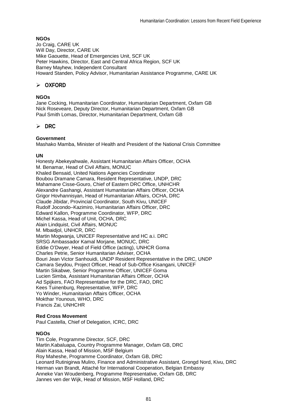## **NGOs**

Jo Craig, CARE UK Will Day, Director, CARE UK Mike Gaouette, Head of Emergencies Unit, SCF UK Peter Hawkins, Director, East and Central Africa Region, SCF UK Barney Mayhew, Independent Consultant Howard Standen, Policy Advisor, Humanitarian Assistance Programme, CARE UK

# -**OXFORD**

### **NGOs**

Jane Cocking, Humanitarian Coordinator, Humanitarian Department, Oxfam GB Nick Roseveare, Deputy Director, Humanitarian Department, Oxfam GB Paul Smith Lomas, Director, Humanitarian Department, Oxfam GB

# -**DRC**

### **Government**

Mashako Mamba, Minister of Health and President of the National Crisis Committee

#### **UN**

Honesty Abekeyahwale, Assistant Humanitarian Affairs Officer, OCHA M. Benamar, Head of Civil Affairs, MONUC Khaled Bensaid, United Nations Agencies Coordinator Boubou Dramane Camara, Resident Representative, UNDP, DRC Mahamane Cisse-Gouro, Chief of Eastern DRC Office, UNHCHR Alexandre Gashangi, Assistant Humanitarian Affairs Officer, OCHA Grigor Hovhannisyan, Head of Humanitarian Affairs, OCHA, DRC Claude Jibidar, Provincial Coordinator, South Kivu, UNICEF Rudolf Jocondo–Kazimiro, Humanitarian Affairs Officer, DRC Edward Kallon, Programme Coordinator, WFP, DRC Michel Kassa, Head of Unit, OCHA, DRC Alain Lindquist, Civil Affairs, MONUC M. Mbaidjol, UNHCR, DRC Martin Mogwanja, UNICEF Representative and HC a.i. DRC SRSG Ambassador Kamal Morjane, MONUC, DRC Eddie O'Dwyer, Head of Field Office (acting), UNHCR Goma Charles Petrie, Senior Humanitarian Adviser, OCHA Bouri Jean Victor Sanhouidi, UNDP Resident Representative in the DRC, UNDP Camara Seydou, Project Officer, Head of Sub-Office Kisangani, UNICEF Martin Sikabwe, Senior Programme Officer, UNICEF Goma Lucien Simba, Assistant Humanitarian Affairs Officer, OCHA Ad Spijkers, FAO Representative for the DRC, FAO, DRC Kees Tuinenburg, Representative, WFP, DRC Yo Winder, Humanitarian Affairs Officer, OCHA Mokthar Younous, WHO, DRC Francis Zai, UNHCHR

#### **Red Cross Movement**

Paul Castella, Chief of Delegation, ICRC, DRC

#### **NGOs**

Tim Cole, Programme Director, SCF, DRC Martin.Kabaluapa, Country Programme Manager, Oxfam GB, DRC Alain Kassa, Head of Mission, MSF Belgium Roy Maheshe, Programme Coordinator, Oxfam GB, DRC Leonard Rutinigirwa Muliro, Finance and Administrative Assistant, Grongd Nord, Kivu, DRC Herman van Brandt, Attaché for International Cooperation, Belgian Embassy Anneke Van Woudenberg, Programme Representative, Oxfam GB, DRC Jannes ven der Wijk, Head of Mission, MSF Holland, DRC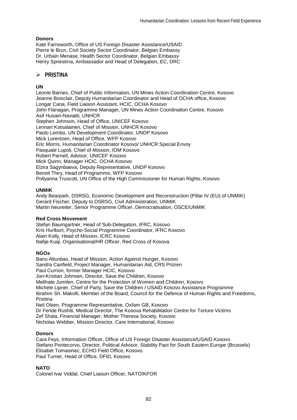## **Donors**

Kate Farnsworth, Office of US Foreign Disaster Assistance/USAID Pierre le Brun, Civil Society Sector Coordinator, Belgian Embassy Dr. Urbain Menase, Health Sector Coordinator, Belgian Embassy Henry Spriestma, Ambassador and Head of Delegation, EC, DRC

# -**PRISTINA**

## **UN**

Leonie Barnes, Chief of Public Information, UN Mines Action Coordination Centre, Kosovo Jeanne Boisclair, Deputy Humanitarian Coordinator and Head of OCHA office, Kosovo Longar Cana, Field Liaison Assistant, HCIC, OCHA Kosovo John Flanagan, Programme Manager, UN Mines Action Coordination Centre, Kosovo Asif Husain-Naviatti, UNHCR Stephen Johnson, Head of Office, UNICEF Kosovo Lennart Kotsalainen, Chief of Mission, UNHCR Kosovo Paolo Lembo, UN Development Coordinator, UNDP Kosovo Mick Lorentzen, Head of Office, WFP Kosovo Eric Morris, Humanitarian Coordinator Kosovo/ UNHCR Special Envoy Pasquale Lupoli, Chief of Mission, IOM Kosovo Robert Parnell, Advisor, UNICEF Kosovo Mick Quinn, Manager HCIC, OCHA Kosovo Elzira Sagynbaeva, Deputy Representative, UNDP Kosovo Benoit Thiry, Head of Programme, WFP Kosovo Pollyanna Truscott, UN Office of the High Commissioner for Human Rights, Kosovo

## **UNMIK**

Andy Bearpark, DSRSG, Economic Development and Reconstruction (Pillar IV (EU) of UNMIK) Gerard Fischer, Deputy to DSRSG, Civil Administration, UNMIK Martin Neureiter, Senior Programme Officer, Democratisation, OSCE/UNMIK

#### **Red Cross Movement**

Stefan Baumgartner, Head of Sub-Delegation, IFRC, Kosovo Kris Hurlburt, Psycho-Social Programme Coordinator, IFRC Kosovo Alain Kolly, Head of Mission, ICRC Kosovo Nafije Kuqi, Organisational/HR Officer, Red Cross of Kosova

## **NGOs**

Banu Altunbas, Head of Mission, Action Against Hunger, Kosovo Sandra Canfield, Project Manager, Humanitarian Aid, CRS Prizren Paul Currion, former Manager HCIC, Kosovo Jon-Kristian Johnsen, Director, Save the Children, Kosovo Melihate Jumilen, Centre for the Protection of Women and Children, Kosovo Michele Lipner, Chief of Party, Save the Children / USAID Kosovo Assistance Programme Ibrahim Sh. Makolli, Member of the Board, Council for the Defence of Human Rights and Freedoms, Pristina Neil Olsen, Programme Representative, Oxfam GB, Kosovo Dr Feride Rushiti, Medical Director, The Kosova Rehabilitation Centre for Torture Victims Zef Shala, Financial Manager, Mother Theresa Society, Kosovo Nicholas Webber, Mission Director, Care International, Kosovo

#### **Donors**

Cara Feys, Information Officer, Office of US Foreign Disaster Assistance/USAID Kosovo Stefano Pontecorvo, Director, Political Advisor, Stability Pact for South Eastern Europe (Brussels) Elisabet Tomasinec, ECHO Field Office, Kosovo Paul Turner, Head of Office, DFID, Kosovo

## **NATO**

Colonel Ivar Viddal, Chief Liaison Officer, NATO/KFOR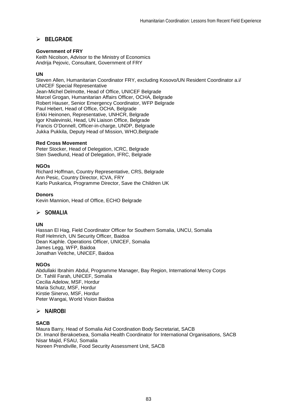# -**BELGRADE**

#### **Government of FRY**

Keith Nicolson, Advisor to the Ministry of Economics Andrija Pejovic, Consultant, Government of FRY

#### **UN**

Steven Allen, Humanitarian Coordinator FRY, excluding Kosovo/UN Resident Coordinator a.i/ UNICEF Special Representative Jean-Michel Delmotte, Head of Office, UNICEF Belgrade Marcel Grogan, Humanitarian Affairs Officer, OCHA, Belgrade Robert Hauser, Senior Emergency Coordinator, WFP Belgrade Paul Hebert, Head of Office, OCHA, Belgrade Erkki Heinonen, Representative, UNHCR, Belgrade Igor Khalevinski, Head, UN Liaison Office, Belgrade Francis O'Donnell, Officer-in-charge, UNDP, Belgrade Jukka Pukkila, Deputy Head of Mission, WHO,Belgrade

#### **Red Cross Movement**

Peter Stocker, Head of Delegation, ICRC, Belgrade Sten Swedlund, Head of Delegation, IFRC, Belgrade

#### **NGOs**

Richard Hoffman, Country Representative, CRS, Belgrade Ann Pesic, Country Director, ICVA, FRY Karlo Puskarica, Programme Director, Save the Children UK

#### **Donors**

Kevin Mannion, Head of Office, ECHO Belgrade

# -**SOMALIA**

#### **UN**

Hassan El Hag, Field Coordinator Officer for Southern Somalia, UNCU, Somalia Rolf Helmrich, UN Security Officer, Baidoa Dean Kaphle. Operations Officer, UNICEF, Somalia James Legg, WFP, Baidoa Jonathan Veitche, UNICEF, Baidoa

#### **NGOs**

Abdullaki Ibrahim Abdul, Programme Manager, Bay Region, International Mercy Corps Dr. Tahlil Farah, UNICEF, Somalia Cecilia Adelow, MSF, Hordur Maria Schutz, MSF, Hordur Kirstie Sinervo, MSF, Hordur Peter Wangai, World Vision Baidoa

# -**NAIROBI**

#### **SACB**

Maura Barry, Head of Somalia Aid Coordination Body Secretariat, SACB Dr. Imanol Berakoetxea, Somalia Health Coordinator for International Organisations, SACB Nisar Majid, FSAU, Somalia Noreen Prendiville, Food Security Assessment Unit, SACB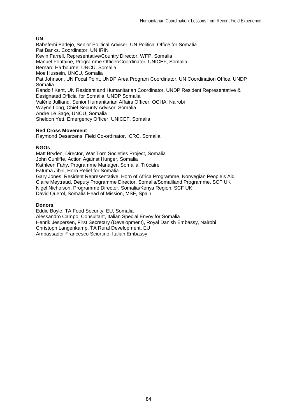## **UN**

Babefemi Badejo, Senior Political Adviser, UN Political Office for Somalia Pat Banks, Coordinator, UN IRIN Kevin Farrell, Representative/Country Director, WFP, Somalia Manuel Fontaine, Programme Officer/Coordinator, UNICEF, Somalia Bernard Harbourne, UNCU, Somalia Moe Hussein, UNCU, Somalia Pat Johnson, UN Focal Point, UNDP Area Program Coordinator, UN Coordination Office, UNDP Somalia Randolf Kent, UN Resident and Humanitarian Coordinator, UNDP Resident Representative & Designated Official for Somalia, UNDP Somalia Valérie Julliand, Senior Humanitarian Affairs Officer, OCHA, Nairobi Wayne Long, Chief Security Advisor, Somalia Andre Le Sage, UNCU, Somalia Sheldon Yett, Emergency Officer, UNICEF, Somalia

#### **Red Cross Movement**

Raymond Desarzens, Field Co-ordinator, ICRC, Somalia

#### **NGOs**

Matt Bryden, Director, War Torn Societies Project, Somalia John Cunliffe, Action Against Hunger, Somalia Kathleen Fahy, Programme Manager, Somalia, Trócaire Fatuma Jibril, Horn Relief for Somalia Gary Jones, Resident Representative, Horn of Africa Programme, Norwegian People's Aid Claire Meytraud, Deputy Programme Director, Somalia/Somaliland Programme, SCF UK Nigel Nicholson, Programme Director, Somalia/Kenya Region, SCF UK David Querol, Somalia Head of Mission, MSF, Spain

#### **Donors**

Eddie Boyle, TA Food Security, EU, Somalia Alessandro Campo, Consultant, Italian Special Envoy for Somalia Henrik Jespersen, First Secretary (Development), Royal Danish Embassy, Nairobi Christoph Langenkamp, TA Rural Development, EU Ambassador Francesco Sciortino, Italian Embassy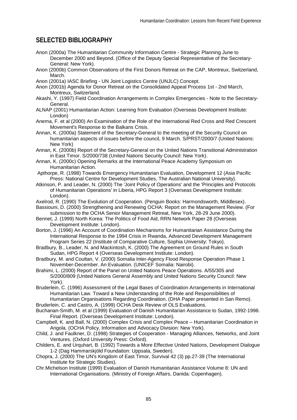# **SELECTED BIBLIOGRAPHY**

- Anon (2000a) The Humanitarian Community Information Centre Strategic Planning June to December 2000 and Beyond. (Office of the Deputy Special Representative of the Secretary-General: New York).
- Anon (2000b) Common Observations of the First Donors Retreat on the CAP, Montreux, Switzerland, March.
- Anon (2001a) IASC Briefing UN Joint Logistics Centre (UNJLC) Concept.
- Anon (2001b) Agenda for Donor Retreat on the Consolidated Appeal Process 1st 2nd March, Montreux, Switzerland.
- Akashi, Y. (1997) Field Coordination Arrangements in Complex Emergencies Note to the Secretary-General.
- ALNAP (2001) Humanitarian Action: Learning from Evaluation (Overseas Development Institute: London)
- Anema, F. et al (2000) An Examination of the Role of the International Red Cross and Red Crescent Movement's Response to the Balkans Crisis.
- Annan, K. (2000a) Statement of the Secretary-General to the meeting of the Security Council on humanitarian aspects of issues before the council, 9 March. S/PRST/2000/7 (United Nations: New York)
- Annan, K. (2000b) Report of the Secretary-General on the United Nations Transitional Administration in East Timor. S/2000/738 (United Nations Security Council: New York).
- Annan, K. (2000c) Opening Remarks at the International Peace Academy Symposium on Humanitarian Action.
- Apthorpe, R. (1998) Towards Emergency Humanitarian Evaluation, Development 12 (Asia Pacific Press: National Centre for Development Studies, The Australian National University).
- Atkinson, P. and Leader, N. (2000) The 'Joint Policy of Operations' and the 'Principles and Protocols of Humanitarian Operations' in Liberia, HPG Report 3 (Overseas Development Institute: London).
- Axelrod, R. (1990) The Evolution of Cooperation. (Penguin Books: Harmondsworth, Middlesex).
- Bassiouni, D. (2000) Strengthening and Renewing OCHA: Report on the Management Review. (For submission to the OCHA Senior Management Retreat, New York, 28-29 June 2000).
- Bennet, J. (1999) North Korea: The Politics of Food Aid, RRN Network Paper 28 (Overseas Development Institute: London).
- Borton, J. (1996) An Account of Coordination Mechanisms for Humanitarian Assistance During the International Response to the 1994 Crisis in Rwanda, Advanced Development Management Program Series 22 (Institute of Comparative Culture, Sophia University: Tokyo).
- Bradbury, B., Leader, N. and Mackintosh, K. (2000) The Agreement on Ground Rules in South Sudan, HPG Report 4 (Overseas Development Institute: London).
- Bradbury, M. and Coultan, V. (2000) Somalia Inter-Agency Flood Response Operation Phase 1 November-December. An Evaluation. (UNICEF Somalia: Nairobi).
- Brahimi, L. (2000) Report of the Panel on United Nations Peace Operations. A/55/305 and S/2000/809 (United Nations General Assembly and United Nations Security Council: New York).
- Bruderlein, C. (1996) Assessment of the Legal Bases of Coordination Arrangements in International Humanitarian Law. Toward a New Understanding of the Role and Responsibilities of Humanitarian Organisations Regarding Coordination. (DHA Paper presented in San Remo).
- Bruderlein, C. and Castro, A. (1999) OCHA Desk Review of OLS Evaluations.
- Buchanan-Smith, M. et al (1999) Evaluation of Danish Humanitarian Assistance to Sudan, 1992-1998. Final Report. (Overseas Development Institute: London).
- Campbell, K. and Ball, N. (2000) Complex Crisis and Complex Peace Humanitarian Coordination in Angola. (OCHA Policy, Information and Advocacy Division: New York).
- Child, J. and Faulkner, D. (1998) Strategies of Cooperation Managing Alliances, Networks, and Joint Ventures. (Oxford University Press: Oxford).
- Childers, E. and Urquhart, B. (1992) Towards a More Effective United Nations, Development Dialogue 1-2 (Dag Hammarskjöld Foundation: Uppsala, Sweden).
- Chopra, J. (2000) The UN's Kingdom of East Timor, Survival 42 (3) pp.27-39 (The International Institute for Strategic Studies).
- Chr.Michelson Institute (1999) Evaluation of Danish Humanitarian Assistance Volume 8: UN and International Organisations. (Ministry of Foreign Affairs, Danida: Copenhagen).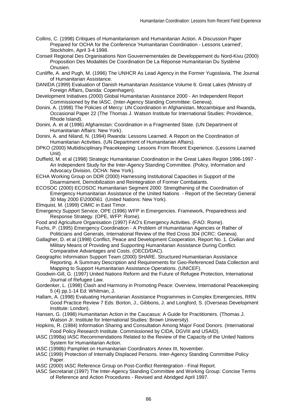- Collins, C. (1998) Critiques of Humanitarianism and Humanitarian Action. A Discussion Paper Prepared for OCHA for the Conference 'Humanitarian Coordination - Lessons Learned', Stockholm, April 3-4 1998.
- Conseil Regional Des Organisations Non Gouvernementales de Developpement du Nord-Kivu (2000) Proposition Des Modalités De Coordination De La Réponse Humanitarian Du Système Onusien.
- Cunliffe, A. and Pugh, M. (1996) The UNHCR As Lead Agency in the Former Yugoslavia, The Journal of Humanitarian Assistance.
- DANIDA (1999) Evaluation of Danish Humanitarian Assistance Volume 6: Great Lakes (Ministry of Foreign Affairs, Danida: Copenhagen).
- Development Initiatives (2000) Global Humanitarian Assistance 2000 An Independent Report Commissioned by the IASC. (Inter-Agency Standing Committee: Geneva).
- Donini, A. (1998) The Policies of Mercy: UN Coordination in Afghanistan, Mozambique and Rwanda, Occasional Paper 22 (The Thomas J. Watson Institute for International Studies: Providence, Rhode Island).
- Donini, A. et al (1996) Afghanistan: Coordination in a Fragmented State. (UN Department of Humanitarian Affairs: New York).
- Donini, A. and Niland, N. (1994) Rwanda: Lessons Learned. A Report on the Coordination of Humanitarian Activities. (UN Department of Humanitarian Affairs).
- DPKO (2000) Multidisciplinary Peacekeeping: Lessons From Recent Experience. (Lessons Learned Unit).
- Duffield, M. et al (1998) Strategic Humanitarian Coordination in the Great Lakes Region 1996-1997 An Independent Study for the Inter-Agency Standing Committee. (Policy, Information and Advocacy Division, OCHA: New York).
- ECHA Working Group on DDR (2000) Harnessing Institutional Capacities in Support of the Disarmament, Demobilization and Reintegration of Former Combatants.
- ECOSOC (2000) ECOSOC Humanitarian Segment 2000: Strengthening of the Coordination of Emergency Humanitarian Assistance of the United Nations - Report of the Secretary General 30 May 2000 E\2000\61 (United Nations: New York).
- Elmquist, M. (1999) CIMIC in East Timor.
- Emergency Support Service, OPE (1996) WFP in Emergencies. Framework, Preparedness and Response Strategy. (OPE, WFP: Rome).
- Food and Agriculture Organisation (1997) FAO's Emergency Activities. (FAO: Rome).
- Fuchs, P. (1995) Emergency Coordination A Problem of Humanitarian Agencies or Rather of Politicians and Generals, International Review of the Red Cross 304 (ICRC: Geneva).
- Gallagher, D. et al (1998) Conflict, Peace and Development Cooperation. Report No. 1. Civilian and Military Means of Providing and Supporting Humanitarian Assistance During Conflict. Comparative Advantages and Costs. (OECD/DAC).
- Geographic Information Support Team (2000) SHARE. Structured Humanitarian Assistance Reporting. A Summary Description and Requirements for Geo-Referenced Data Collection and Mapping to Support Humanitarian Assistance Operations. (UNICEF).
- Goodwin-Gill, G. (1997) United Nations Reform and the Future of Refugee Protection, International Journal of Refugee Law.
- Gordenker, L. (1998) Clash and Harmony in Promoting Peace: Overview, International Peacekeeping 5 (4) pp.1-14 Ed: Whitman, J.
- Hallam, A. (1998) Evaluating Humanitarian Assistance Programmes in Complex Emergencies, RRN Good Practice Review 7 Eds: Borton, J., Gibbons, J. and Longford, S. (Overseas Development Institute: London).
- Hansen, G. (1998) Humanitarian Action in the Caucasus: A Guide for Practitioners. (Thomas J. Watson Jr. Institute for International Studies: Brown University).
- Hopkins, R. (1984) Information Sharing and Consultation Among Major Food Donors. (International Food Policy Research Institute. Commissioned by CIDA, DGVIII and USAID).
- IASC (1998a) IASC Recommendations Related to the Review of the Capacity of the United Nations System for Humanitarian Action.
- IASC (1998b) Pamphlet on Humanitarian Coordinators Annex III, November.
- IASC (1999) Protection of Internally Displaced Persons. Inter-Agency Standing Committee Policy Paper.
- IASC (2000) IASC Reference Group on Post-Conflict Reintegration Final Report.
- IASC Secretariat (1997) The Inter-Agency Standing Committee and Working Group: Concise Terms of Reference and Action Procedures - Revised and Abridged April 1997.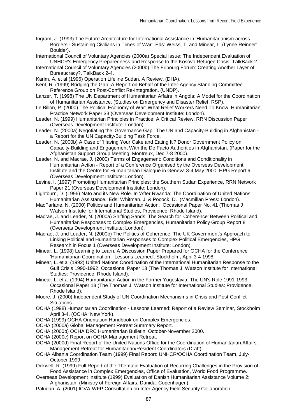- Ingram, J. (1993) The Future Architecture for International Assistance in 'Humanitarianism across Borders - Sustaining Civilians in Times of War'. Eds: Weiss, T. and Minear, L. (Lynne Reinner: Boulder).
- International Council of Voluntary Agencies (2000a) Special Issue: The Independent Evaluation of UNHCR's Emergency Preparedness and Response to the Kosovo Refugee Crisis, TalkBack 2
- International Council of Voluntary Agencies (2000b) The Fribourg Forum: Creating Another Layer of Bureaucracy?, TalkBack 2-4.
- Karim, A. et al (1996) Operation Lifeline Sudan. A Review. (DHA).
- Kent, R. (1999) Bridging the Gap: A Report on Behalf of the Inter-Agency Standing Committee Reference Group on Post-Conflict Re-Integration. (UNDP).
- Lanzer, T. (1998) The UN Department of Humanitarian Affairs in Angola: A Model for the Coordination of Humanitarian Assistance. (Studies on Emergency and Disaster Relief, RSP).
- Le Billon, P. (2000) The Political Economy of War: What Relief Workers Need To Know, Humanitarian Practice Network Paper 33 (Overseas Development Institute: London).
- Leader, N. (1999) Humanitarian Principles in Practice: A Critical Review, RRN Discussion Paper (Overseas Development Institute: London).
- Leader, N. (2000a) Negotiating the 'Governance Gap': The UN and Capacity-Building in Afghanistan a Report for the UN Capacity-Building Task Force.
- Leader, N. (2000b) A Case of 'Having Your Cake and Eating It'? Donor Government Policy on Capacity-Building and Engagement With the De Facto Authorities in Afghanistan. (Paper for the Afghanistan Support Group Meeting, Montreux, Dec 7-8 2000).
- Leader, N. and Macrae, J. (2000) Terms of Engagement: Conditions and Conditionality in Humanitarian Action - Report of a Conference Organised by the Overseas Development Institute and the Centre for Humanitarian Dialogue in Geneva 3-4 May 2000, HPG Report 6 (Overseas Development Institute: London).
- Levine, I. (1997) Promoting Humanitarian Principles: the Southern Sudan Experience, RRN Network Paper 21 (Overseas Development Institute: London).
- Lightburn, D. (1996) Nato and its New Role. In 'After Rwanda: The Coordination of United Nations Humanitarian Assistance.' Eds: Whitman, J. & Pocock, D. (Macmillan Press: London).
- MacFarlane, N. (2000) Politics and Humanitarian Action. Occasional Paper No. 41 (Thomas J Watson Institute for International Studies, Providence: Rhode Island).
- Macrae, J. and Leader, N. (2000a) Shifting Sands: The Search for 'Coherence' Between Political and Humanitarian Responses to Complex Emergencies, Humanitarian Policy Group Report 8 (Overseas Development Institute: London).
- Macrae, J. and Leader, N. (2000b) The Politics of Coherence: The UK Government's Approach to Linking Political and Humanitarian Responses to Complex Political Emergencies, HPG Research in Focus 1 (Overseas Development Institute: London).
- Minear, L. (1998) Learning to Learn. A Discussion Paper Prepared for OCHA for the Conference 'Humanitarian Coordination - Lessons Learned', Stockholm, April 3-4 1998.
- Minear, L. et al (1992) United Nations Coordination of the International Humanitarian Response to the Gulf Crisis 1990-1992, Occasional Paper 13 (The Thomas J. Watson Institute for International Studies: Providence, Rhode Island).
- Minear, L. et al (1994) Humanitarian Action in the Former Yugoslavia: The UN's Role 1991-1993, Occasional Paper 18 (The Thomas J. Watson Institute for International Studies: Providence, Rhode Island).
- Moore, J. (2000) Independent Study of UN Coordination Mechanisms in Crisis and Post-Conflict Situations.
- OCHA (1998) Humanitarian Coordination Lessons Learned: Report of a Review Seminar, Stockholm April 3-4. (OCHA: New York).
- OCHA (1999) OCHA Orientation Handbook on Complex Emergencies.
- OCHA (2000a) Global Management Retreat Summary Report.
- OCHA (2000b) OCHA DRC Humanitarian Bulletin: October-November 2000.
- OCHA (2000c) Report on OCHA Management Retreat.
- OCHA (2000d) Final Report of the United Nations Office for the Coordination of Humanitarian Affairs. Management Retreat for Humanitarian/Resident Coordinators (Draft).
- OCHA Albania Coordination Team (1999) Final Report: UNHCR/OCHA Coordination Team, July-October 1999.
- Ockwell, R. (1999) Full Report of the Thematic Evaluation of Recurring Challenges in the Provision of Food Assistance in Complex Emergencies, Office of Evaluation, World Food Programme.
- Overseas Development Institute (1999) Evaluation of Danish Humanitarian Assistance Volume 2: Afghanistan. (Ministry of Foreign Affairs, Danida: Copenhagen).
- Paludan, A. (2001) ICVA-WFP Consultation on Inter-Agency Field Security Collaboration.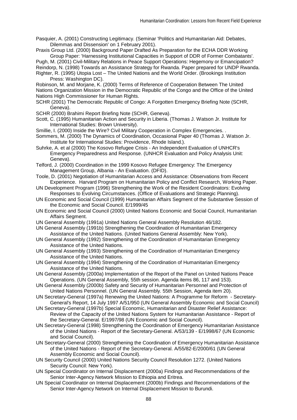Pasquier, A. (2001) Constructing Legitimacy. (Seminar 'Politics and Humanitarian Aid: Debates, Dilemmas and Dissension' on 1 February 2001).

Praxis Group Ltd. (2000) Background Paper Drafted As Preparation for the ECHA DDR Working Group Paper: 'Harnessing Institutional Capacities in Support of DDR of Former Combatants'.

Pugh, M. (2001) Civil-Military Relations in Peace Support Operations: Hegemony or Emancipation? Reindorp, N. (1998) Towards an Assistance Strategy for Rwanda. Paper prepared for UNDP Rwanda.

Righter, R. (1995) Utopia Lost – The United Nations and the World Order. (Brookings Institution Press: Washington DC).

Robinson, M. and Morjane, K. (2000) Terms of Reference of Cooperation Between The United Nations Organization Mission in the Democratic Republic of the Congo and the Office of the United Nations High Commissioner for Human Rights.

SCHR (2001) The Democratic Republic of Congo: A Forgotten Emergency Briefing Note (SCHR, Geneva).

SCHR (2000) Brahimi Report Briefing Note (SCHR, Geneva).

- Scott, C. (1995) Humanitarian Action and Security in Liberia. (Thomas J. Watson Jr. Institute for International Studies: Brown University).
- Smillie, I. (2000) Inside the Wire? Civil Military Cooperation in Complex Emergencies. .

Sommers, M. (2000) The Dynamics of Coordination, Occasional Paper 40 (Thomas J. Watson Jr. Institute for International Studies: Providence, Rhode Island.).

- Suhrke, A. et al (2000) The Kosovo Refugee Crisis An Independent Evaluation of UNHCR's Emergency Preparedness and Response. (UNHCR Evaluation and Policy Analysis Unit: Geneva).
- Telford, J. (2000) Coordination in the 1999 Kosovo Refugee Emergency: The Emergency Management Group, Albania - An Evaluation. (DFID).
- Toole, D. (2001) Negotiation of Humanitarian Access and Assistance: Observations from Recent Experience. Harvard Program on Humanitarian Policy and Conflict Research, Working Paper.
- UN Development Program (1996) Strengthening the Work of the Resident Coordinators: Evolving Responses to Evolving Circumstances. (Office of Evaluations and Strategic Planning).
- UN Economic and Social Council (1999) Humanitarian Affairs Segment of the Substantive Session of the Economic and Social Council. E/1999/45
- UN Economic and Social Council (2000) United Nations Economic and Social Council, Humanitarian Affairs Seament.
- UN General Assembly (1991a) United Nations General Assembly Resolution 46/182.
- UN General Assembly (1991b) Strengthening the Coordination of Humanitarian Emergency Assistance of the United Nations. (United Nations General Assembly: New York).
- UN General Assembly (1992) Strengthening of the Coordination of Humanitarian Emergency Assistance of the United Nations.
- UN General Assembly (1993) Strengthening of the Coordination of Humanitarian Emergency Assistance of the United Nations.
- UN General Assembly (1994) Strengthening of the Coordination of Humanitarian Emergency Assistance of the United Nations.
- UN General Assembly (2000a) Implementation of the Report of the Panel on United Nations Peace Operations. (UN General Assembly, 55th session. Agenda items 86, 117 and 153).
- UN General Assembly (2000b) Safety and Security of Humanitarian Personnel and Protection of United Nations Personnel. (UN General Assembly. 55th Session, Agenda item 20).
- UN Secretary-General (1997a) Renewing the United Nations: A Programme for Reform Secretary-General's Report, 14 July 1997 A/51/950 (UN General Assembly Economic and Social Council)
- UN Secretary-General (1997b) Special Economic, Humanitarian and Disaster Relief Assistance: Review of the Capacity of the United Nations System for Humanitarian Assistance - Report of the Secretary-General. E/1997/98 (UN Economic and Social Council).
- UN Secretary-General (1998) Strengthening the Coordination of Emergency Humanitarian Assistance of the United Nations - Report of the Secretary-General. A/53/139 - E/1998/67 (UN Economic and Social Council).
- UN Secretary-General (2000) Strengthening the Coordination of Emergency Humanitarian Assistance of the United Nations - Report of the Secretary-General. A/55/82-E/2000/61 (UN General Assembly Economic and Social Council).
- UN Security Council (2000) United Nations Security Council Resolution 1272. (United Nations Security Council: New York).
- UN Special Coordinator on Internal Displacement (2000a) Findings and Recommendations of the Senior Inter-Agency Network Mission to Ethiopia and Eritrea.
- UN Special Coordinator on Internal Displacement (2000b) Findings and Recommendations of the Senior Inter-Agency Network on Internal Displacement Mission to Burundi.